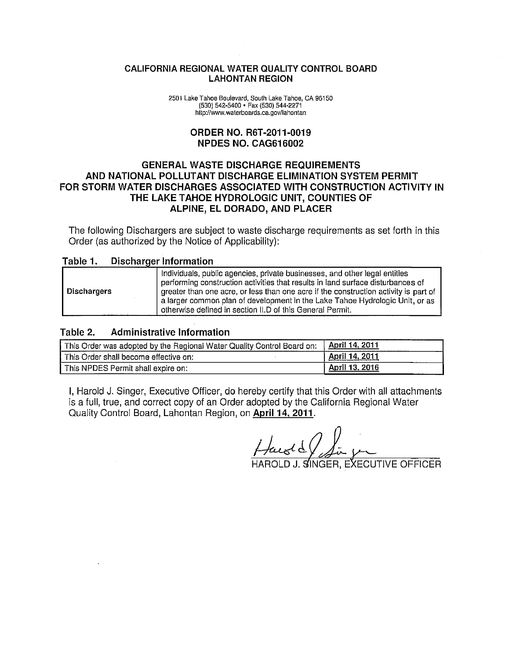#### CALIFORNIA REGIONAL WATER QUALITY CONTROL BOARD **LAHONTAN REGION**

2501 Lake Tahoe Boulevard, South Lake Tahoe, CA 96150 (530) 542-5400 · Fax (530) 544-2271 http://www.waterboards.ca.gov/lahontan

#### **ORDER NO. R6T-2011-0019** NPDES NO. CAG616002

#### **GENERAL WASTE DISCHARGE REQUIREMENTS** AND NATIONAL POLLUTANT DISCHARGE ELIMINATION SYSTEM PERMIT FOR STORM WATER DISCHARGES ASSOCIATED WITH CONSTRUCTION ACTIVITY IN THE LAKE TAHOE HYDROLOGIC UNIT, COUNTIES OF ALPINE, EL DORADO, AND PLACER

The following Dischargers are subject to waste discharge requirements as set forth in this Order (as authorized by the Notice of Applicability):

#### Table 1. **Discharger Information**

| Dischargers | Individuals, public agencies, private businesses, and other legal entities<br>performing construction activities that results in land surface disturbances of<br>greater than one acre, or less than one acre if the construction activity is part of<br>a larger common plan of development in the Lake Tahoe Hydrologic Unit, or as<br>otherwise defined in section II.D of this General Permit. |
|-------------|----------------------------------------------------------------------------------------------------------------------------------------------------------------------------------------------------------------------------------------------------------------------------------------------------------------------------------------------------------------------------------------------------|

#### **Administrative Information** Table 2.

| This Order was adopted by the Regional Water Quality Control Board on: | April 14, 2011 |
|------------------------------------------------------------------------|----------------|
| This Order shall become effective on:                                  | April 14, 2011 |
| This NPDES Permit shall expire on:                                     | April 13, 2016 |

I, Harold J. Singer, Executive Officer, do hereby certify that this Order with all attachments is a full, true, and correct copy of an Order adopted by the California Regional Water Quality Control Board, Lahontan Region, on April 14, 2011.

kuold

OLD J. SINGER, EXECUTIVE OFFICER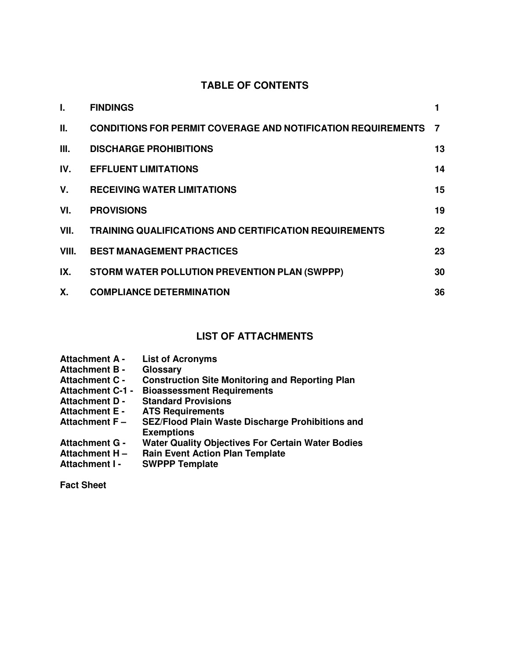## **TABLE OF CONTENTS**

| I.    | <b>FINDINGS</b>                                                     |                |
|-------|---------------------------------------------------------------------|----------------|
| Ш.    | <b>CONDITIONS FOR PERMIT COVERAGE AND NOTIFICATION REQUIREMENTS</b> | $\overline{7}$ |
| Ш.    | <b>DISCHARGE PROHIBITIONS</b>                                       | 13             |
| IV.   | <b>EFFLUENT LIMITATIONS</b>                                         | 14             |
| V.    | <b>RECEIVING WATER LIMITATIONS</b>                                  | 15             |
| VI.   | <b>PROVISIONS</b>                                                   | 19             |
| VII.  | <b>TRAINING QUALIFICATIONS AND CERTIFICATION REQUIREMENTS</b>       | 22             |
| VIII. | <b>BEST MANAGEMENT PRACTICES</b>                                    | 23             |
| IX.   | STORM WATER POLLUTION PREVENTION PLAN (SWPPP)                       | 30             |
| Χ.    | <b>COMPLIANCE DETERMINATION</b>                                     | 36             |

## **LIST OF ATTACHMENTS**

| <b>Attachment A -</b>   | <b>List of Acronyms</b>                                                      |
|-------------------------|------------------------------------------------------------------------------|
| <b>Attachment B -</b>   | Glossary                                                                     |
| <b>Attachment C -</b>   | <b>Construction Site Monitoring and Reporting Plan</b>                       |
| <b>Attachment C-1 -</b> | <b>Bioassessment Requirements</b>                                            |
| <b>Attachment D -</b>   | <b>Standard Provisions</b>                                                   |
| <b>Attachment E -</b>   | <b>ATS Requirements</b>                                                      |
| Attachment $F -$        | <b>SEZ/Flood Plain Waste Discharge Prohibitions and</b><br><b>Exemptions</b> |
| <b>Attachment G -</b>   | <b>Water Quality Objectives For Certain Water Bodies</b>                     |
| <b>Attachment H-</b>    | <b>Rain Event Action Plan Template</b>                                       |
| Attachment I -          | <b>SWPPP Template</b>                                                        |

**Fact Sheet**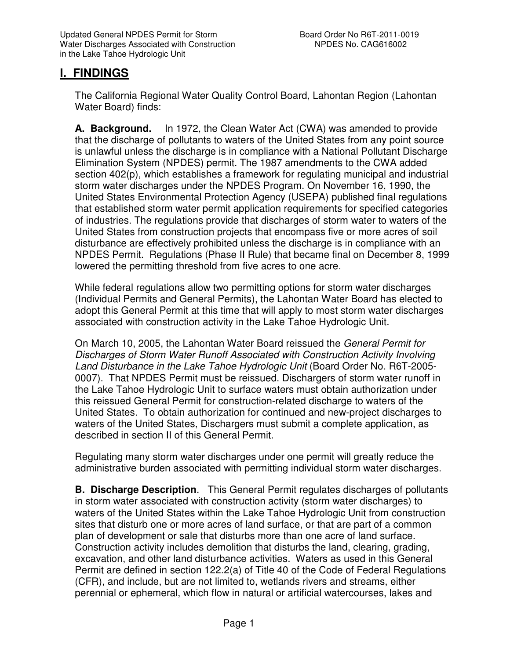## **I. FINDINGS**

The California Regional Water Quality Control Board, Lahontan Region (Lahontan Water Board) finds:

**A. Background.** In 1972, the Clean Water Act (CWA) was amended to provide that the discharge of pollutants to waters of the United States from any point source is unlawful unless the discharge is in compliance with a National Pollutant Discharge Elimination System (NPDES) permit. The 1987 amendments to the CWA added section 402(p), which establishes a framework for regulating municipal and industrial storm water discharges under the NPDES Program. On November 16, 1990, the United States Environmental Protection Agency (USEPA) published final regulations that established storm water permit application requirements for specified categories of industries. The regulations provide that discharges of storm water to waters of the United States from construction projects that encompass five or more acres of soil disturbance are effectively prohibited unless the discharge is in compliance with an NPDES Permit. Regulations (Phase II Rule) that became final on December 8, 1999 lowered the permitting threshold from five acres to one acre.

While federal regulations allow two permitting options for storm water discharges (Individual Permits and General Permits), the Lahontan Water Board has elected to adopt this General Permit at this time that will apply to most storm water discharges associated with construction activity in the Lake Tahoe Hydrologic Unit.

On March 10, 2005, the Lahontan Water Board reissued the General Permit for Discharges of Storm Water Runoff Associated with Construction Activity Involving Land Disturbance in the Lake Tahoe Hydrologic Unit (Board Order No. R6T-2005- 0007). That NPDES Permit must be reissued. Dischargers of storm water runoff in the Lake Tahoe Hydrologic Unit to surface waters must obtain authorization under this reissued General Permit for construction-related discharge to waters of the United States. To obtain authorization for continued and new-project discharges to waters of the United States, Dischargers must submit a complete application, as described in section II of this General Permit.

Regulating many storm water discharges under one permit will greatly reduce the administrative burden associated with permitting individual storm water discharges.

**B. Discharge Description**. This General Permit regulates discharges of pollutants in storm water associated with construction activity (storm water discharges) to waters of the United States within the Lake Tahoe Hydrologic Unit from construction sites that disturb one or more acres of land surface, or that are part of a common plan of development or sale that disturbs more than one acre of land surface. Construction activity includes demolition that disturbs the land, clearing, grading, excavation, and other land disturbance activities. Waters as used in this General Permit are defined in section 122.2(a) of Title 40 of the Code of Federal Regulations (CFR), and include, but are not limited to, wetlands rivers and streams, either perennial or ephemeral, which flow in natural or artificial watercourses, lakes and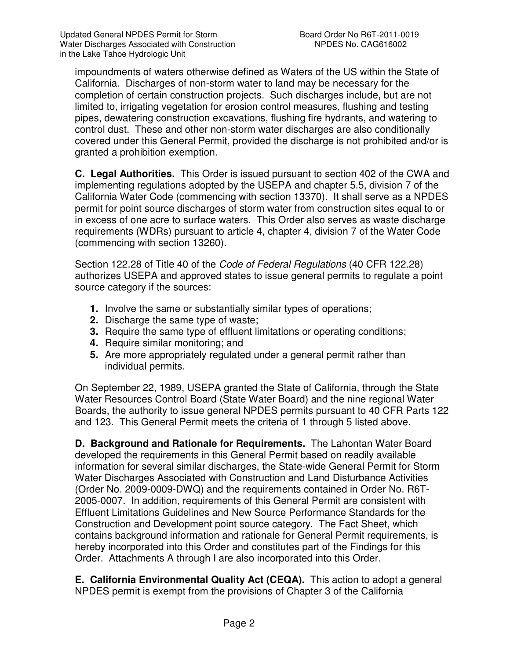impoundments of waters otherwise defined as Waters of the US within the State of California. Discharges of non-storm water to land may be necessary for the completion of certain construction projects. Such discharges include, but are not limited to, irrigating vegetation for erosion control measures, flushing and testing pipes, dewatering construction excavations, flushing fire hydrants, and watering to control dust. These and other non-storm water discharges are also conditionally covered under this General Permit, provided the discharge is not prohibited and/or is granted a prohibition exemption.

**C. Legal Authorities.** This Order is issued pursuant to section 402 of the CWA and implementing regulations adopted by the USEPA and chapter 5.5, division 7 of the California Water Code (commencing with section 13370). It shall serve as a NPDES permit for point source discharges of storm water from construction sites equal to or in excess of one acre to surface waters. This Order also serves as waste discharge requirements (WDRs) pursuant to article 4, chapter 4, division 7 of the Water Code (commencing with section 13260).

Section 122.28 of Title 40 of the Code of Federal Regulations (40 CFR 122.28) authorizes USEPA and approved states to issue general permits to regulate a point source category if the sources:

- **1.** Involve the same or substantially similar types of operations;
- **2.** Discharge the same type of waste;
- **3.** Require the same type of effluent limitations or operating conditions;
- **4.** Require similar monitoring; and
- **5.** Are more appropriately regulated under a general permit rather than individual permits.

On September 22, 1989, USEPA granted the State of California, through the State Water Resources Control Board (State Water Board) and the nine regional Water Boards, the authority to issue general NPDES permits pursuant to 40 CFR Parts 122 and 123. This General Permit meets the criteria of 1 through 5 listed above.

**D. Background and Rationale for Requirements.** The Lahontan Water Board developed the requirements in this General Permit based on readily available information for several similar discharges, the State-wide General Permit for Storm Water Discharges Associated with Construction and Land Disturbance Activities (Order No. 2009-0009-DWQ) and the requirements contained in Order No. R6T-2005-0007. In addition, requirements of this General Permit are consistent with Effluent Limitations Guidelines and New Source Performance Standards for the Construction and Development point source category. The Fact Sheet, which contains background information and rationale for General Permit requirements, is hereby incorporated into this Order and constitutes part of the Findings for this Order. Attachments A through I are also incorporated into this Order.

**E. California Environmental Quality Act (CEQA).** This action to adopt a general NPDES permit is exempt from the provisions of Chapter 3 of the California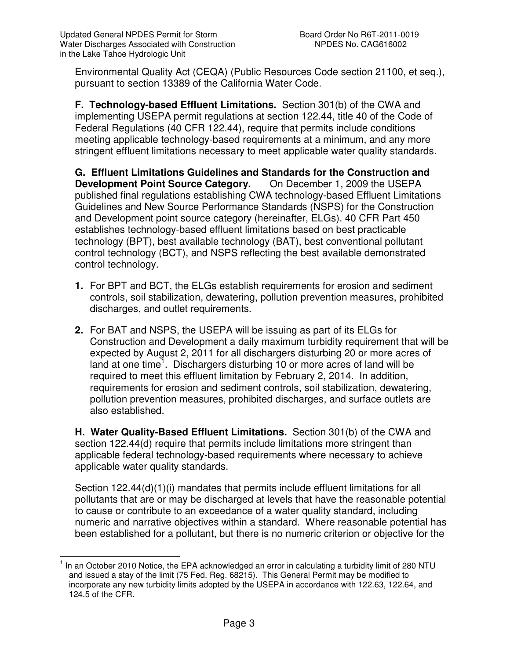Environmental Quality Act (CEQA) (Public Resources Code section 21100, et seq.), pursuant to section 13389 of the California Water Code.

**F. Technology-based Effluent Limitations.** Section 301(b) of the CWA and implementing USEPA permit regulations at section 122.44, title 40 of the Code of Federal Regulations (40 CFR 122.44), require that permits include conditions meeting applicable technology-based requirements at a minimum, and any more stringent effluent limitations necessary to meet applicable water quality standards.

**G. Effluent Limitations Guidelines and Standards for the Construction and Development Point Source Category.** On December 1, 2009 the USEPA published final regulations establishing CWA technology-based Effluent Limitations Guidelines and New Source Performance Standards (NSPS) for the Construction and Development point source category (hereinafter, ELGs). 40 CFR Part 450 establishes technology-based effluent limitations based on best practicable technology (BPT), best available technology (BAT), best conventional pollutant control technology (BCT), and NSPS reflecting the best available demonstrated control technology.

- **1.** For BPT and BCT, the ELGs establish requirements for erosion and sediment controls, soil stabilization, dewatering, pollution prevention measures, prohibited discharges, and outlet requirements.
- **2.** For BAT and NSPS, the USEPA will be issuing as part of its ELGs for Construction and Development a daily maximum turbidity requirement that will be expected by August 2, 2011 for all dischargers disturbing 20 or more acres of land at one time<sup>1</sup>. Dischargers disturbing 10 or more acres of land will be required to meet this effluent limitation by February 2, 2014. In addition, requirements for erosion and sediment controls, soil stabilization, dewatering, pollution prevention measures, prohibited discharges, and surface outlets are also established.

**H. Water Quality-Based Effluent Limitations.** Section 301(b) of the CWA and section 122.44(d) require that permits include limitations more stringent than applicable federal technology-based requirements where necessary to achieve applicable water quality standards.

Section 122.44(d)(1)(i) mandates that permits include effluent limitations for all pollutants that are or may be discharged at levels that have the reasonable potential to cause or contribute to an exceedance of a water quality standard, including numeric and narrative objectives within a standard. Where reasonable potential has been established for a pollutant, but there is no numeric criterion or objective for the

 $\overline{1}$ 1 In an October 2010 Notice, the EPA acknowledged an error in calculating a turbidity limit of 280 NTU and issued a stay of the limit (75 Fed. Reg. 68215). This General Permit may be modified to incorporate any new turbidity limits adopted by the USEPA in accordance with 122.63, 122.64, and 124.5 of the CFR.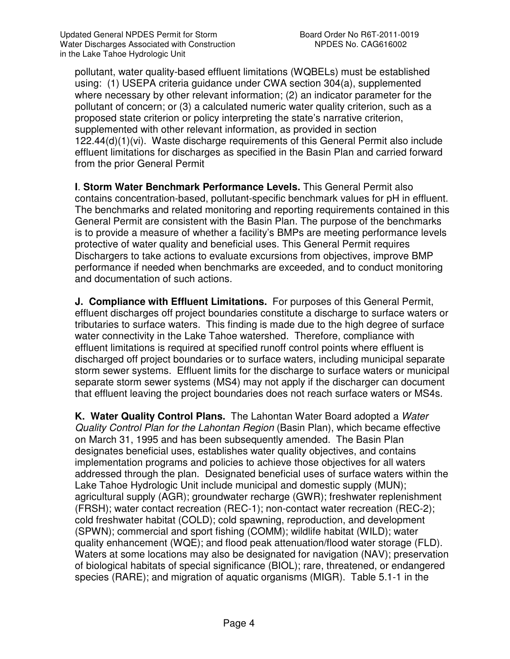pollutant, water quality-based effluent limitations (WQBELs) must be established using: (1) USEPA criteria guidance under CWA section 304(a), supplemented where necessary by other relevant information; (2) an indicator parameter for the pollutant of concern; or (3) a calculated numeric water quality criterion, such as a proposed state criterion or policy interpreting the state's narrative criterion, supplemented with other relevant information, as provided in section 122.44(d)(1)(vi). Waste discharge requirements of this General Permit also include effluent limitations for discharges as specified in the Basin Plan and carried forward from the prior General Permit

**I**. **Storm Water Benchmark Performance Levels.** This General Permit also contains concentration-based, pollutant-specific benchmark values for pH in effluent. The benchmarks and related monitoring and reporting requirements contained in this General Permit are consistent with the Basin Plan. The purpose of the benchmarks is to provide a measure of whether a facility's BMPs are meeting performance levels protective of water quality and beneficial uses. This General Permit requires Dischargers to take actions to evaluate excursions from objectives, improve BMP performance if needed when benchmarks are exceeded, and to conduct monitoring and documentation of such actions.

**J. Compliance with Effluent Limitations.** For purposes of this General Permit, effluent discharges off project boundaries constitute a discharge to surface waters or tributaries to surface waters. This finding is made due to the high degree of surface water connectivity in the Lake Tahoe watershed. Therefore, compliance with effluent limitations is required at specified runoff control points where effluent is discharged off project boundaries or to surface waters, including municipal separate storm sewer systems. Effluent limits for the discharge to surface waters or municipal separate storm sewer systems (MS4) may not apply if the discharger can document that effluent leaving the project boundaries does not reach surface waters or MS4s.

**K. Water Quality Control Plans.** The Lahontan Water Board adopted a Water Quality Control Plan for the Lahontan Region (Basin Plan), which became effective on March 31, 1995 and has been subsequently amended. The Basin Plan designates beneficial uses, establishes water quality objectives, and contains implementation programs and policies to achieve those objectives for all waters addressed through the plan. Designated beneficial uses of surface waters within the Lake Tahoe Hydrologic Unit include municipal and domestic supply (MUN); agricultural supply (AGR); groundwater recharge (GWR); freshwater replenishment (FRSH); water contact recreation (REC-1); non-contact water recreation (REC-2); cold freshwater habitat (COLD); cold spawning, reproduction, and development (SPWN); commercial and sport fishing (COMM); wildlife habitat (WILD); water quality enhancement (WQE); and flood peak attenuation/flood water storage (FLD). Waters at some locations may also be designated for navigation (NAV); preservation of biological habitats of special significance (BIOL); rare, threatened, or endangered species (RARE); and migration of aquatic organisms (MIGR). Table 5.1-1 in the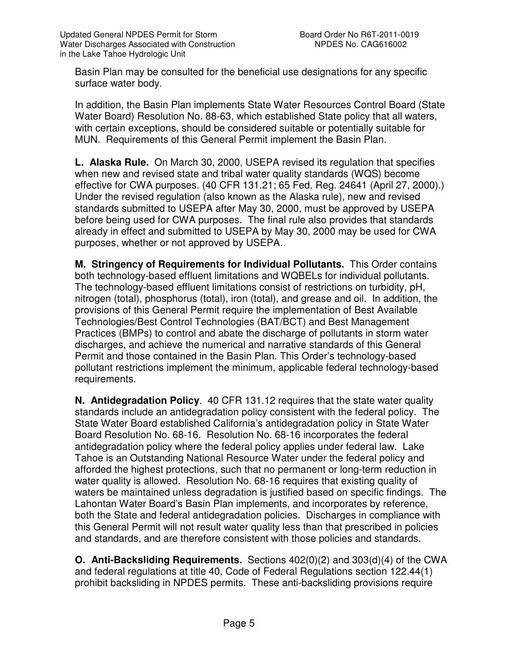Basin Plan may be consulted for the beneficial use designations for any specific surface water body.

In addition, the Basin Plan implements State Water Resources Control Board (State Water Board) Resolution No. 88-63, which established State policy that all waters, with certain exceptions, should be considered suitable or potentially suitable for MUN. Requirements of this General Permit implement the Basin Plan.

**L. Alaska Rule.** On March 30, 2000, USEPA revised its regulation that specifies when new and revised state and tribal water quality standards (WQS) become effective for CWA purposes. (40 CFR 131.21; 65 Fed. Reg. 24641 (April 27, 2000).) Under the revised regulation (also known as the Alaska rule), new and revised standards submitted to USEPA after May 30, 2000, must be approved by USEPA before being used for CWA purposes. The final rule also provides that standards already in effect and submitted to USEPA by May 30, 2000 may be used for CWA purposes, whether or not approved by USEPA.

**M. Stringency of Requirements for Individual Pollutants.** This Order contains both technology-based effluent limitations and WQBELs for individual pollutants. The technology-based effluent limitations consist of restrictions on turbidity, pH, nitrogen (total), phosphorus (total), iron (total), and grease and oil. In addition, the provisions of this General Permit require the implementation of Best Available Technologies/Best Control Technologies (BAT/BCT) and Best Management Practices (BMPs) to control and abate the discharge of pollutants in storm water discharges, and achieve the numerical and narrative standards of this General Permit and those contained in the Basin Plan. This Order's technology-based pollutant restrictions implement the minimum, applicable federal technology-based requirements.

**N. Antidegradation Policy**. 40 CFR 131.12 requires that the state water quality standards include an antidegradation policy consistent with the federal policy. The State Water Board established California's antidegradation policy in State Water Board Resolution No. 68-16. Resolution No. 68-16 incorporates the federal antidegradation policy where the federal policy applies under federal law. Lake Tahoe is an Outstanding National Resource Water under the federal policy and afforded the highest protections, such that no permanent or long-term reduction in water quality is allowed. Resolution No. 68-16 requires that existing quality of waters be maintained unless degradation is justified based on specific findings. The Lahontan Water Board's Basin Plan implements, and incorporates by reference, both the State and federal antidegradation policies. Discharges in compliance with this General Permit will not result water quality less than that prescribed in policies and standards, and are therefore consistent with those policies and standards.

**O. Anti-Backsliding Requirements.** Sections 402(0)(2) and 303(d)(4) of the CWA and federal regulations at title 40, Code of Federal Regulations section 122.44(1) prohibit backsliding in NPDES permits. These anti-backsliding provisions require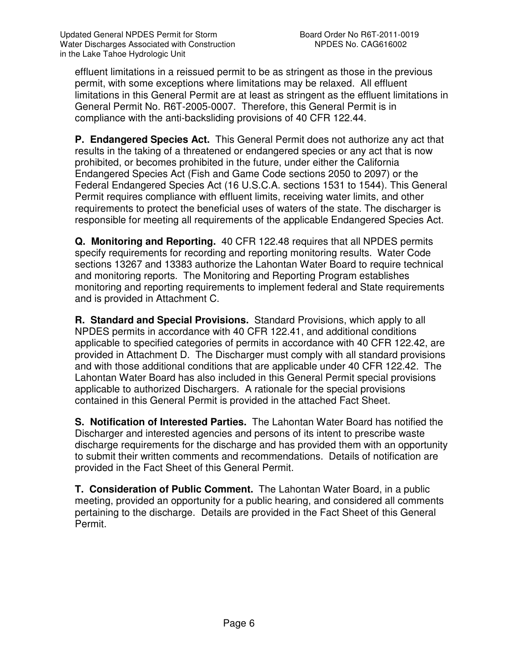effluent limitations in a reissued permit to be as stringent as those in the previous permit, with some exceptions where limitations may be relaxed. All effluent limitations in this General Permit are at least as stringent as the effluent limitations in General Permit No. R6T-2005-0007. Therefore, this General Permit is in compliance with the anti-backsliding provisions of 40 CFR 122.44.

**P. Endangered Species Act.** This General Permit does not authorize any act that results in the taking of a threatened or endangered species or any act that is now prohibited, or becomes prohibited in the future, under either the California Endangered Species Act (Fish and Game Code sections 2050 to 2097) or the Federal Endangered Species Act (16 U.S.C.A. sections 1531 to 1544). This General Permit requires compliance with effluent limits, receiving water limits, and other requirements to protect the beneficial uses of waters of the state. The discharger is responsible for meeting all requirements of the applicable Endangered Species Act.

**Q. Monitoring and Reporting.** 40 CFR 122.48 requires that all NPDES permits specify requirements for recording and reporting monitoring results. Water Code sections 13267 and 13383 authorize the Lahontan Water Board to require technical and monitoring reports. The Monitoring and Reporting Program establishes monitoring and reporting requirements to implement federal and State requirements and is provided in Attachment C.

**R. Standard and Special Provisions.** Standard Provisions, which apply to all NPDES permits in accordance with 40 CFR 122.41, and additional conditions applicable to specified categories of permits in accordance with 40 CFR 122.42, are provided in Attachment D. The Discharger must comply with all standard provisions and with those additional conditions that are applicable under 40 CFR 122.42. The Lahontan Water Board has also included in this General Permit special provisions applicable to authorized Dischargers. A rationale for the special provisions contained in this General Permit is provided in the attached Fact Sheet.

**S. Notification of Interested Parties.** The Lahontan Water Board has notified the Discharger and interested agencies and persons of its intent to prescribe waste discharge requirements for the discharge and has provided them with an opportunity to submit their written comments and recommendations. Details of notification are provided in the Fact Sheet of this General Permit.

**T. Consideration of Public Comment.** The Lahontan Water Board, in a public meeting, provided an opportunity for a public hearing, and considered all comments pertaining to the discharge. Details are provided in the Fact Sheet of this General Permit.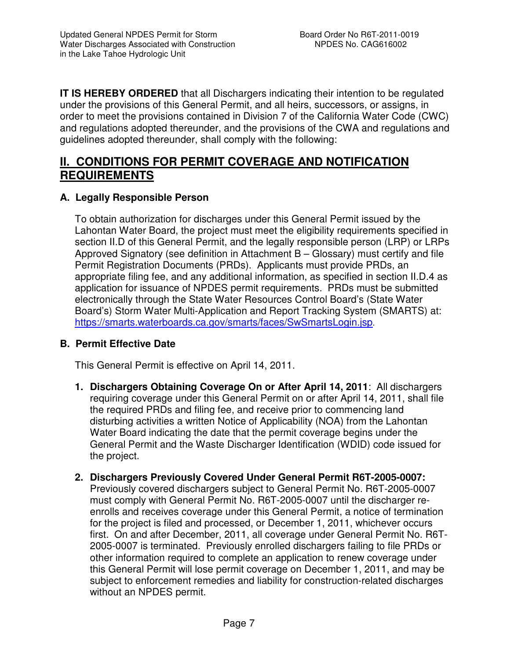**IT IS HEREBY ORDERED** that all Dischargers indicating their intention to be regulated under the provisions of this General Permit, and all heirs, successors, or assigns, in order to meet the provisions contained in Division 7 of the California Water Code (CWC) and regulations adopted thereunder, and the provisions of the CWA and regulations and guidelines adopted thereunder, shall comply with the following:

## **II. CONDITIONS FOR PERMIT COVERAGE AND NOTIFICATION REQUIREMENTS**

## **A. Legally Responsible Person**

To obtain authorization for discharges under this General Permit issued by the Lahontan Water Board, the project must meet the eligibility requirements specified in section II.D of this General Permit, and the legally responsible person (LRP) or LRPs Approved Signatory (see definition in Attachment B – Glossary) must certify and file Permit Registration Documents (PRDs). Applicants must provide PRDs, an appropriate filing fee, and any additional information, as specified in section II.D.4 as application for issuance of NPDES permit requirements. PRDs must be submitted electronically through the State Water Resources Control Board's (State Water Board's) Storm Water Multi-Application and Report Tracking System (SMARTS) at: https://smarts.waterboards.ca.gov/smarts/faces/SwSmartsLogin.jsp.

#### **B. Permit Effective Date**

This General Permit is effective on April 14, 2011.

- **1. Dischargers Obtaining Coverage On or After April 14, 2011**: All dischargers requiring coverage under this General Permit on or after April 14, 2011, shall file the required PRDs and filing fee, and receive prior to commencing land disturbing activities a written Notice of Applicability (NOA) from the Lahontan Water Board indicating the date that the permit coverage begins under the General Permit and the Waste Discharger Identification (WDID) code issued for the project.
- **2. Dischargers Previously Covered Under General Permit R6T-2005-0007:** Previously covered dischargers subject to General Permit No. R6T-2005-0007 must comply with General Permit No. R6T-2005-0007 until the discharger reenrolls and receives coverage under this General Permit, a notice of termination for the project is filed and processed, or December 1, 2011, whichever occurs first. On and after December, 2011, all coverage under General Permit No. R6T-2005-0007 is terminated. Previously enrolled dischargers failing to file PRDs or other information required to complete an application to renew coverage under this General Permit will lose permit coverage on December 1, 2011, and may be subject to enforcement remedies and liability for construction-related discharges without an NPDES permit.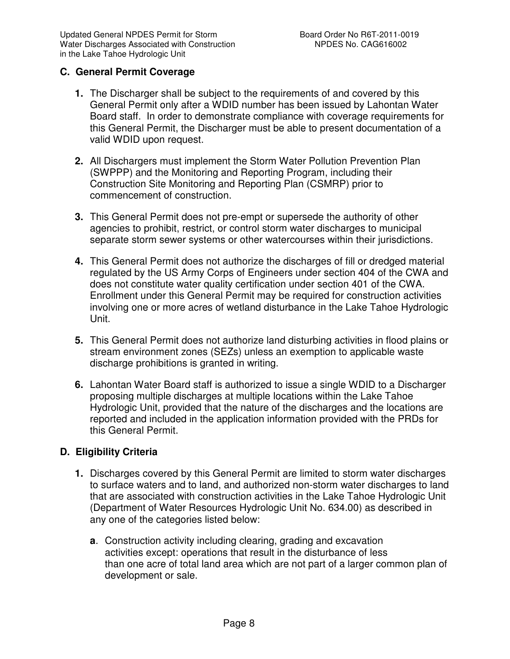## **C. General Permit Coverage**

- **1.** The Discharger shall be subject to the requirements of and covered by this General Permit only after a WDID number has been issued by Lahontan Water Board staff. In order to demonstrate compliance with coverage requirements for this General Permit, the Discharger must be able to present documentation of a valid WDID upon request.
- **2.** All Dischargers must implement the Storm Water Pollution Prevention Plan (SWPPP) and the Monitoring and Reporting Program, including their Construction Site Monitoring and Reporting Plan (CSMRP) prior to commencement of construction.
- **3.** This General Permit does not pre-empt or supersede the authority of other agencies to prohibit, restrict, or control storm water discharges to municipal separate storm sewer systems or other watercourses within their jurisdictions.
- **4.** This General Permit does not authorize the discharges of fill or dredged material regulated by the US Army Corps of Engineers under section 404 of the CWA and does not constitute water quality certification under section 401 of the CWA. Enrollment under this General Permit may be required for construction activities involving one or more acres of wetland disturbance in the Lake Tahoe Hydrologic Unit.
- **5.** This General Permit does not authorize land disturbing activities in flood plains or stream environment zones (SEZs) unless an exemption to applicable waste discharge prohibitions is granted in writing.
- **6.** Lahontan Water Board staff is authorized to issue a single WDID to a Discharger proposing multiple discharges at multiple locations within the Lake Tahoe Hydrologic Unit, provided that the nature of the discharges and the locations are reported and included in the application information provided with the PRDs for this General Permit.

#### **D. Eligibility Criteria**

- **1.** Discharges covered by this General Permit are limited to storm water discharges to surface waters and to land, and authorized non-storm water discharges to land that are associated with construction activities in the Lake Tahoe Hydrologic Unit (Department of Water Resources Hydrologic Unit No. 634.00) as described in any one of the categories listed below:
	- **a**. Construction activity including clearing, grading and excavation activities except: operations that result in the disturbance of less than one acre of total land area which are not part of a larger common plan of development or sale.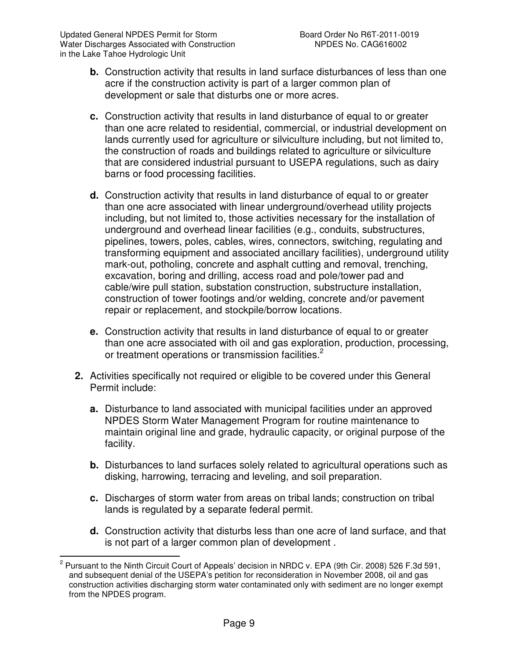- **b.** Construction activity that results in land surface disturbances of less than one acre if the construction activity is part of a larger common plan of development or sale that disturbs one or more acres.
- **c.** Construction activity that results in land disturbance of equal to or greater than one acre related to residential, commercial, or industrial development on lands currently used for agriculture or silviculture including, but not limited to, the construction of roads and buildings related to agriculture or silviculture that are considered industrial pursuant to USEPA regulations, such as dairy barns or food processing facilities.
- **d.** Construction activity that results in land disturbance of equal to or greater than one acre associated with linear underground/overhead utility projects including, but not limited to, those activities necessary for the installation of underground and overhead linear facilities (e.g., conduits, substructures, pipelines, towers, poles, cables, wires, connectors, switching, regulating and transforming equipment and associated ancillary facilities), underground utility mark-out, potholing, concrete and asphalt cutting and removal, trenching, excavation, boring and drilling, access road and pole/tower pad and cable/wire pull station, substation construction, substructure installation, construction of tower footings and/or welding, concrete and/or pavement repair or replacement, and stockpile/borrow locations.
- **e.** Construction activity that results in land disturbance of equal to or greater than one acre associated with oil and gas exploration, production, processing, or treatment operations or transmission facilities.<sup>2</sup>
- **2.** Activities specifically not required or eligible to be covered under this General Permit include:
	- **a.** Disturbance to land associated with municipal facilities under an approved NPDES Storm Water Management Program for routine maintenance to maintain original line and grade, hydraulic capacity, or original purpose of the facility.
	- **b.** Disturbances to land surfaces solely related to agricultural operations such as disking, harrowing, terracing and leveling, and soil preparation.
	- **c.** Discharges of storm water from areas on tribal lands; construction on tribal lands is regulated by a separate federal permit.
	- **d.** Construction activity that disturbs less than one acre of land surface, and that is not part of a larger common plan of development .

 2 Pursuant to the Ninth Circuit Court of Appeals' decision in NRDC v. EPA (9th Cir. 2008) 526 F.3d 591, and subsequent denial of the USEPA's petition for reconsideration in November 2008, oil and gas construction activities discharging storm water contaminated only with sediment are no longer exempt from the NPDES program.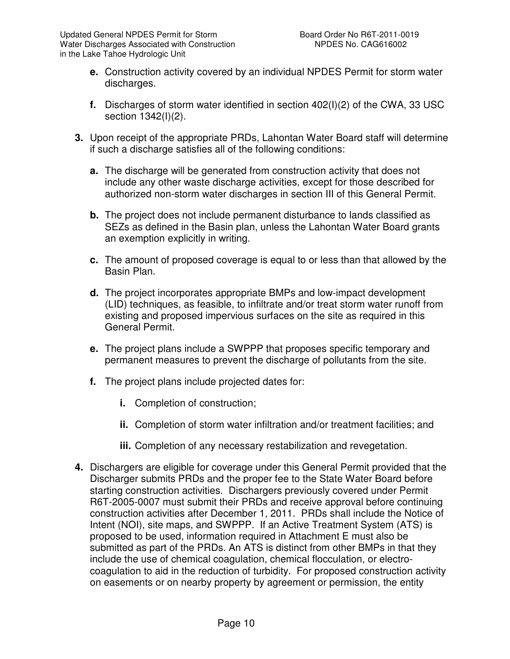- **e.** Construction activity covered by an individual NPDES Permit for storm water discharges.
- **f.** Discharges of storm water identified in section 402(I)(2) of the CWA, 33 USC section 1342(I)(2).
- **3.** Upon receipt of the appropriate PRDs, Lahontan Water Board staff will determine if such a discharge satisfies all of the following conditions:
	- **a.** The discharge will be generated from construction activity that does not include any other waste discharge activities, except for those described for authorized non-storm water discharges in section III of this General Permit.
	- **b.** The project does not include permanent disturbance to lands classified as SEZs as defined in the Basin plan, unless the Lahontan Water Board grants an exemption explicitly in writing.
	- **c.** The amount of proposed coverage is equal to or less than that allowed by the Basin Plan.
	- **d.** The project incorporates appropriate BMPs and low-impact development (LID) techniques, as feasible, to infiltrate and/or treat storm water runoff from existing and proposed impervious surfaces on the site as required in this General Permit.
	- **e.** The project plans include a SWPPP that proposes specific temporary and permanent measures to prevent the discharge of pollutants from the site.
	- **f.** The project plans include projected dates for:
		- **i.** Completion of construction;
		- **ii.** Completion of storm water infiltration and/or treatment facilities; and
		- **iii.** Completion of any necessary restabilization and revegetation.
- **4.** Dischargers are eligible for coverage under this General Permit provided that the Discharger submits PRDs and the proper fee to the State Water Board before starting construction activities. Dischargers previously covered under Permit R6T-2005-0007 must submit their PRDs and receive approval before continuing construction activities after December 1, 2011. PRDs shall include the Notice of Intent (NOI), site maps, and SWPPP. If an Active Treatment System (ATS) is proposed to be used, information required in Attachment E must also be submitted as part of the PRDs. An ATS is distinct from other BMPs in that they include the use of chemical coagulation, chemical flocculation, or electrocoagulation to aid in the reduction of turbidity. For proposed construction activity on easements or on nearby property by agreement or permission, the entity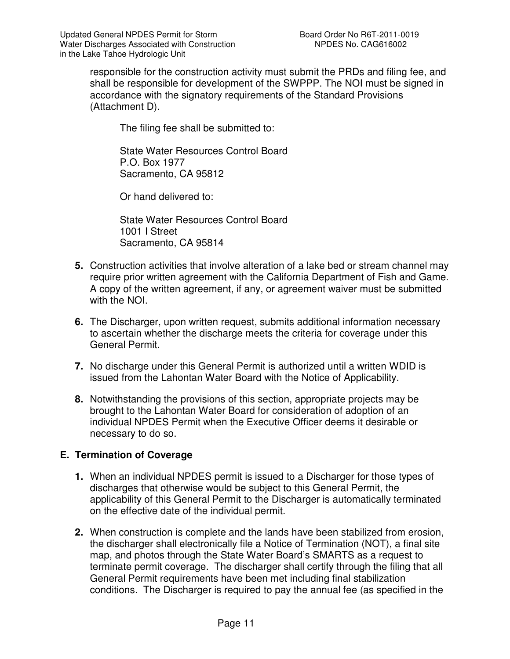responsible for the construction activity must submit the PRDs and filing fee, and shall be responsible for development of the SWPPP. The NOI must be signed in accordance with the signatory requirements of the Standard Provisions (Attachment D).

The filing fee shall be submitted to:

State Water Resources Control Board P.O. Box 1977 Sacramento, CA 95812

Or hand delivered to:

State Water Resources Control Board 1001 I Street Sacramento, CA 95814

- **5.** Construction activities that involve alteration of a lake bed or stream channel may require prior written agreement with the California Department of Fish and Game. A copy of the written agreement, if any, or agreement waiver must be submitted with the NOI.
- **6.** The Discharger, upon written request, submits additional information necessary to ascertain whether the discharge meets the criteria for coverage under this General Permit.
- **7.** No discharge under this General Permit is authorized until a written WDID is issued from the Lahontan Water Board with the Notice of Applicability.
- **8.** Notwithstanding the provisions of this section, appropriate projects may be brought to the Lahontan Water Board for consideration of adoption of an individual NPDES Permit when the Executive Officer deems it desirable or necessary to do so.

## **E. Termination of Coverage**

- **1.** When an individual NPDES permit is issued to a Discharger for those types of discharges that otherwise would be subject to this General Permit, the applicability of this General Permit to the Discharger is automatically terminated on the effective date of the individual permit.
- **2.** When construction is complete and the lands have been stabilized from erosion, the discharger shall electronically file a Notice of Termination (NOT), a final site map, and photos through the State Water Board's SMARTS as a request to terminate permit coverage. The discharger shall certify through the filing that all General Permit requirements have been met including final stabilization conditions. The Discharger is required to pay the annual fee (as specified in the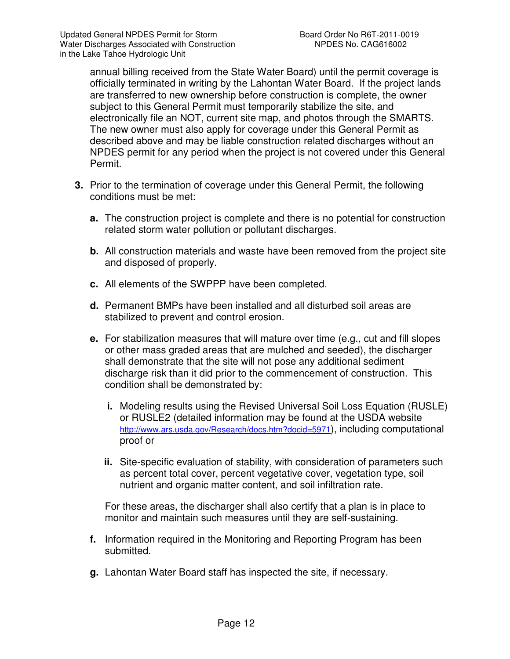annual billing received from the State Water Board) until the permit coverage is officially terminated in writing by the Lahontan Water Board. If the project lands are transferred to new ownership before construction is complete, the owner subject to this General Permit must temporarily stabilize the site, and electronically file an NOT, current site map, and photos through the SMARTS. The new owner must also apply for coverage under this General Permit as described above and may be liable construction related discharges without an NPDES permit for any period when the project is not covered under this General Permit.

- **3.** Prior to the termination of coverage under this General Permit, the following conditions must be met:
	- **a.** The construction project is complete and there is no potential for construction related storm water pollution or pollutant discharges.
	- **b.** All construction materials and waste have been removed from the project site and disposed of properly.
	- **c.** All elements of the SWPPP have been completed.
	- **d.** Permanent BMPs have been installed and all disturbed soil areas are stabilized to prevent and control erosion.
	- **e.** For stabilization measures that will mature over time (e.g., cut and fill slopes or other mass graded areas that are mulched and seeded), the discharger shall demonstrate that the site will not pose any additional sediment discharge risk than it did prior to the commencement of construction. This condition shall be demonstrated by:
		- **i.** Modeling results using the Revised Universal Soil Loss Equation (RUSLE) or RUSLE2 (detailed information may be found at the USDA website http://www.ars.usda.gov/Research/docs.htm?docid=5971), including computational proof or
		- **ii.** Site-specific evaluation of stability, with consideration of parameters such as percent total cover, percent vegetative cover, vegetation type, soil nutrient and organic matter content, and soil infiltration rate.

For these areas, the discharger shall also certify that a plan is in place to monitor and maintain such measures until they are self-sustaining.

- **f.** Information required in the Monitoring and Reporting Program has been submitted.
- **g.** Lahontan Water Board staff has inspected the site, if necessary.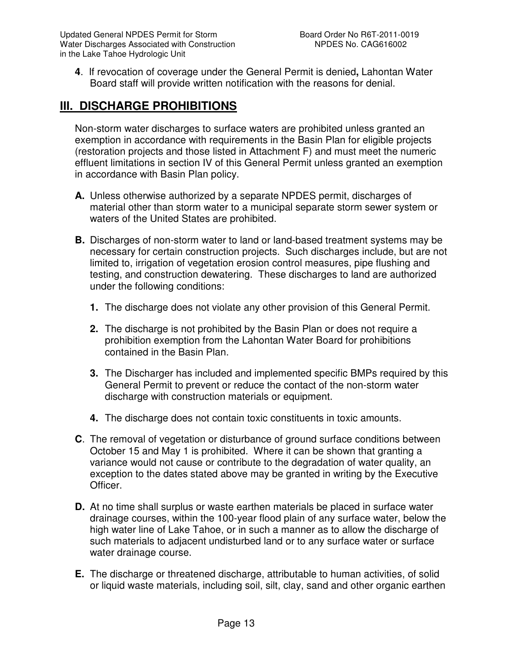**4**. If revocation of coverage under the General Permit is denied**,** Lahontan Water Board staff will provide written notification with the reasons for denial.

# **III. DISCHARGE PROHIBITIONS**

Non-storm water discharges to surface waters are prohibited unless granted an exemption in accordance with requirements in the Basin Plan for eligible projects (restoration projects and those listed in Attachment F) and must meet the numeric effluent limitations in section IV of this General Permit unless granted an exemption in accordance with Basin Plan policy.

- **A.** Unless otherwise authorized by a separate NPDES permit, discharges of material other than storm water to a municipal separate storm sewer system or waters of the United States are prohibited.
- **B.** Discharges of non-storm water to land or land-based treatment systems may be necessary for certain construction projects. Such discharges include, but are not limited to, irrigation of vegetation erosion control measures, pipe flushing and testing, and construction dewatering. These discharges to land are authorized under the following conditions:
	- **1.** The discharge does not violate any other provision of this General Permit.
	- **2.** The discharge is not prohibited by the Basin Plan or does not require a prohibition exemption from the Lahontan Water Board for prohibitions contained in the Basin Plan.
	- **3.** The Discharger has included and implemented specific BMPs required by this General Permit to prevent or reduce the contact of the non-storm water discharge with construction materials or equipment.
	- **4.** The discharge does not contain toxic constituents in toxic amounts.
- **C**. The removal of vegetation or disturbance of ground surface conditions between October 15 and May 1 is prohibited. Where it can be shown that granting a variance would not cause or contribute to the degradation of water quality, an exception to the dates stated above may be granted in writing by the Executive Officer.
- **D.** At no time shall surplus or waste earthen materials be placed in surface water drainage courses, within the 100-year flood plain of any surface water, below the high water line of Lake Tahoe, or in such a manner as to allow the discharge of such materials to adjacent undisturbed land or to any surface water or surface water drainage course.
- **E.** The discharge or threatened discharge, attributable to human activities, of solid or liquid waste materials, including soil, silt, clay, sand and other organic earthen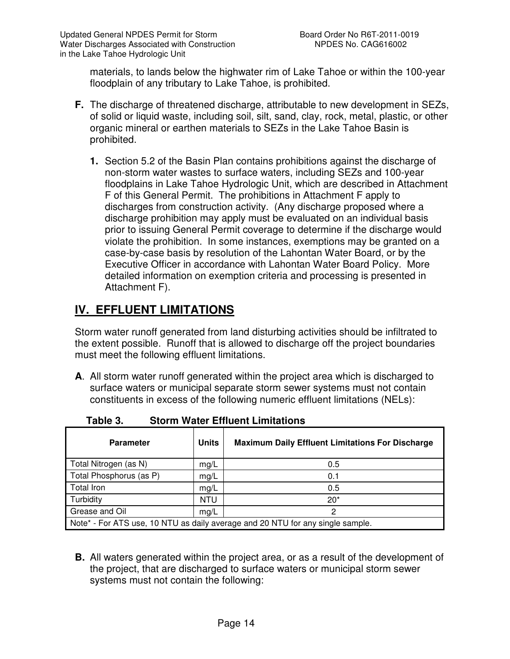materials, to lands below the highwater rim of Lake Tahoe or within the 100-year floodplain of any tributary to Lake Tahoe, is prohibited.

- **F.** The discharge of threatened discharge, attributable to new development in SEZs, of solid or liquid waste, including soil, silt, sand, clay, rock, metal, plastic, or other organic mineral or earthen materials to SEZs in the Lake Tahoe Basin is prohibited.
	- **1.** Section 5.2 of the Basin Plan contains prohibitions against the discharge of non-storm water wastes to surface waters, including SEZs and 100-year floodplains in Lake Tahoe Hydrologic Unit, which are described in Attachment F of this General Permit. The prohibitions in Attachment F apply to discharges from construction activity. (Any discharge proposed where a discharge prohibition may apply must be evaluated on an individual basis prior to issuing General Permit coverage to determine if the discharge would violate the prohibition. In some instances, exemptions may be granted on a case-by-case basis by resolution of the Lahontan Water Board, or by the Executive Officer in accordance with Lahontan Water Board Policy. More detailed information on exemption criteria and processing is presented in Attachment F).

# **IV. EFFLUENT LIMITATIONS**

Storm water runoff generated from land disturbing activities should be infiltrated to the extent possible. Runoff that is allowed to discharge off the project boundaries must meet the following effluent limitations.

**A**. All storm water runoff generated within the project area which is discharged to surface waters or municipal separate storm sewer systems must not contain constituents in excess of the following numeric effluent limitations (NELs):

| <b>Parameter</b>                                                               | <b>Units</b> | <b>Maximum Daily Effluent Limitations For Discharge</b> |  |  |
|--------------------------------------------------------------------------------|--------------|---------------------------------------------------------|--|--|
| Total Nitrogen (as N)                                                          | mg/L         | 0.5                                                     |  |  |
| Total Phosphorus (as P)                                                        | mg/L         | 0.1                                                     |  |  |
| <b>Total Iron</b>                                                              | mg/L         | 0.5                                                     |  |  |
| Turbidity                                                                      | NTU          | $20*$                                                   |  |  |
| Grease and Oil                                                                 | mg/L         | 2                                                       |  |  |
| Note* - For ATS use, 10 NTU as daily average and 20 NTU for any single sample. |              |                                                         |  |  |

**Table 3. Storm Water Effluent Limitations** 

**B.** All waters generated within the project area, or as a result of the development of the project, that are discharged to surface waters or municipal storm sewer systems must not contain the following: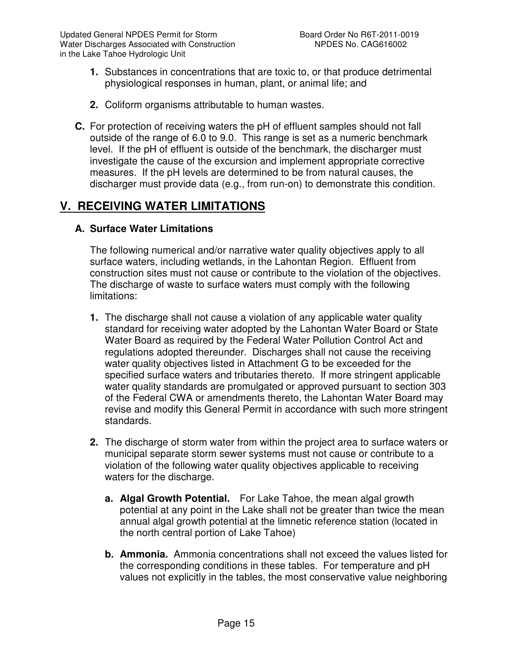- **1.** Substances in concentrations that are toxic to, or that produce detrimental physiological responses in human, plant, or animal life; and
- **2.** Coliform organisms attributable to human wastes.
- **C.** For protection of receiving waters the pH of effluent samples should not fall outside of the range of 6.0 to 9.0. This range is set as a numeric benchmark level. If the pH of effluent is outside of the benchmark, the discharger must investigate the cause of the excursion and implement appropriate corrective measures. If the pH levels are determined to be from natural causes, the discharger must provide data (e.g., from run-on) to demonstrate this condition.

## **V. RECEIVING WATER LIMITATIONS**

#### **A. Surface Water Limitations**

The following numerical and/or narrative water quality objectives apply to all surface waters, including wetlands, in the Lahontan Region. Effluent from construction sites must not cause or contribute to the violation of the objectives. The discharge of waste to surface waters must comply with the following limitations:

- **1.** The discharge shall not cause a violation of any applicable water quality standard for receiving water adopted by the Lahontan Water Board or State Water Board as required by the Federal Water Pollution Control Act and regulations adopted thereunder. Discharges shall not cause the receiving water quality objectives listed in Attachment G to be exceeded for the specified surface waters and tributaries thereto. If more stringent applicable water quality standards are promulgated or approved pursuant to section 303 of the Federal CWA or amendments thereto, the Lahontan Water Board may revise and modify this General Permit in accordance with such more stringent standards.
- **2.** The discharge of storm water from within the project area to surface waters or municipal separate storm sewer systems must not cause or contribute to a violation of the following water quality objectives applicable to receiving waters for the discharge.
	- **a. Algal Growth Potential.** For Lake Tahoe, the mean algal growth potential at any point in the Lake shall not be greater than twice the mean annual algal growth potential at the limnetic reference station (located in the north central portion of Lake Tahoe)
	- **b. Ammonia.** Ammonia concentrations shall not exceed the values listed for the corresponding conditions in these tables. For temperature and pH values not explicitly in the tables, the most conservative value neighboring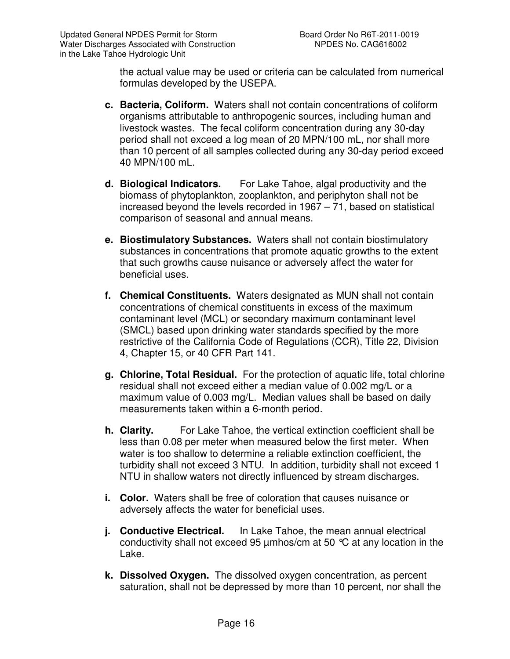the actual value may be used or criteria can be calculated from numerical formulas developed by the USEPA.

- **c. Bacteria, Coliform.** Waters shall not contain concentrations of coliform organisms attributable to anthropogenic sources, including human and livestock wastes. The fecal coliform concentration during any 30-day period shall not exceed a log mean of 20 MPN/100 mL, nor shall more than 10 percent of all samples collected during any 30-day period exceed 40 MPN/100 mL.
- **d. Biological Indicators.** For Lake Tahoe, algal productivity and the biomass of phytoplankton, zooplankton, and periphyton shall not be increased beyond the levels recorded in 1967 – 71, based on statistical comparison of seasonal and annual means.
- **e. Biostimulatory Substances.** Waters shall not contain biostimulatory substances in concentrations that promote aquatic growths to the extent that such growths cause nuisance or adversely affect the water for beneficial uses.
- **f. Chemical Constituents.** Waters designated as MUN shall not contain concentrations of chemical constituents in excess of the maximum contaminant level (MCL) or secondary maximum contaminant level (SMCL) based upon drinking water standards specified by the more restrictive of the California Code of Regulations (CCR), Title 22, Division 4, Chapter 15, or 40 CFR Part 141.
- **g. Chlorine, Total Residual.** For the protection of aquatic life, total chlorine residual shall not exceed either a median value of 0.002 mg/L or a maximum value of 0.003 mg/L. Median values shall be based on daily measurements taken within a 6-month period.
- **h. Clarity.** For Lake Tahoe, the vertical extinction coefficient shall be less than 0.08 per meter when measured below the first meter. When water is too shallow to determine a reliable extinction coefficient, the turbidity shall not exceed 3 NTU. In addition, turbidity shall not exceed 1 NTU in shallow waters not directly influenced by stream discharges.
- **i. Color.** Waters shall be free of coloration that causes nuisance or adversely affects the water for beneficial uses.
- **j.** Conductive Electrical. In Lake Tahoe, the mean annual electrical conductivity shall not exceed 95 µmhos/cm at 50 °C at any location in the Lake.
- **k. Dissolved Oxygen.** The dissolved oxygen concentration, as percent saturation, shall not be depressed by more than 10 percent, nor shall the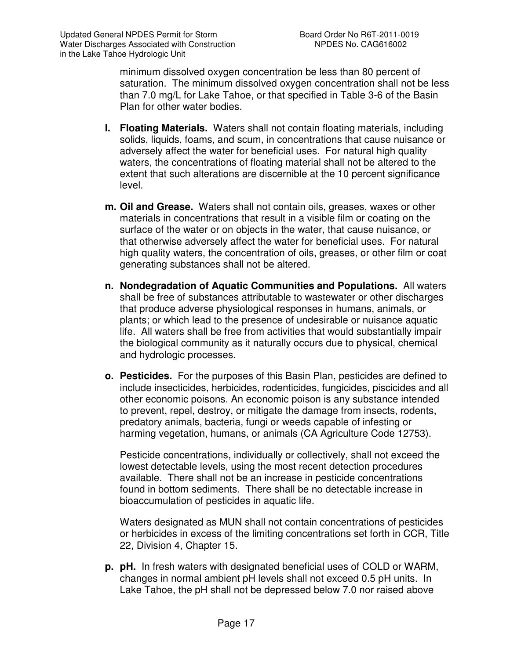minimum dissolved oxygen concentration be less than 80 percent of saturation. The minimum dissolved oxygen concentration shall not be less than 7.0 mg/L for Lake Tahoe, or that specified in Table 3-6 of the Basin Plan for other water bodies.

- **l. Floating Materials.** Waters shall not contain floating materials, including solids, liquids, foams, and scum, in concentrations that cause nuisance or adversely affect the water for beneficial uses. For natural high quality waters, the concentrations of floating material shall not be altered to the extent that such alterations are discernible at the 10 percent significance level.
- **m. Oil and Grease.** Waters shall not contain oils, greases, waxes or other materials in concentrations that result in a visible film or coating on the surface of the water or on objects in the water, that cause nuisance, or that otherwise adversely affect the water for beneficial uses. For natural high quality waters, the concentration of oils, greases, or other film or coat generating substances shall not be altered.
- **n. Nondegradation of Aquatic Communities and Populations.** All waters shall be free of substances attributable to wastewater or other discharges that produce adverse physiological responses in humans, animals, or plants; or which lead to the presence of undesirable or nuisance aquatic life. All waters shall be free from activities that would substantially impair the biological community as it naturally occurs due to physical, chemical and hydrologic processes.
- **o. Pesticides.** For the purposes of this Basin Plan, pesticides are defined to include insecticides, herbicides, rodenticides, fungicides, piscicides and all other economic poisons. An economic poison is any substance intended to prevent, repel, destroy, or mitigate the damage from insects, rodents, predatory animals, bacteria, fungi or weeds capable of infesting or harming vegetation, humans, or animals (CA Agriculture Code 12753).

Pesticide concentrations, individually or collectively, shall not exceed the lowest detectable levels, using the most recent detection procedures available. There shall not be an increase in pesticide concentrations found in bottom sediments. There shall be no detectable increase in bioaccumulation of pesticides in aquatic life.

Waters designated as MUN shall not contain concentrations of pesticides or herbicides in excess of the limiting concentrations set forth in CCR, Title 22, Division 4, Chapter 15.

**p. pH.** In fresh waters with designated beneficial uses of COLD or WARM, changes in normal ambient pH levels shall not exceed 0.5 pH units. In Lake Tahoe, the pH shall not be depressed below 7.0 nor raised above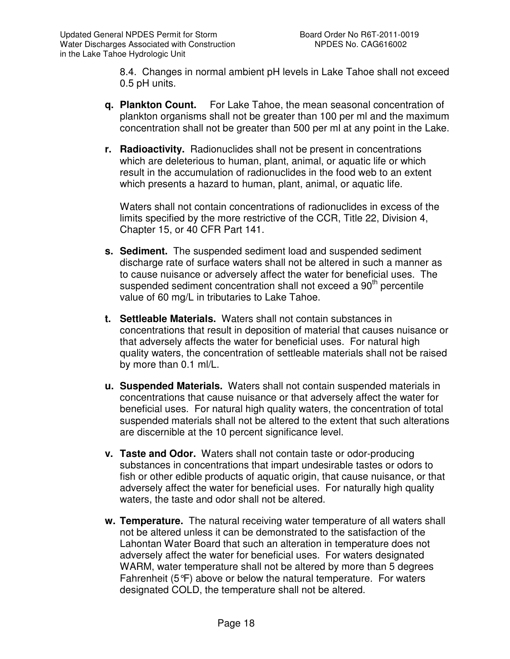8.4. Changes in normal ambient pH levels in Lake Tahoe shall not exceed 0.5 pH units.

- **q. Plankton Count.** For Lake Tahoe, the mean seasonal concentration of plankton organisms shall not be greater than 100 per ml and the maximum concentration shall not be greater than 500 per ml at any point in the Lake.
- **r. Radioactivity.** Radionuclides shall not be present in concentrations which are deleterious to human, plant, animal, or aquatic life or which result in the accumulation of radionuclides in the food web to an extent which presents a hazard to human, plant, animal, or aquatic life.

Waters shall not contain concentrations of radionuclides in excess of the limits specified by the more restrictive of the CCR, Title 22, Division 4, Chapter 15, or 40 CFR Part 141.

- **s. Sediment.** The suspended sediment load and suspended sediment discharge rate of surface waters shall not be altered in such a manner as to cause nuisance or adversely affect the water for beneficial uses. The suspended sediment concentration shall not exceed a 90<sup>th</sup> percentile value of 60 mg/L in tributaries to Lake Tahoe.
- **t. Settleable Materials.** Waters shall not contain substances in concentrations that result in deposition of material that causes nuisance or that adversely affects the water for beneficial uses. For natural high quality waters, the concentration of settleable materials shall not be raised by more than 0.1 ml/L.
- **u. Suspended Materials.** Waters shall not contain suspended materials in concentrations that cause nuisance or that adversely affect the water for beneficial uses. For natural high quality waters, the concentration of total suspended materials shall not be altered to the extent that such alterations are discernible at the 10 percent significance level.
- **v. Taste and Odor.** Waters shall not contain taste or odor-producing substances in concentrations that impart undesirable tastes or odors to fish or other edible products of aquatic origin, that cause nuisance, or that adversely affect the water for beneficial uses. For naturally high quality waters, the taste and odor shall not be altered.
- **w. Temperature.** The natural receiving water temperature of all waters shall not be altered unless it can be demonstrated to the satisfaction of the Lahontan Water Board that such an alteration in temperature does not adversely affect the water for beneficial uses. For waters designated WARM, water temperature shall not be altered by more than 5 degrees Fahrenheit  $(5^{\circ}F)$  above or below the natural temperature. For waters designated COLD, the temperature shall not be altered.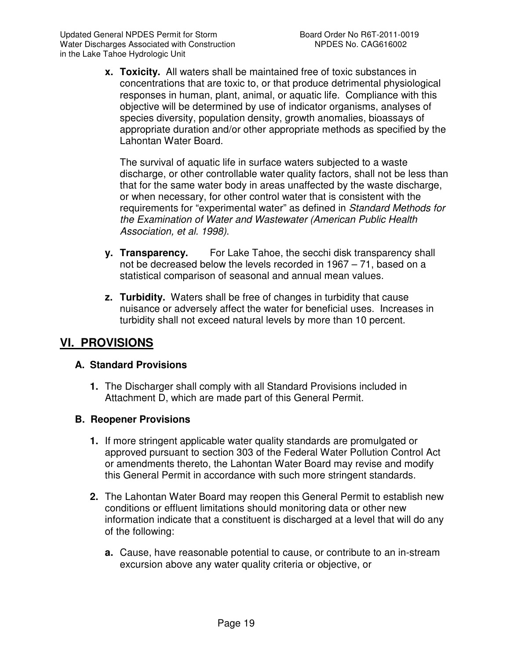**x. Toxicity.** All waters shall be maintained free of toxic substances in concentrations that are toxic to, or that produce detrimental physiological responses in human, plant, animal, or aquatic life. Compliance with this objective will be determined by use of indicator organisms, analyses of species diversity, population density, growth anomalies, bioassays of appropriate duration and/or other appropriate methods as specified by the Lahontan Water Board.

The survival of aquatic life in surface waters subjected to a waste discharge, or other controllable water quality factors, shall not be less than that for the same water body in areas unaffected by the waste discharge, or when necessary, for other control water that is consistent with the requirements for "experimental water" as defined in Standard Methods for the Examination of Water and Wastewater (American Public Health Association, et al. 1998).

- **y. Transparency.** For Lake Tahoe, the secchi disk transparency shall not be decreased below the levels recorded in 1967 – 71, based on a statistical comparison of seasonal and annual mean values.
- **z. Turbidity.** Waters shall be free of changes in turbidity that cause nuisance or adversely affect the water for beneficial uses. Increases in turbidity shall not exceed natural levels by more than 10 percent.

## **VI. PROVISIONS**

## **A. Standard Provisions**

**1.** The Discharger shall comply with all Standard Provisions included in Attachment D, which are made part of this General Permit.

## **B. Reopener Provisions**

- **1.** If more stringent applicable water quality standards are promulgated or approved pursuant to section 303 of the Federal Water Pollution Control Act or amendments thereto, the Lahontan Water Board may revise and modify this General Permit in accordance with such more stringent standards.
- **2.** The Lahontan Water Board may reopen this General Permit to establish new conditions or effluent limitations should monitoring data or other new information indicate that a constituent is discharged at a level that will do any of the following:
	- **a.** Cause, have reasonable potential to cause, or contribute to an in-stream excursion above any water quality criteria or objective, or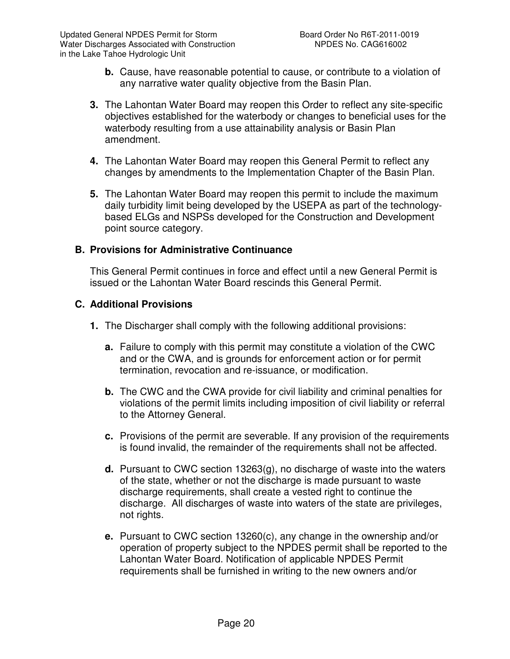- **b.** Cause, have reasonable potential to cause, or contribute to a violation of any narrative water quality objective from the Basin Plan.
- **3.** The Lahontan Water Board may reopen this Order to reflect any site-specific objectives established for the waterbody or changes to beneficial uses for the waterbody resulting from a use attainability analysis or Basin Plan amendment.
- **4.** The Lahontan Water Board may reopen this General Permit to reflect any changes by amendments to the Implementation Chapter of the Basin Plan.
- **5.** The Lahontan Water Board may reopen this permit to include the maximum daily turbidity limit being developed by the USEPA as part of the technologybased ELGs and NSPSs developed for the Construction and Development point source category.

#### **B. Provisions for Administrative Continuance**

This General Permit continues in force and effect until a new General Permit is issued or the Lahontan Water Board rescinds this General Permit.

#### **C. Additional Provisions**

- **1.** The Discharger shall comply with the following additional provisions:
	- **a.** Failure to comply with this permit may constitute a violation of the CWC and or the CWA, and is grounds for enforcement action or for permit termination, revocation and re-issuance, or modification.
	- **b.** The CWC and the CWA provide for civil liability and criminal penalties for violations of the permit limits including imposition of civil liability or referral to the Attorney General.
	- **c.** Provisions of the permit are severable. If any provision of the requirements is found invalid, the remainder of the requirements shall not be affected.
	- **d.** Pursuant to CWC section 13263(g), no discharge of waste into the waters of the state, whether or not the discharge is made pursuant to waste discharge requirements, shall create a vested right to continue the discharge. All discharges of waste into waters of the state are privileges, not rights.
	- **e.** Pursuant to CWC section 13260(c), any change in the ownership and/or operation of property subject to the NPDES permit shall be reported to the Lahontan Water Board. Notification of applicable NPDES Permit requirements shall be furnished in writing to the new owners and/or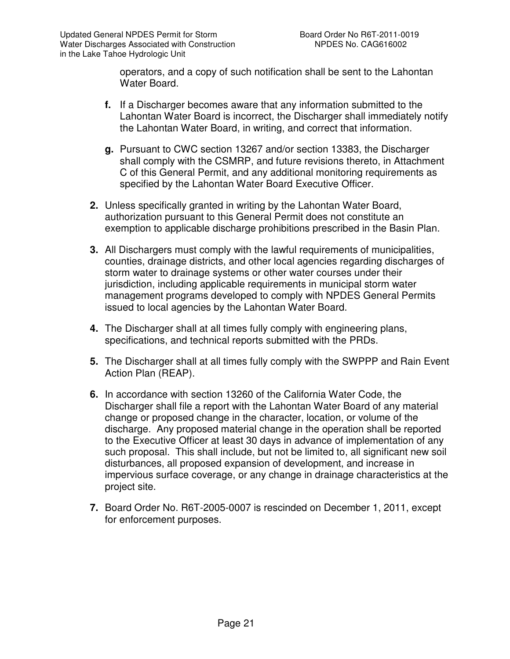operators, and a copy of such notification shall be sent to the Lahontan Water Board.

- **f.** If a Discharger becomes aware that any information submitted to the Lahontan Water Board is incorrect, the Discharger shall immediately notify the Lahontan Water Board, in writing, and correct that information.
- **g.** Pursuant to CWC section 13267 and/or section 13383, the Discharger shall comply with the CSMRP, and future revisions thereto, in Attachment C of this General Permit, and any additional monitoring requirements as specified by the Lahontan Water Board Executive Officer.
- **2.** Unless specifically granted in writing by the Lahontan Water Board, authorization pursuant to this General Permit does not constitute an exemption to applicable discharge prohibitions prescribed in the Basin Plan.
- **3.** All Dischargers must comply with the lawful requirements of municipalities, counties, drainage districts, and other local agencies regarding discharges of storm water to drainage systems or other water courses under their jurisdiction, including applicable requirements in municipal storm water management programs developed to comply with NPDES General Permits issued to local agencies by the Lahontan Water Board.
- **4.** The Discharger shall at all times fully comply with engineering plans, specifications, and technical reports submitted with the PRDs.
- **5.** The Discharger shall at all times fully comply with the SWPPP and Rain Event Action Plan (REAP).
- **6.** In accordance with section 13260 of the California Water Code, the Discharger shall file a report with the Lahontan Water Board of any material change or proposed change in the character, location, or volume of the discharge. Any proposed material change in the operation shall be reported to the Executive Officer at least 30 days in advance of implementation of any such proposal. This shall include, but not be limited to, all significant new soil disturbances, all proposed expansion of development, and increase in impervious surface coverage, or any change in drainage characteristics at the project site.
- **7.** Board Order No. R6T-2005-0007 is rescinded on December 1, 2011, except for enforcement purposes.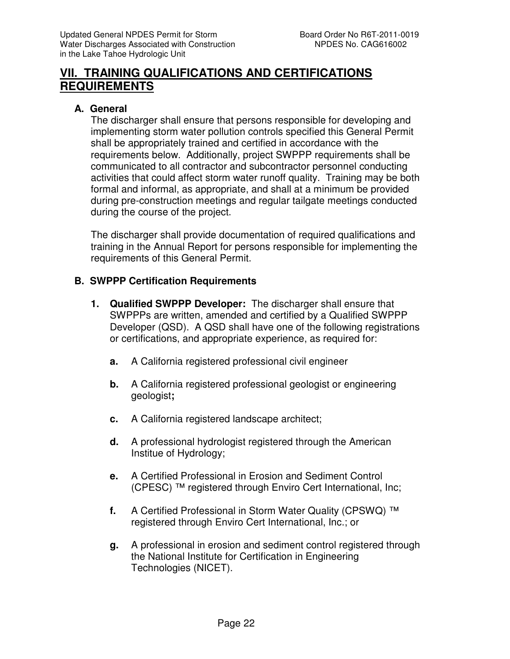## **VII. TRAINING QUALIFICATIONS AND CERTIFICATIONS REQUIREMENTS**

## **A. General**

The discharger shall ensure that persons responsible for developing and implementing storm water pollution controls specified this General Permit shall be appropriately trained and certified in accordance with the requirements below. Additionally, project SWPPP requirements shall be communicated to all contractor and subcontractor personnel conducting activities that could affect storm water runoff quality. Training may be both formal and informal, as appropriate, and shall at a minimum be provided during pre-construction meetings and regular tailgate meetings conducted during the course of the project.

The discharger shall provide documentation of required qualifications and training in the Annual Report for persons responsible for implementing the requirements of this General Permit.

#### **B. SWPPP Certification Requirements**

- **1. Qualified SWPPP Developer:** The discharger shall ensure that SWPPPs are written, amended and certified by a Qualified SWPPP Developer (QSD). A QSD shall have one of the following registrations or certifications, and appropriate experience, as required for:
	- **a.** A California registered professional civil engineer
	- **b.** A California registered professional geologist or engineering geologist**;**
	- **c.** A California registered landscape architect;
	- **d.** A professional hydrologist registered through the American Institue of Hydrology;
	- **e.** A Certified Professional in Erosion and Sediment Control (CPESC) ™ registered through Enviro Cert International, Inc;
	- **f.** A Certified Professional in Storm Water Quality (CPSWQ) ™ registered through Enviro Cert International, Inc.; or
	- **g.** A professional in erosion and sediment control registered through the National Institute for Certification in Engineering Technologies (NICET).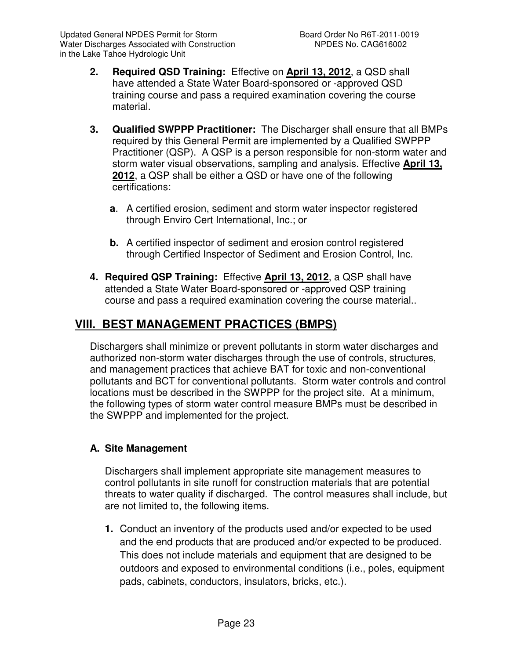- **2. Required QSD Training:** Effective on **April 13, 2012**, a QSD shall have attended a State Water Board-sponsored or -approved QSD training course and pass a required examination covering the course material.
- **3. Qualified SWPPP Practitioner:** The Discharger shall ensure that all BMPs required by this General Permit are implemented by a Qualified SWPPP Practitioner (QSP). A QSP is a person responsible for non-storm water and storm water visual observations, sampling and analysis. Effective **April 13, 2012**, a QSP shall be either a QSD or have one of the following certifications:
	- **a**. A certified erosion, sediment and storm water inspector registered through Enviro Cert International, Inc.; or
	- **b.** A certified inspector of sediment and erosion control registered through Certified Inspector of Sediment and Erosion Control, Inc.
- **4. Required QSP Training:** Effective **April 13, 2012**, a QSP shall have attended a State Water Board-sponsored or -approved QSP training course and pass a required examination covering the course material..

# **VIII. BEST MANAGEMENT PRACTICES (BMPS)**

Dischargers shall minimize or prevent pollutants in storm water discharges and authorized non-storm water discharges through the use of controls, structures, and management practices that achieve BAT for toxic and non-conventional pollutants and BCT for conventional pollutants. Storm water controls and control locations must be described in the SWPPP for the project site. At a minimum, the following types of storm water control measure BMPs must be described in the SWPPP and implemented for the project.

## **A. Site Management**

Dischargers shall implement appropriate site management measures to control pollutants in site runoff for construction materials that are potential threats to water quality if discharged. The control measures shall include, but are not limited to, the following items.

**1.** Conduct an inventory of the products used and/or expected to be used and the end products that are produced and/or expected to be produced. This does not include materials and equipment that are designed to be outdoors and exposed to environmental conditions (i.e., poles, equipment pads, cabinets, conductors, insulators, bricks, etc.).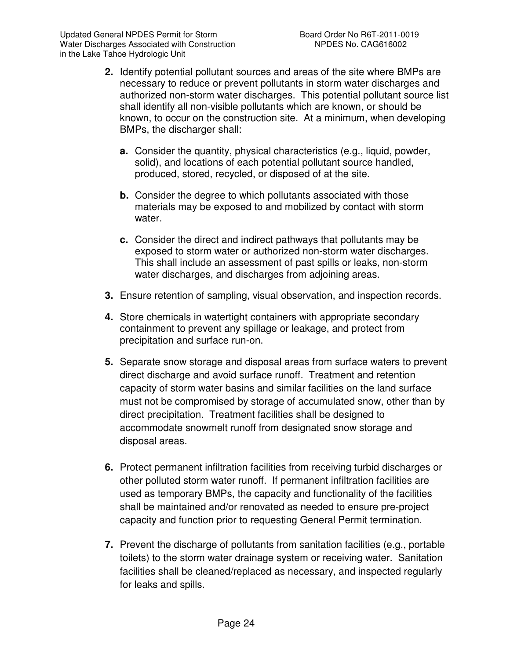- **2.** Identify potential pollutant sources and areas of the site where BMPs are necessary to reduce or prevent pollutants in storm water discharges and authorized non-storm water discharges. This potential pollutant source list shall identify all non-visible pollutants which are known, or should be known, to occur on the construction site. At a minimum, when developing BMPs, the discharger shall:
	- **a.** Consider the quantity, physical characteristics (e.g., liquid, powder, solid), and locations of each potential pollutant source handled, produced, stored, recycled, or disposed of at the site.
	- **b.** Consider the degree to which pollutants associated with those materials may be exposed to and mobilized by contact with storm water.
	- **c.** Consider the direct and indirect pathways that pollutants may be exposed to storm water or authorized non-storm water discharges. This shall include an assessment of past spills or leaks, non-storm water discharges, and discharges from adjoining areas.
- **3.** Ensure retention of sampling, visual observation, and inspection records.
- **4.** Store chemicals in watertight containers with appropriate secondary containment to prevent any spillage or leakage, and protect from precipitation and surface run-on.
- **5.** Separate snow storage and disposal areas from surface waters to prevent direct discharge and avoid surface runoff. Treatment and retention capacity of storm water basins and similar facilities on the land surface must not be compromised by storage of accumulated snow, other than by direct precipitation. Treatment facilities shall be designed to accommodate snowmelt runoff from designated snow storage and disposal areas.
- **6.** Protect permanent infiltration facilities from receiving turbid discharges or other polluted storm water runoff. If permanent infiltration facilities are used as temporary BMPs, the capacity and functionality of the facilities shall be maintained and/or renovated as needed to ensure pre-project capacity and function prior to requesting General Permit termination.
- **7.** Prevent the discharge of pollutants from sanitation facilities (e.g., portable toilets) to the storm water drainage system or receiving water. Sanitation facilities shall be cleaned/replaced as necessary, and inspected regularly for leaks and spills.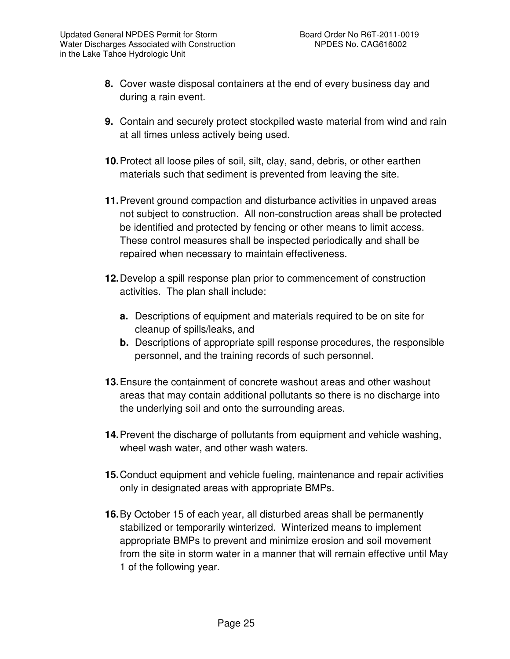- **8.** Cover waste disposal containers at the end of every business day and during a rain event.
- **9.** Contain and securely protect stockpiled waste material from wind and rain at all times unless actively being used.
- **10.** Protect all loose piles of soil, silt, clay, sand, debris, or other earthen materials such that sediment is prevented from leaving the site.
- **11.** Prevent ground compaction and disturbance activities in unpaved areas not subject to construction. All non-construction areas shall be protected be identified and protected by fencing or other means to limit access. These control measures shall be inspected periodically and shall be repaired when necessary to maintain effectiveness.
- **12.** Develop a spill response plan prior to commencement of construction activities. The plan shall include:
	- **a.** Descriptions of equipment and materials required to be on site for cleanup of spills/leaks, and
	- **b.** Descriptions of appropriate spill response procedures, the responsible personnel, and the training records of such personnel.
- **13.** Ensure the containment of concrete washout areas and other washout areas that may contain additional pollutants so there is no discharge into the underlying soil and onto the surrounding areas.
- **14.** Prevent the discharge of pollutants from equipment and vehicle washing, wheel wash water, and other wash waters.
- **15.** Conduct equipment and vehicle fueling, maintenance and repair activities only in designated areas with appropriate BMPs.
- **16.** By October 15 of each year, all disturbed areas shall be permanently stabilized or temporarily winterized. Winterized means to implement appropriate BMPs to prevent and minimize erosion and soil movement from the site in storm water in a manner that will remain effective until May 1 of the following year.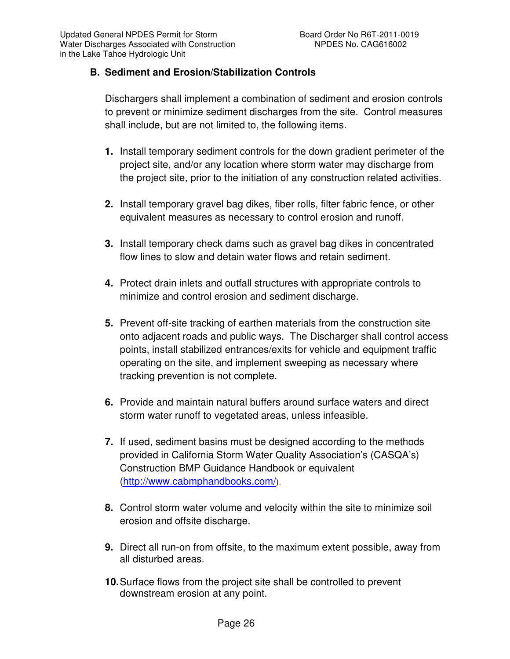## **B. Sediment and Erosion/Stabilization Controls**

Dischargers shall implement a combination of sediment and erosion controls to prevent or minimize sediment discharges from the site. Control measures shall include, but are not limited to, the following items.

- **1.** Install temporary sediment controls for the down gradient perimeter of the project site, and/or any location where storm water may discharge from the project site, prior to the initiation of any construction related activities.
- **2.** Install temporary gravel bag dikes, fiber rolls, filter fabric fence, or other equivalent measures as necessary to control erosion and runoff.
- **3.** Install temporary check dams such as gravel bag dikes in concentrated flow lines to slow and detain water flows and retain sediment.
- **4.** Protect drain inlets and outfall structures with appropriate controls to minimize and control erosion and sediment discharge.
- **5.** Prevent off-site tracking of earthen materials from the construction site onto adjacent roads and public ways. The Discharger shall control access points, install stabilized entrances/exits for vehicle and equipment traffic operating on the site, and implement sweeping as necessary where tracking prevention is not complete.
- **6.** Provide and maintain natural buffers around surface waters and direct storm water runoff to vegetated areas, unless infeasible.
- **7.** If used, sediment basins must be designed according to the methods provided in California Storm Water Quality Association's (CASQA's) Construction BMP Guidance Handbook or equivalent (http://www.cabmphandbooks.com/).
- **8.** Control storm water volume and velocity within the site to minimize soil erosion and offsite discharge.
- **9.** Direct all run-on from offsite, to the maximum extent possible, away from all disturbed areas.
- **10.** Surface flows from the project site shall be controlled to prevent downstream erosion at any point.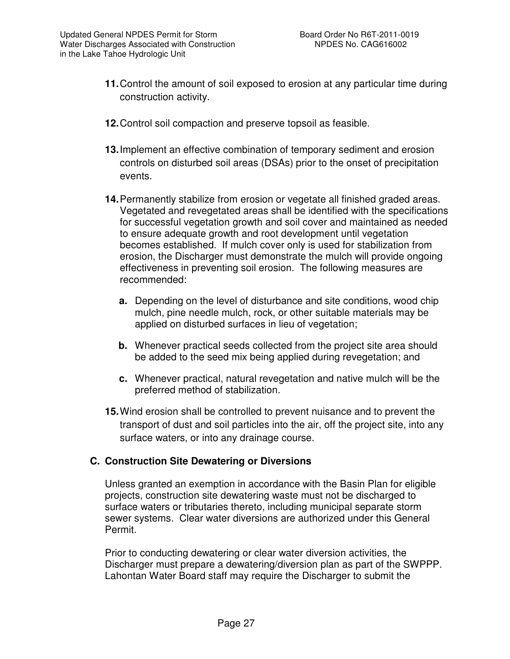- **11.** Control the amount of soil exposed to erosion at any particular time during construction activity.
- **12.** Control soil compaction and preserve topsoil as feasible.
- **13.** Implement an effective combination of temporary sediment and erosion controls on disturbed soil areas (DSAs) prior to the onset of precipitation events.
- **14.** Permanently stabilize from erosion or vegetate all finished graded areas. Vegetated and revegetated areas shall be identified with the specifications for successful vegetation growth and soil cover and maintained as needed to ensure adequate growth and root development until vegetation becomes established. If mulch cover only is used for stabilization from erosion, the Discharger must demonstrate the mulch will provide ongoing effectiveness in preventing soil erosion. The following measures are recommended:
	- **a.** Depending on the level of disturbance and site conditions, wood chip mulch, pine needle mulch, rock, or other suitable materials may be applied on disturbed surfaces in lieu of vegetation;
	- **b.** Whenever practical seeds collected from the project site area should be added to the seed mix being applied during revegetation; and
	- **c.** Whenever practical, natural revegetation and native mulch will be the preferred method of stabilization.
- **15.** Wind erosion shall be controlled to prevent nuisance and to prevent the transport of dust and soil particles into the air, off the project site, into any surface waters, or into any drainage course.

#### **C. Construction Site Dewatering or Diversions**

Unless granted an exemption in accordance with the Basin Plan for eligible projects, construction site dewatering waste must not be discharged to surface waters or tributaries thereto, including municipal separate storm sewer systems. Clear water diversions are authorized under this General Permit.

Prior to conducting dewatering or clear water diversion activities, the Discharger must prepare a dewatering/diversion plan as part of the SWPPP. Lahontan Water Board staff may require the Discharger to submit the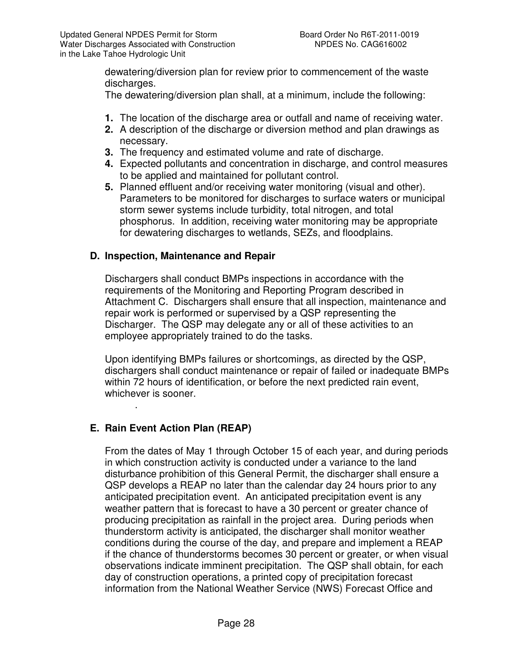dewatering/diversion plan for review prior to commencement of the waste discharges.

The dewatering/diversion plan shall, at a minimum, include the following:

- **1.** The location of the discharge area or outfall and name of receiving water.
- **2.** A description of the discharge or diversion method and plan drawings as necessary.
- **3.** The frequency and estimated volume and rate of discharge.
- **4.** Expected pollutants and concentration in discharge, and control measures to be applied and maintained for pollutant control.
- **5.** Planned effluent and/or receiving water monitoring (visual and other). Parameters to be monitored for discharges to surface waters or municipal storm sewer systems include turbidity, total nitrogen, and total phosphorus. In addition, receiving water monitoring may be appropriate for dewatering discharges to wetlands, SEZs, and floodplains.

## **D. Inspection, Maintenance and Repair**

Dischargers shall conduct BMPs inspections in accordance with the requirements of the Monitoring and Reporting Program described in Attachment C. Dischargers shall ensure that all inspection, maintenance and repair work is performed or supervised by a QSP representing the Discharger. The QSP may delegate any or all of these activities to an employee appropriately trained to do the tasks.

Upon identifying BMPs failures or shortcomings, as directed by the QSP, dischargers shall conduct maintenance or repair of failed or inadequate BMPs within 72 hours of identification, or before the next predicted rain event, whichever is sooner.

## **E. Rain Event Action Plan (REAP)**

.

From the dates of May 1 through October 15 of each year, and during periods in which construction activity is conducted under a variance to the land disturbance prohibition of this General Permit, the discharger shall ensure a QSP develops a REAP no later than the calendar day 24 hours prior to any anticipated precipitation event. An anticipated precipitation event is any weather pattern that is forecast to have a 30 percent or greater chance of producing precipitation as rainfall in the project area. During periods when thunderstorm activity is anticipated, the discharger shall monitor weather conditions during the course of the day, and prepare and implement a REAP if the chance of thunderstorms becomes 30 percent or greater, or when visual observations indicate imminent precipitation. The QSP shall obtain, for each day of construction operations, a printed copy of precipitation forecast information from the National Weather Service (NWS) Forecast Office and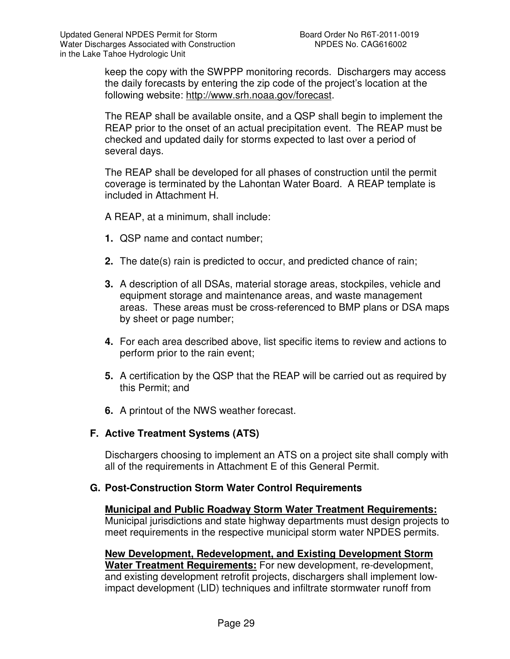keep the copy with the SWPPP monitoring records. Dischargers may access the daily forecasts by entering the zip code of the project's location at the following website: http://www.srh.noaa.gov/forecast.

The REAP shall be available onsite, and a QSP shall begin to implement the REAP prior to the onset of an actual precipitation event. The REAP must be checked and updated daily for storms expected to last over a period of several days.

The REAP shall be developed for all phases of construction until the permit coverage is terminated by the Lahontan Water Board. A REAP template is included in Attachment H.

A REAP, at a minimum, shall include:

- **1.** QSP name and contact number;
- **2.** The date(s) rain is predicted to occur, and predicted chance of rain;
- **3.** A description of all DSAs, material storage areas, stockpiles, vehicle and equipment storage and maintenance areas, and waste management areas. These areas must be cross-referenced to BMP plans or DSA maps by sheet or page number;
- **4.** For each area described above, list specific items to review and actions to perform prior to the rain event;
- **5.** A certification by the QSP that the REAP will be carried out as required by this Permit; and
- **6.** A printout of the NWS weather forecast.

#### **F. Active Treatment Systems (ATS)**

Dischargers choosing to implement an ATS on a project site shall comply with all of the requirements in Attachment E of this General Permit.

#### **G. Post-Construction Storm Water Control Requirements**

**Municipal and Public Roadway Storm Water Treatment Requirements:** Municipal jurisdictions and state highway departments must design projects to meet requirements in the respective municipal storm water NPDES permits.

**New Development, Redevelopment, and Existing Development Storm Water Treatment Requirements:** For new development, re-development, and existing development retrofit projects, dischargers shall implement lowimpact development (LID) techniques and infiltrate stormwater runoff from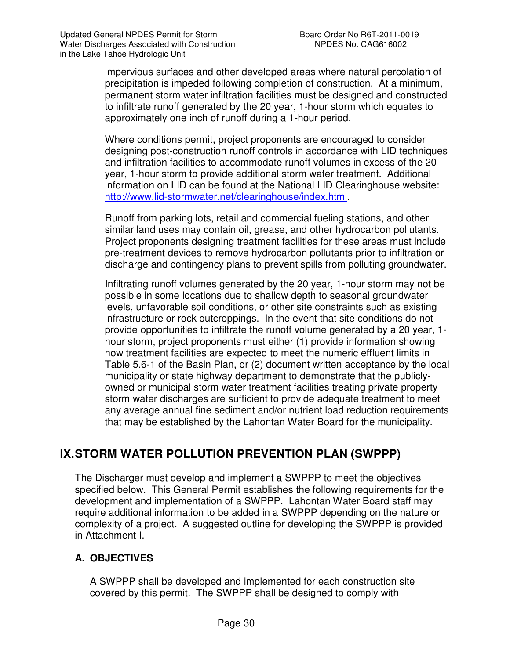impervious surfaces and other developed areas where natural percolation of precipitation is impeded following completion of construction. At a minimum, permanent storm water infiltration facilities must be designed and constructed to infiltrate runoff generated by the 20 year, 1-hour storm which equates to approximately one inch of runoff during a 1-hour period.

Where conditions permit, project proponents are encouraged to consider designing post-construction runoff controls in accordance with LID techniques and infiltration facilities to accommodate runoff volumes in excess of the 20 year, 1-hour storm to provide additional storm water treatment. Additional information on LID can be found at the National LID Clearinghouse website: http://www.lid-stormwater.net/clearinghouse/index.html.

Runoff from parking lots, retail and commercial fueling stations, and other similar land uses may contain oil, grease, and other hydrocarbon pollutants. Project proponents designing treatment facilities for these areas must include pre-treatment devices to remove hydrocarbon pollutants prior to infiltration or discharge and contingency plans to prevent spills from polluting groundwater.

Infiltrating runoff volumes generated by the 20 year, 1-hour storm may not be possible in some locations due to shallow depth to seasonal groundwater levels, unfavorable soil conditions, or other site constraints such as existing infrastructure or rock outcroppings. In the event that site conditions do not provide opportunities to infiltrate the runoff volume generated by a 20 year, 1 hour storm, project proponents must either (1) provide information showing how treatment facilities are expected to meet the numeric effluent limits in Table 5.6-1 of the Basin Plan, or (2) document written acceptance by the local municipality or state highway department to demonstrate that the publiclyowned or municipal storm water treatment facilities treating private property storm water discharges are sufficient to provide adequate treatment to meet any average annual fine sediment and/or nutrient load reduction requirements that may be established by the Lahontan Water Board for the municipality.

# **IX. STORM WATER POLLUTION PREVENTION PLAN (SWPPP)**

The Discharger must develop and implement a SWPPP to meet the objectives specified below. This General Permit establishes the following requirements for the development and implementation of a SWPPP. Lahontan Water Board staff may require additional information to be added in a SWPPP depending on the nature or complexity of a project. A suggested outline for developing the SWPPP is provided in Attachment I.

## **A. OBJECTIVES**

A SWPPP shall be developed and implemented for each construction site covered by this permit. The SWPPP shall be designed to comply with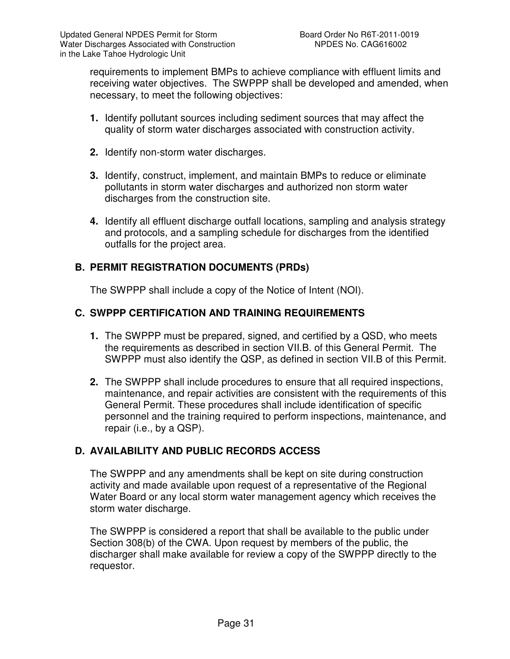requirements to implement BMPs to achieve compliance with effluent limits and receiving water objectives. The SWPPP shall be developed and amended, when necessary, to meet the following objectives:

- **1.** Identify pollutant sources including sediment sources that may affect the quality of storm water discharges associated with construction activity.
- **2.** Identify non-storm water discharges.
- **3.** Identify, construct, implement, and maintain BMPs to reduce or eliminate pollutants in storm water discharges and authorized non storm water discharges from the construction site.
- **4.** Identify all effluent discharge outfall locations, sampling and analysis strategy and protocols, and a sampling schedule for discharges from the identified outfalls for the project area.

## **B. PERMIT REGISTRATION DOCUMENTS (PRDs)**

The SWPPP shall include a copy of the Notice of Intent (NOI).

## **C. SWPPP CERTIFICATION AND TRAINING REQUIREMENTS**

- **1.** The SWPPP must be prepared, signed, and certified by a QSD, who meets the requirements as described in section VII.B. of this General Permit. The SWPPP must also identify the QSP, as defined in section VII.B of this Permit.
- **2.** The SWPPP shall include procedures to ensure that all required inspections, maintenance, and repair activities are consistent with the requirements of this General Permit. These procedures shall include identification of specific personnel and the training required to perform inspections, maintenance, and repair (i.e., by a QSP).

## **D. AVAILABILITY AND PUBLIC RECORDS ACCESS**

The SWPPP and any amendments shall be kept on site during construction activity and made available upon request of a representative of the Regional Water Board or any local storm water management agency which receives the storm water discharge.

The SWPPP is considered a report that shall be available to the public under Section 308(b) of the CWA. Upon request by members of the public, the discharger shall make available for review a copy of the SWPPP directly to the requestor.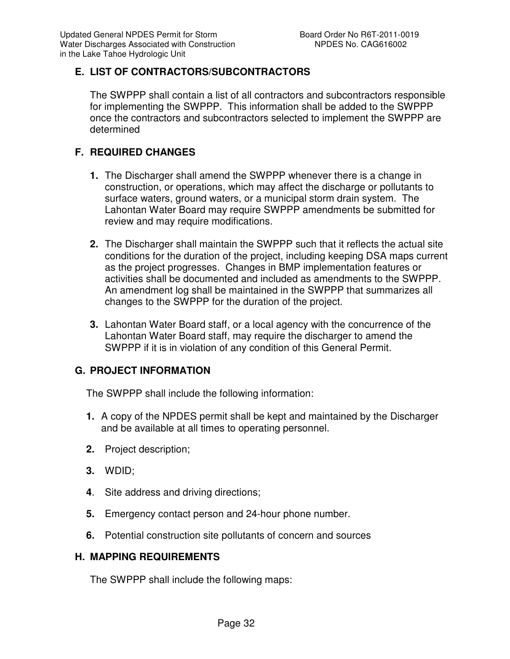## **E. LIST OF CONTRACTORS/SUBCONTRACTORS**

The SWPPP shall contain a list of all contractors and subcontractors responsible for implementing the SWPPP. This information shall be added to the SWPPP once the contractors and subcontractors selected to implement the SWPPP are determined

## **F. REQUIRED CHANGES**

- **1.** The Discharger shall amend the SWPPP whenever there is a change in construction, or operations, which may affect the discharge or pollutants to surface waters, ground waters, or a municipal storm drain system. The Lahontan Water Board may require SWPPP amendments be submitted for review and may require modifications.
- **2.** The Discharger shall maintain the SWPPP such that it reflects the actual site conditions for the duration of the project, including keeping DSA maps current as the project progresses. Changes in BMP implementation features or activities shall be documented and included as amendments to the SWPPP. An amendment log shall be maintained in the SWPPP that summarizes all changes to the SWPPP for the duration of the project.
- **3.** Lahontan Water Board staff, or a local agency with the concurrence of the Lahontan Water Board staff, may require the discharger to amend the SWPPP if it is in violation of any condition of this General Permit.

## **G. PROJECT INFORMATION**

The SWPPP shall include the following information:

- **1.** A copy of the NPDES permit shall be kept and maintained by the Discharger and be available at all times to operating personnel.
- **2.** Project description;
- **3.** WDID;
- **4**. Site address and driving directions;
- **5.** Emergency contact person and 24-hour phone number.
- **6.** Potential construction site pollutants of concern and sources

#### **H. MAPPING REQUIREMENTS**

The SWPPP shall include the following maps: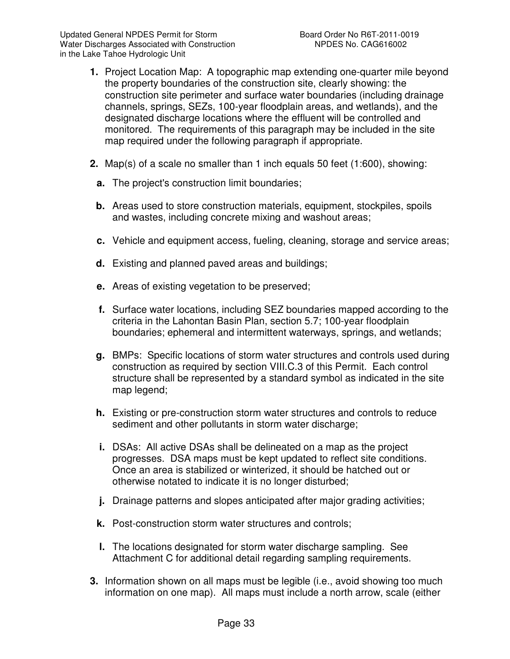- **1.** Project Location Map: A topographic map extending one-quarter mile beyond the property boundaries of the construction site, clearly showing: the construction site perimeter and surface water boundaries (including drainage channels, springs, SEZs, 100-year floodplain areas, and wetlands), and the designated discharge locations where the effluent will be controlled and monitored. The requirements of this paragraph may be included in the site map required under the following paragraph if appropriate.
- **2.** Map(s) of a scale no smaller than 1 inch equals 50 feet (1:600), showing:
	- **a.** The project's construction limit boundaries;
	- **b.** Areas used to store construction materials, equipment, stockpiles, spoils and wastes, including concrete mixing and washout areas;
	- **c.** Vehicle and equipment access, fueling, cleaning, storage and service areas;
	- **d.** Existing and planned paved areas and buildings;
	- **e.** Areas of existing vegetation to be preserved;
	- **f.** Surface water locations, including SEZ boundaries mapped according to the criteria in the Lahontan Basin Plan, section 5.7; 100-year floodplain boundaries; ephemeral and intermittent waterways, springs, and wetlands;
	- **g.** BMPs: Specific locations of storm water structures and controls used during construction as required by section VIII.C.3 of this Permit. Each control structure shall be represented by a standard symbol as indicated in the site map legend;
	- **h.** Existing or pre-construction storm water structures and controls to reduce sediment and other pollutants in storm water discharge;
	- **i.** DSAs: All active DSAs shall be delineated on a map as the project progresses. DSA maps must be kept updated to reflect site conditions. Once an area is stabilized or winterized, it should be hatched out or otherwise notated to indicate it is no longer disturbed;
	- **j.** Drainage patterns and slopes anticipated after major grading activities;
	- **k.** Post-construction storm water structures and controls;
	- **l.** The locations designated for storm water discharge sampling. See Attachment C for additional detail regarding sampling requirements.
- **3.** Information shown on all maps must be legible (i.e., avoid showing too much information on one map). All maps must include a north arrow, scale (either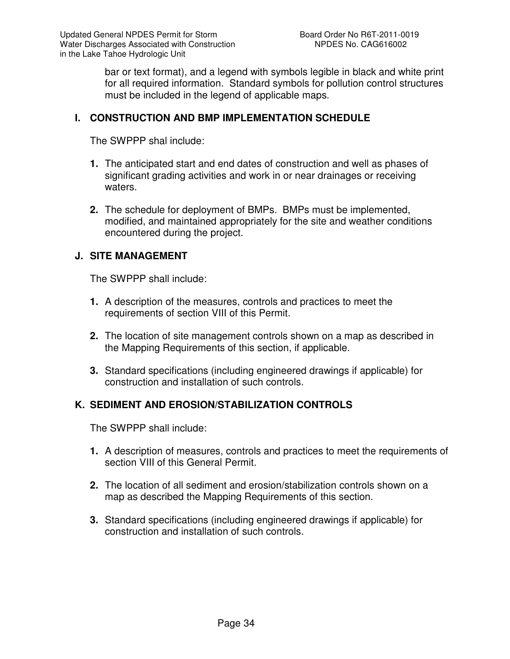bar or text format), and a legend with symbols legible in black and white print for all required information. Standard symbols for pollution control structures must be included in the legend of applicable maps.

#### **I. CONSTRUCTION AND BMP IMPLEMENTATION SCHEDULE**

The SWPPP shal include:

- **1.** The anticipated start and end dates of construction and well as phases of significant grading activities and work in or near drainages or receiving waters.
- **2.** The schedule for deployment of BMPs. BMPs must be implemented, modified, and maintained appropriately for the site and weather conditions encountered during the project.

#### **J. SITE MANAGEMENT**

The SWPPP shall include:

- **1.** A description of the measures, controls and practices to meet the requirements of section VIII of this Permit.
- **2.** The location of site management controls shown on a map as described in the Mapping Requirements of this section, if applicable.
- **3.** Standard specifications (including engineered drawings if applicable) for construction and installation of such controls.

#### **K. SEDIMENT AND EROSION/STABILIZATION CONTROLS**

The SWPPP shall include:

- **1.** A description of measures, controls and practices to meet the requirements of section VIII of this General Permit.
- **2.** The location of all sediment and erosion/stabilization controls shown on a map as described the Mapping Requirements of this section.
- **3.** Standard specifications (including engineered drawings if applicable) for construction and installation of such controls.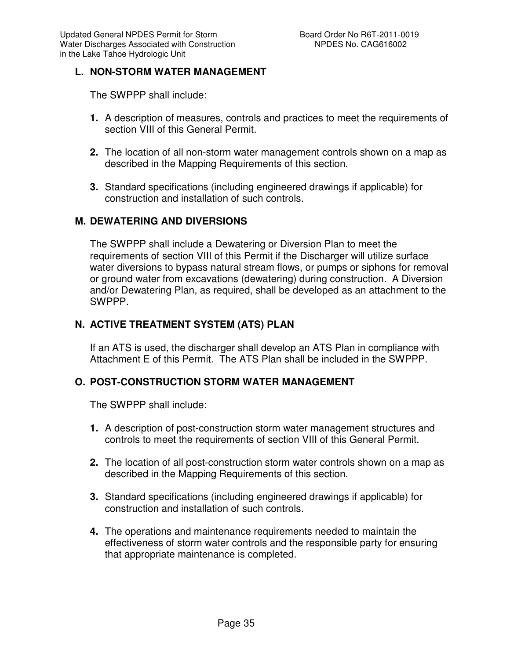# **L. NON-STORM WATER MANAGEMENT**

The SWPPP shall include:

- **1.** A description of measures, controls and practices to meet the requirements of section VIII of this General Permit.
- **2.** The location of all non-storm water management controls shown on a map as described in the Mapping Requirements of this section.
- **3.** Standard specifications (including engineered drawings if applicable) for construction and installation of such controls.

#### **M. DEWATERING AND DIVERSIONS**

The SWPPP shall include a Dewatering or Diversion Plan to meet the requirements of section VIII of this Permit if the Discharger will utilize surface water diversions to bypass natural stream flows, or pumps or siphons for removal or ground water from excavations (dewatering) during construction. A Diversion and/or Dewatering Plan, as required, shall be developed as an attachment to the SWPPP.

# **N. ACTIVE TREATMENT SYSTEM (ATS) PLAN**

If an ATS is used, the discharger shall develop an ATS Plan in compliance with Attachment E of this Permit. The ATS Plan shall be included in the SWPPP.

### **O. POST-CONSTRUCTION STORM WATER MANAGEMENT**

The SWPPP shall include:

- **1.** A description of post-construction storm water management structures and controls to meet the requirements of section VIII of this General Permit.
- **2.** The location of all post-construction storm water controls shown on a map as described in the Mapping Requirements of this section.
- **3.** Standard specifications (including engineered drawings if applicable) for construction and installation of such controls.
- **4.** The operations and maintenance requirements needed to maintain the effectiveness of storm water controls and the responsible party for ensuring that appropriate maintenance is completed.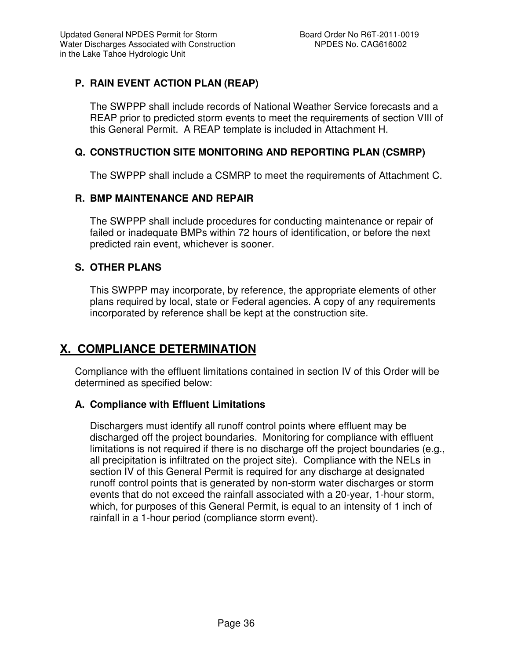# **P. RAIN EVENT ACTION PLAN (REAP)**

The SWPPP shall include records of National Weather Service forecasts and a REAP prior to predicted storm events to meet the requirements of section VIII of this General Permit. A REAP template is included in Attachment H.

# **Q. CONSTRUCTION SITE MONITORING AND REPORTING PLAN (CSMRP)**

The SWPPP shall include a CSMRP to meet the requirements of Attachment C.

# **R. BMP MAINTENANCE AND REPAIR**

The SWPPP shall include procedures for conducting maintenance or repair of failed or inadequate BMPs within 72 hours of identification, or before the next predicted rain event, whichever is sooner.

# **S. OTHER PLANS**

This SWPPP may incorporate, by reference, the appropriate elements of other plans required by local, state or Federal agencies. A copy of any requirements incorporated by reference shall be kept at the construction site.

# **X. COMPLIANCE DETERMINATION**

Compliance with the effluent limitations contained in section IV of this Order will be determined as specified below:

#### **A. Compliance with Effluent Limitations**

Dischargers must identify all runoff control points where effluent may be discharged off the project boundaries. Monitoring for compliance with effluent limitations is not required if there is no discharge off the project boundaries (e.g., all precipitation is infiltrated on the project site). Compliance with the NELs in section IV of this General Permit is required for any discharge at designated runoff control points that is generated by non-storm water discharges or storm events that do not exceed the rainfall associated with a 20-year, 1-hour storm, which, for purposes of this General Permit, is equal to an intensity of 1 inch of rainfall in a 1-hour period (compliance storm event).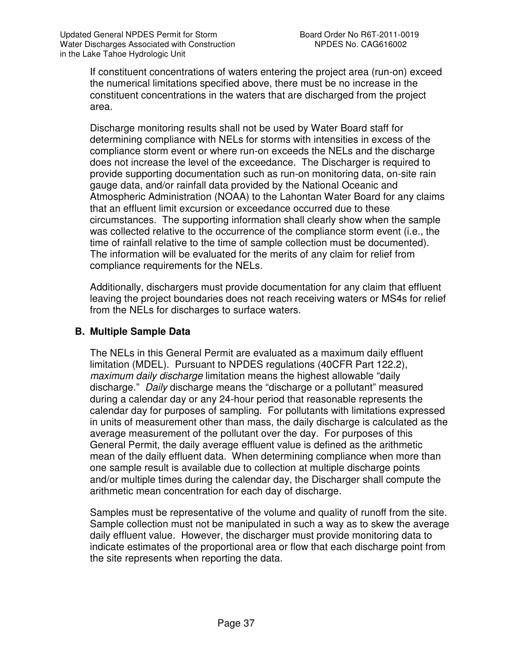If constituent concentrations of waters entering the project area (run-on) exceed the numerical limitations specified above, there must be no increase in the constituent concentrations in the waters that are discharged from the project area.

Discharge monitoring results shall not be used by Water Board staff for determining compliance with NELs for storms with intensities in excess of the compliance storm event or where run-on exceeds the NELs and the discharge does not increase the level of the exceedance. The Discharger is required to provide supporting documentation such as run-on monitoring data, on-site rain gauge data, and/or rainfall data provided by the National Oceanic and Atmospheric Administration (NOAA) to the Lahontan Water Board for any claims that an effluent limit excursion or exceedance occurred due to these circumstances. The supporting information shall clearly show when the sample was collected relative to the occurrence of the compliance storm event (i.e., the time of rainfall relative to the time of sample collection must be documented). The information will be evaluated for the merits of any claim for relief from compliance requirements for the NELs.

Additionally, dischargers must provide documentation for any claim that effluent leaving the project boundaries does not reach receiving waters or MS4s for relief from the NELs for discharges to surface waters.

# **B. Multiple Sample Data**

The NELs in this General Permit are evaluated as a maximum daily effluent limitation (MDEL). Pursuant to NPDES regulations (40CFR Part 122.2), maximum daily discharge limitation means the highest allowable "daily discharge." Daily discharge means the "discharge or a pollutant" measured during a calendar day or any 24-hour period that reasonable represents the calendar day for purposes of sampling. For pollutants with limitations expressed in units of measurement other than mass, the daily discharge is calculated as the average measurement of the pollutant over the day. For purposes of this General Permit, the daily average effluent value is defined as the arithmetic mean of the daily effluent data. When determining compliance when more than one sample result is available due to collection at multiple discharge points and/or multiple times during the calendar day, the Discharger shall compute the arithmetic mean concentration for each day of discharge.

Samples must be representative of the volume and quality of runoff from the site. Sample collection must not be manipulated in such a way as to skew the average daily effluent value. However, the discharger must provide monitoring data to indicate estimates of the proportional area or flow that each discharge point from the site represents when reporting the data.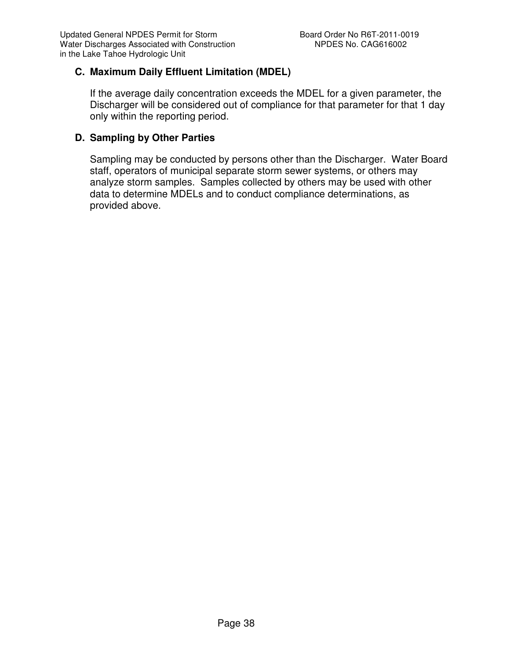# **C. Maximum Daily Effluent Limitation (MDEL)**

If the average daily concentration exceeds the MDEL for a given parameter, the Discharger will be considered out of compliance for that parameter for that 1 day only within the reporting period.

# **D. Sampling by Other Parties**

Sampling may be conducted by persons other than the Discharger. Water Board staff, operators of municipal separate storm sewer systems, or others may analyze storm samples. Samples collected by others may be used with other data to determine MDELs and to conduct compliance determinations, as provided above.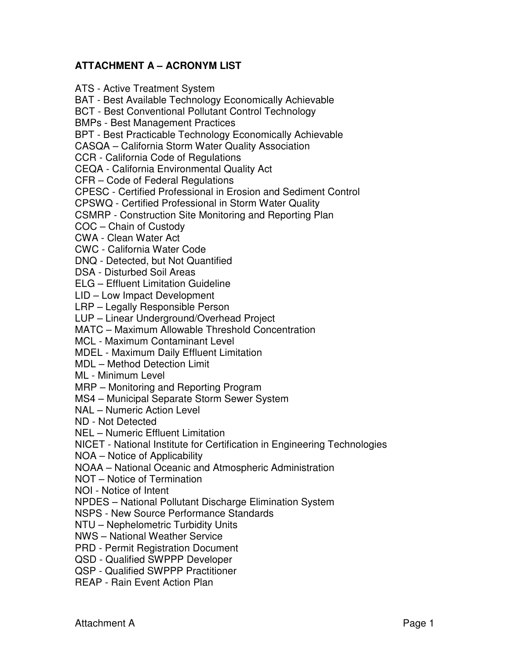# **ATTACHMENT A – ACRONYM LIST**

ATS - Active Treatment System BAT - Best Available Technology Economically Achievable BCT - Best Conventional Pollutant Control Technology BMPs - Best Management Practices BPT - Best Practicable Technology Economically Achievable CASQA – California Storm Water Quality Association CCR - California Code of Regulations CEQA - California Environmental Quality Act CFR – Code of Federal Regulations CPESC - Certified Professional in Erosion and Sediment Control CPSWQ - Certified Professional in Storm Water Quality CSMRP - Construction Site Monitoring and Reporting Plan COC – Chain of Custody CWA - Clean Water Act CWC - California Water Code DNQ - Detected, but Not Quantified DSA - Disturbed Soil Areas ELG – Effluent Limitation Guideline LID – Low Impact Development LRP – Legally Responsible Person LUP – Linear Underground/Overhead Project MATC – Maximum Allowable Threshold Concentration MCL - Maximum Contaminant Level MDEL - Maximum Daily Effluent Limitation MDL – Method Detection Limit ML - Minimum Level MRP – Monitoring and Reporting Program MS4 – Municipal Separate Storm Sewer System NAL – Numeric Action Level ND - Not Detected

NEL – Numeric Effluent Limitation

NICET - National Institute for Certification in Engineering Technologies

NOA – Notice of Applicability

NOAA – National Oceanic and Atmospheric Administration

NOT – Notice of Termination

NOI - Notice of Intent

NPDES – National Pollutant Discharge Elimination System

NSPS - New Source Performance Standards

NTU – Nephelometric Turbidity Units

NWS – National Weather Service

PRD - Permit Registration Document

QSD - Qualified SWPPP Developer

QSP - Qualified SWPPP Practitioner

REAP - Rain Event Action Plan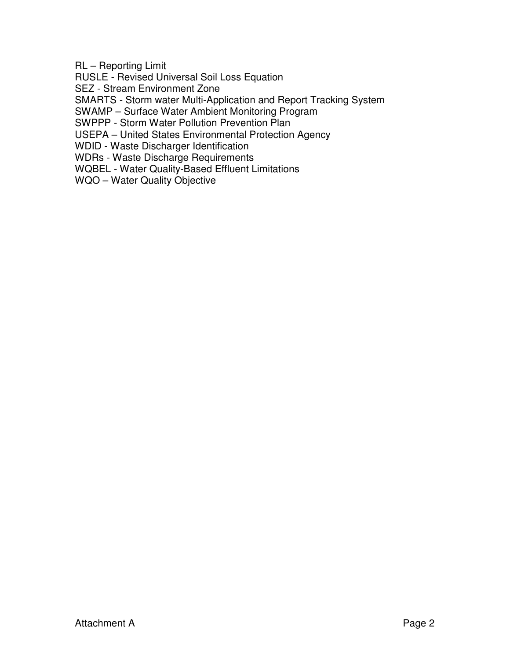RL – Reporting Limit

RUSLE - Revised Universal Soil Loss Equation

SEZ - Stream Environment Zone

SMARTS - Storm water Multi-Application and Report Tracking System

SWAMP – Surface Water Ambient Monitoring Program

SWPPP - Storm Water Pollution Prevention Plan

USEPA – United States Environmental Protection Agency

WDID - Waste Discharger Identification

WDRs - Waste Discharge Requirements

WQBEL - Water Quality-Based Effluent Limitations

WQO – Water Quality Objective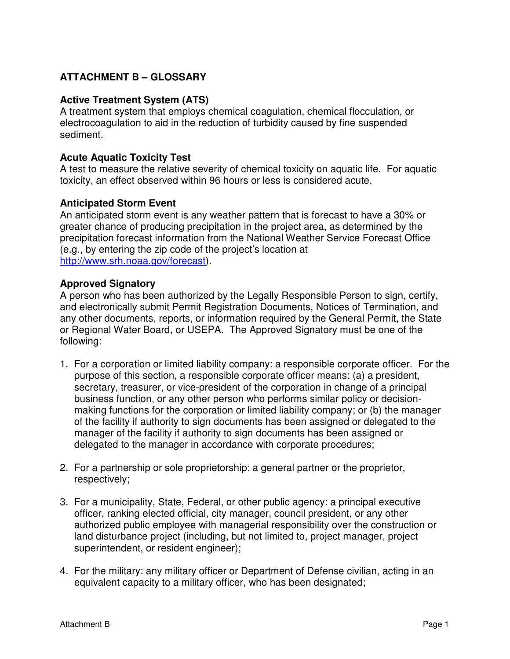# **ATTACHMENT B – GLOSSARY**

# **Active Treatment System (ATS)**

A treatment system that employs chemical coagulation, chemical flocculation, or electrocoagulation to aid in the reduction of turbidity caused by fine suspended sediment.

### **Acute Aquatic Toxicity Test**

A test to measure the relative severity of chemical toxicity on aquatic life. For aquatic toxicity, an effect observed within 96 hours or less is considered acute.

# **Anticipated Storm Event**

An anticipated storm event is any weather pattern that is forecast to have a 30% or greater chance of producing precipitation in the project area, as determined by the precipitation forecast information from the National Weather Service Forecast Office (e.g., by entering the zip code of the project's location at http://www.srh.noaa.gov/forecast).

# **Approved Signatory**

A person who has been authorized by the Legally Responsible Person to sign, certify, and electronically submit Permit Registration Documents, Notices of Termination, and any other documents, reports, or information required by the General Permit, the State or Regional Water Board, or USEPA. The Approved Signatory must be one of the following:

- 1. For a corporation or limited liability company: a responsible corporate officer. For the purpose of this section, a responsible corporate officer means: (a) a president, secretary, treasurer, or vice-president of the corporation in change of a principal business function, or any other person who performs similar policy or decisionmaking functions for the corporation or limited liability company; or (b) the manager of the facility if authority to sign documents has been assigned or delegated to the manager of the facility if authority to sign documents has been assigned or delegated to the manager in accordance with corporate procedures;
- 2. For a partnership or sole proprietorship: a general partner or the proprietor, respectively;
- 3. For a municipality, State, Federal, or other public agency: a principal executive officer, ranking elected official, city manager, council president, or any other authorized public employee with managerial responsibility over the construction or land disturbance project (including, but not limited to, project manager, project superintendent, or resident engineer);
- 4. For the military: any military officer or Department of Defense civilian, acting in an equivalent capacity to a military officer, who has been designated;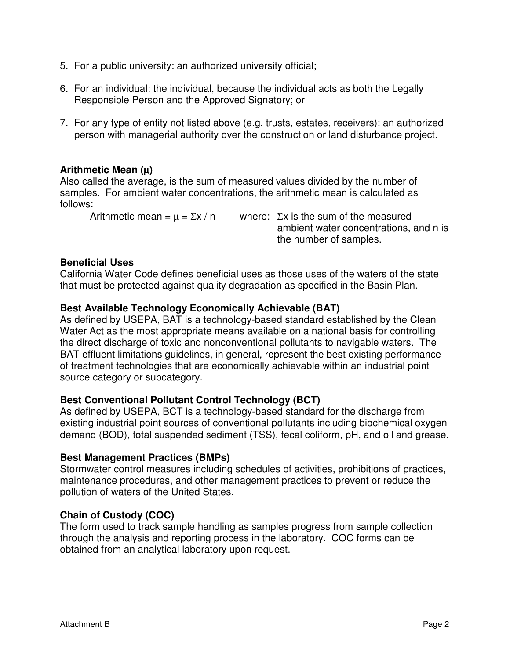- 5. For a public university: an authorized university official;
- 6. For an individual: the individual, because the individual acts as both the Legally Responsible Person and the Approved Signatory; or
- 7. For any type of entity not listed above (e.g. trusts, estates, receivers): an authorized person with managerial authority over the construction or land disturbance project.

# **Arithmetic Mean (**µ**)**

Also called the average, is the sum of measured values divided by the number of samples. For ambient water concentrations, the arithmetic mean is calculated as follows:

Arithmetic mean =  $\mu$  =  $\Sigma x / n$  where:  $\Sigma x$  is the sum of the measured ambient water concentrations, and n is the number of samples.

#### **Beneficial Uses**

California Water Code defines beneficial uses as those uses of the waters of the state that must be protected against quality degradation as specified in the Basin Plan.

# **Best Available Technology Economically Achievable (BAT)**

As defined by USEPA, BAT is a technology-based standard established by the Clean Water Act as the most appropriate means available on a national basis for controlling the direct discharge of toxic and nonconventional pollutants to navigable waters. The BAT effluent limitations guidelines, in general, represent the best existing performance of treatment technologies that are economically achievable within an industrial point source category or subcategory.

# **Best Conventional Pollutant Control Technology (BCT)**

As defined by USEPA, BCT is a technology-based standard for the discharge from existing industrial point sources of conventional pollutants including biochemical oxygen demand (BOD), total suspended sediment (TSS), fecal coliform, pH, and oil and grease.

#### **Best Management Practices (BMPs)**

Stormwater control measures including schedules of activities, prohibitions of practices, maintenance procedures, and other management practices to prevent or reduce the pollution of waters of the United States.

# **Chain of Custody (COC)**

The form used to track sample handling as samples progress from sample collection through the analysis and reporting process in the laboratory. COC forms can be obtained from an analytical laboratory upon request.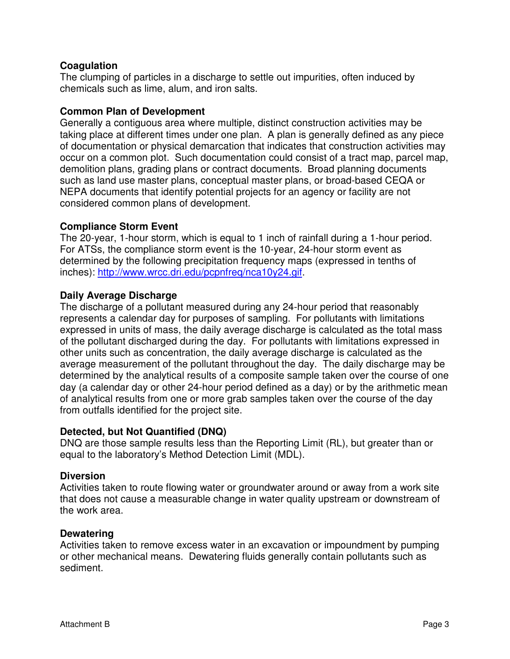# **Coagulation**

The clumping of particles in a discharge to settle out impurities, often induced by chemicals such as lime, alum, and iron salts.

#### **Common Plan of Development**

Generally a contiguous area where multiple, distinct construction activities may be taking place at different times under one plan. A plan is generally defined as any piece of documentation or physical demarcation that indicates that construction activities may occur on a common plot. Such documentation could consist of a tract map, parcel map, demolition plans, grading plans or contract documents. Broad planning documents such as land use master plans, conceptual master plans, or broad-based CEQA or NEPA documents that identify potential projects for an agency or facility are not considered common plans of development.

# **Compliance Storm Event**

The 20-year, 1-hour storm, which is equal to 1 inch of rainfall during a 1-hour period. For ATSs, the compliance storm event is the 10-year, 24-hour storm event as determined by the following precipitation frequency maps (expressed in tenths of inches): http://www.wrcc.dri.edu/pcpnfreq/nca10y24.gif.

# **Daily Average Discharge**

The discharge of a pollutant measured during any 24-hour period that reasonably represents a calendar day for purposes of sampling. For pollutants with limitations expressed in units of mass, the daily average discharge is calculated as the total mass of the pollutant discharged during the day. For pollutants with limitations expressed in other units such as concentration, the daily average discharge is calculated as the average measurement of the pollutant throughout the day. The daily discharge may be determined by the analytical results of a composite sample taken over the course of one day (a calendar day or other 24-hour period defined as a day) or by the arithmetic mean of analytical results from one or more grab samples taken over the course of the day from outfalls identified for the project site.

#### **Detected, but Not Quantified (DNQ)**

DNQ are those sample results less than the Reporting Limit (RL), but greater than or equal to the laboratory's Method Detection Limit (MDL).

#### **Diversion**

Activities taken to route flowing water or groundwater around or away from a work site that does not cause a measurable change in water quality upstream or downstream of the work area.

#### **Dewatering**

Activities taken to remove excess water in an excavation or impoundment by pumping or other mechanical means. Dewatering fluids generally contain pollutants such as sediment.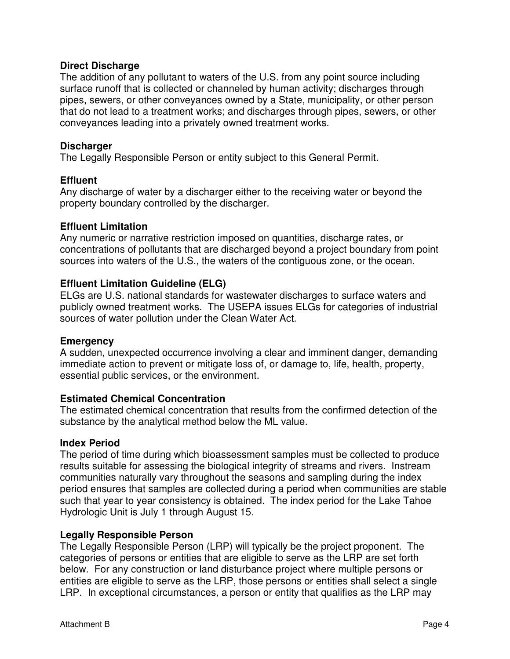#### **Direct Discharge**

The addition of any pollutant to waters of the U.S. from any point source including surface runoff that is collected or channeled by human activity; discharges through pipes, sewers, or other conveyances owned by a State, municipality, or other person that do not lead to a treatment works; and discharges through pipes, sewers, or other conveyances leading into a privately owned treatment works.

#### **Discharger**

The Legally Responsible Person or entity subject to this General Permit.

# **Effluent**

Any discharge of water by a discharger either to the receiving water or beyond the property boundary controlled by the discharger.

# **Effluent Limitation**

Any numeric or narrative restriction imposed on quantities, discharge rates, or concentrations of pollutants that are discharged beyond a project boundary from point sources into waters of the U.S., the waters of the contiguous zone, or the ocean.

# **Effluent Limitation Guideline (ELG)**

ELGs are U.S. national standards for wastewater discharges to surface waters and publicly owned treatment works. The USEPA issues ELGs for categories of industrial sources of water pollution under the Clean Water Act.

#### **Emergency**

A sudden, unexpected occurrence involving a clear and imminent danger, demanding immediate action to prevent or mitigate loss of, or damage to, life, health, property, essential public services, or the environment.

#### **Estimated Chemical Concentration**

The estimated chemical concentration that results from the confirmed detection of the substance by the analytical method below the ML value.

#### **Index Period**

The period of time during which bioassessment samples must be collected to produce results suitable for assessing the biological integrity of streams and rivers. Instream communities naturally vary throughout the seasons and sampling during the index period ensures that samples are collected during a period when communities are stable such that year to year consistency is obtained. The index period for the Lake Tahoe Hydrologic Unit is July 1 through August 15.

#### **Legally Responsible Person**

The Legally Responsible Person (LRP) will typically be the project proponent. The categories of persons or entities that are eligible to serve as the LRP are set forth below. For any construction or land disturbance project where multiple persons or entities are eligible to serve as the LRP, those persons or entities shall select a single LRP. In exceptional circumstances, a person or entity that qualifies as the LRP may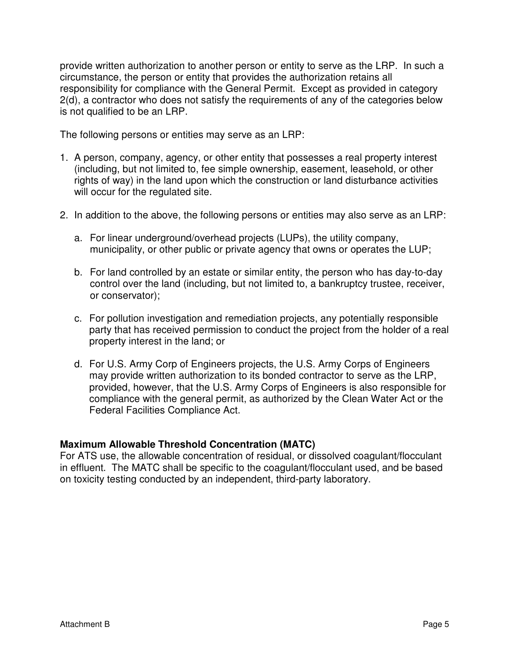provide written authorization to another person or entity to serve as the LRP. In such a circumstance, the person or entity that provides the authorization retains all responsibility for compliance with the General Permit. Except as provided in category 2(d), a contractor who does not satisfy the requirements of any of the categories below is not qualified to be an LRP.

The following persons or entities may serve as an LRP:

- 1. A person, company, agency, or other entity that possesses a real property interest (including, but not limited to, fee simple ownership, easement, leasehold, or other rights of way) in the land upon which the construction or land disturbance activities will occur for the regulated site.
- 2. In addition to the above, the following persons or entities may also serve as an LRP:
	- a. For linear underground/overhead projects (LUPs), the utility company, municipality, or other public or private agency that owns or operates the LUP;
	- b. For land controlled by an estate or similar entity, the person who has day-to-day control over the land (including, but not limited to, a bankruptcy trustee, receiver, or conservator);
	- c. For pollution investigation and remediation projects, any potentially responsible party that has received permission to conduct the project from the holder of a real property interest in the land; or
	- d. For U.S. Army Corp of Engineers projects, the U.S. Army Corps of Engineers may provide written authorization to its bonded contractor to serve as the LRP, provided, however, that the U.S. Army Corps of Engineers is also responsible for compliance with the general permit, as authorized by the Clean Water Act or the Federal Facilities Compliance Act.

# **Maximum Allowable Threshold Concentration (MATC)**

For ATS use, the allowable concentration of residual, or dissolved coagulant/flocculant in effluent. The MATC shall be specific to the coagulant/flocculant used, and be based on toxicity testing conducted by an independent, third-party laboratory.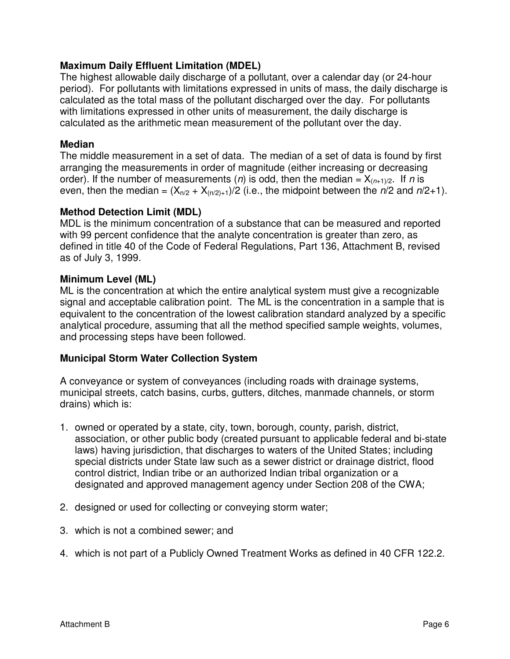# **Maximum Daily Effluent Limitation (MDEL)**

The highest allowable daily discharge of a pollutant, over a calendar day (or 24-hour period). For pollutants with limitations expressed in units of mass, the daily discharge is calculated as the total mass of the pollutant discharged over the day. For pollutants with limitations expressed in other units of measurement, the daily discharge is calculated as the arithmetic mean measurement of the pollutant over the day.

#### **Median**

The middle measurement in a set of data. The median of a set of data is found by first arranging the measurements in order of magnitude (either increasing or decreasing order). If the number of measurements (*n*) is odd, then the median =  $X_{(n+1)/2}$ . If *n* is even, then the median =  $(X_{n/2} + X_{(n/2)+1})/2$  (i.e., the midpoint between the  $n/2$  and  $n/2+1$ ).

#### **Method Detection Limit (MDL)**

MDL is the minimum concentration of a substance that can be measured and reported with 99 percent confidence that the analyte concentration is greater than zero, as defined in title 40 of the Code of Federal Regulations, Part 136, Attachment B, revised as of July 3, 1999.

#### **Minimum Level (ML)**

ML is the concentration at which the entire analytical system must give a recognizable signal and acceptable calibration point. The ML is the concentration in a sample that is equivalent to the concentration of the lowest calibration standard analyzed by a specific analytical procedure, assuming that all the method specified sample weights, volumes, and processing steps have been followed.

#### **Municipal Storm Water Collection System**

A conveyance or system of conveyances (including roads with drainage systems, municipal streets, catch basins, curbs, gutters, ditches, manmade channels, or storm drains) which is:

- 1. owned or operated by a state, city, town, borough, county, parish, district, association, or other public body (created pursuant to applicable federal and bi-state laws) having jurisdiction, that discharges to waters of the United States; including special districts under State law such as a sewer district or drainage district, flood control district, Indian tribe or an authorized Indian tribal organization or a designated and approved management agency under Section 208 of the CWA;
- 2. designed or used for collecting or conveying storm water;
- 3. which is not a combined sewer; and
- 4. which is not part of a Publicly Owned Treatment Works as defined in 40 CFR 122.2.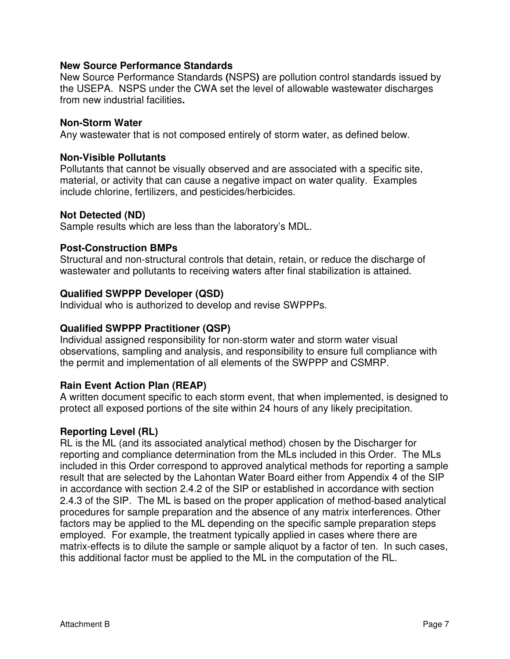#### **New Source Performance Standards**

New Source Performance Standards **(**NSPS**)** are pollution control standards issued by the USEPA. NSPS under the CWA set the level of allowable wastewater discharges from new industrial facilities**.** 

#### **Non-Storm Water**

Any wastewater that is not composed entirely of storm water, as defined below.

#### **Non-Visible Pollutants**

Pollutants that cannot be visually observed and are associated with a specific site, material, or activity that can cause a negative impact on water quality. Examples include chlorine, fertilizers, and pesticides/herbicides.

#### **Not Detected (ND)**

Sample results which are less than the laboratory's MDL.

#### **Post-Construction BMPs**

Structural and non-structural controls that detain, retain, or reduce the discharge of wastewater and pollutants to receiving waters after final stabilization is attained.

#### **Qualified SWPPP Developer (QSD)**

Individual who is authorized to develop and revise SWPPPs.

#### **Qualified SWPPP Practitioner (QSP)**

Individual assigned responsibility for non-storm water and storm water visual observations, sampling and analysis, and responsibility to ensure full compliance with the permit and implementation of all elements of the SWPPP and CSMRP.

# **Rain Event Action Plan (REAP)**

A written document specific to each storm event, that when implemented, is designed to protect all exposed portions of the site within 24 hours of any likely precipitation.

#### **Reporting Level (RL)**

RL is the ML (and its associated analytical method) chosen by the Discharger for reporting and compliance determination from the MLs included in this Order. The MLs included in this Order correspond to approved analytical methods for reporting a sample result that are selected by the Lahontan Water Board either from Appendix 4 of the SIP in accordance with section 2.4.2 of the SIP or established in accordance with section 2.4.3 of the SIP. The ML is based on the proper application of method-based analytical procedures for sample preparation and the absence of any matrix interferences. Other factors may be applied to the ML depending on the specific sample preparation steps employed. For example, the treatment typically applied in cases where there are matrix-effects is to dilute the sample or sample aliquot by a factor of ten. In such cases, this additional factor must be applied to the ML in the computation of the RL.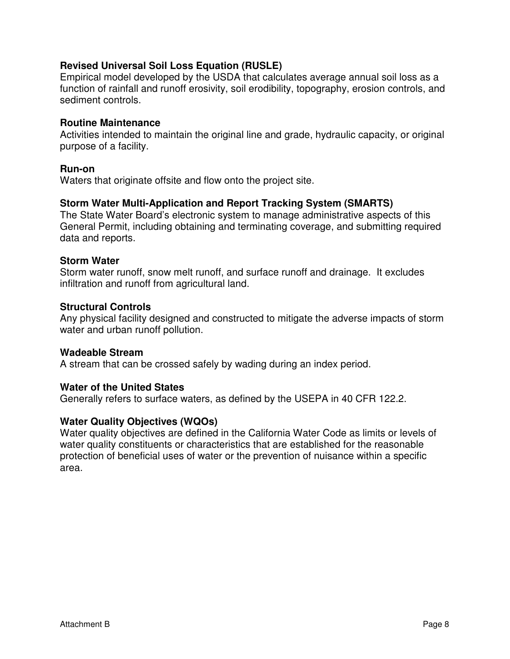### **Revised Universal Soil Loss Equation (RUSLE)**

Empirical model developed by the USDA that calculates average annual soil loss as a function of rainfall and runoff erosivity, soil erodibility, topography, erosion controls, and sediment controls.

#### **Routine Maintenance**

Activities intended to maintain the original line and grade, hydraulic capacity, or original purpose of a facility.

#### **Run-on**

Waters that originate offsite and flow onto the project site.

#### **Storm Water Multi-Application and Report Tracking System (SMARTS)**

The State Water Board's electronic system to manage administrative aspects of this General Permit, including obtaining and terminating coverage, and submitting required data and reports.

#### **Storm Water**

Storm water runoff, snow melt runoff, and surface runoff and drainage. It excludes infiltration and runoff from agricultural land.

#### **Structural Controls**

Any physical facility designed and constructed to mitigate the adverse impacts of storm water and urban runoff pollution.

#### **Wadeable Stream**

A stream that can be crossed safely by wading during an index period.

#### **Water of the United States**

Generally refers to surface waters, as defined by the USEPA in 40 CFR 122.2.

#### **Water Quality Objectives (WQOs)**

Water quality objectives are defined in the California Water Code as limits or levels of water quality constituents or characteristics that are established for the reasonable protection of beneficial uses of water or the prevention of nuisance within a specific area.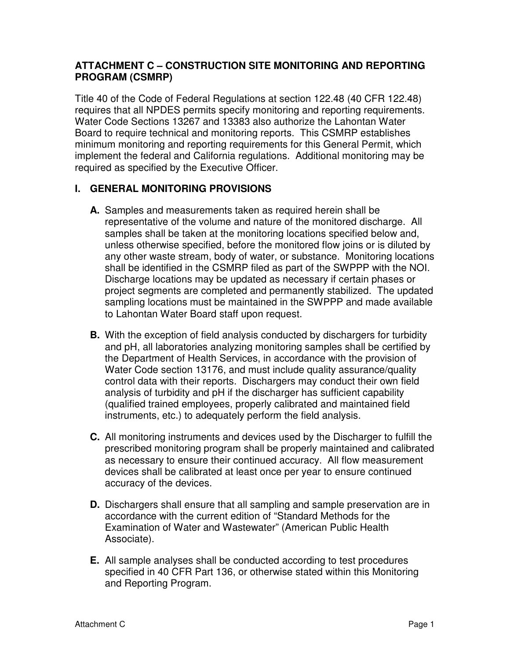# **ATTACHMENT C – CONSTRUCTION SITE MONITORING AND REPORTING PROGRAM (CSMRP)**

Title 40 of the Code of Federal Regulations at section 122.48 (40 CFR 122.48) requires that all NPDES permits specify monitoring and reporting requirements. Water Code Sections 13267 and 13383 also authorize the Lahontan Water Board to require technical and monitoring reports. This CSMRP establishes minimum monitoring and reporting requirements for this General Permit, which implement the federal and California regulations. Additional monitoring may be required as specified by the Executive Officer.

# **I. GENERAL MONITORING PROVISIONS**

- **A.** Samples and measurements taken as required herein shall be representative of the volume and nature of the monitored discharge. All samples shall be taken at the monitoring locations specified below and, unless otherwise specified, before the monitored flow joins or is diluted by any other waste stream, body of water, or substance. Monitoring locations shall be identified in the CSMRP filed as part of the SWPPP with the NOI. Discharge locations may be updated as necessary if certain phases or project segments are completed and permanently stabilized. The updated sampling locations must be maintained in the SWPPP and made available to Lahontan Water Board staff upon request.
- **B.** With the exception of field analysis conducted by dischargers for turbidity and pH, all laboratories analyzing monitoring samples shall be certified by the Department of Health Services, in accordance with the provision of Water Code section 13176, and must include quality assurance/quality control data with their reports. Dischargers may conduct their own field analysis of turbidity and pH if the discharger has sufficient capability (qualified trained employees, properly calibrated and maintained field instruments, etc.) to adequately perform the field analysis.
- **C.** All monitoring instruments and devices used by the Discharger to fulfill the prescribed monitoring program shall be properly maintained and calibrated as necessary to ensure their continued accuracy. All flow measurement devices shall be calibrated at least once per year to ensure continued accuracy of the devices.
- **D.** Dischargers shall ensure that all sampling and sample preservation are in accordance with the current edition of "Standard Methods for the Examination of Water and Wastewater" (American Public Health Associate).
- **E.** All sample analyses shall be conducted according to test procedures specified in 40 CFR Part 136, or otherwise stated within this Monitoring and Reporting Program.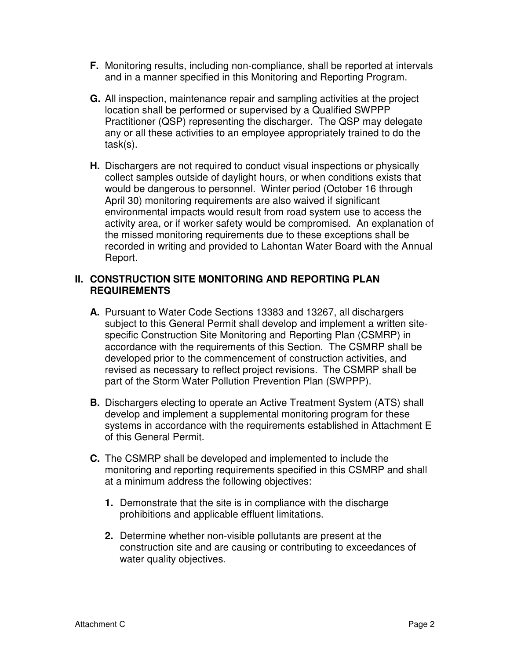- **F.** Monitoring results, including non-compliance, shall be reported at intervals and in a manner specified in this Monitoring and Reporting Program.
- **G.** All inspection, maintenance repair and sampling activities at the project location shall be performed or supervised by a Qualified SWPPP Practitioner (QSP) representing the discharger. The QSP may delegate any or all these activities to an employee appropriately trained to do the task(s).
- **H.** Dischargers are not required to conduct visual inspections or physically collect samples outside of daylight hours, or when conditions exists that would be dangerous to personnel. Winter period (October 16 through April 30) monitoring requirements are also waived if significant environmental impacts would result from road system use to access the activity area, or if worker safety would be compromised. An explanation of the missed monitoring requirements due to these exceptions shall be recorded in writing and provided to Lahontan Water Board with the Annual Report.

### **II. CONSTRUCTION SITE MONITORING AND REPORTING PLAN REQUIREMENTS**

- **A.** Pursuant to Water Code Sections 13383 and 13267, all dischargers subject to this General Permit shall develop and implement a written sitespecific Construction Site Monitoring and Reporting Plan (CSMRP) in accordance with the requirements of this Section. The CSMRP shall be developed prior to the commencement of construction activities, and revised as necessary to reflect project revisions. The CSMRP shall be part of the Storm Water Pollution Prevention Plan (SWPPP).
- **B.** Dischargers electing to operate an Active Treatment System (ATS) shall develop and implement a supplemental monitoring program for these systems in accordance with the requirements established in Attachment E of this General Permit.
- **C.** The CSMRP shall be developed and implemented to include the monitoring and reporting requirements specified in this CSMRP and shall at a minimum address the following objectives:
	- **1.** Demonstrate that the site is in compliance with the discharge prohibitions and applicable effluent limitations.
	- **2.** Determine whether non-visible pollutants are present at the construction site and are causing or contributing to exceedances of water quality objectives.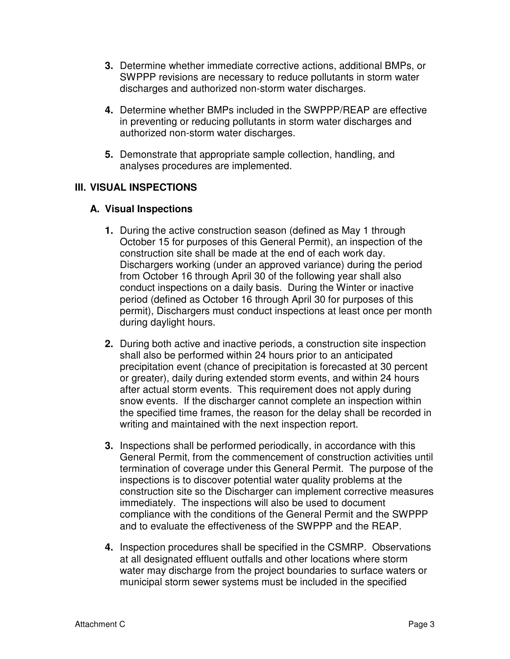- **3.** Determine whether immediate corrective actions, additional BMPs, or SWPPP revisions are necessary to reduce pollutants in storm water discharges and authorized non-storm water discharges.
- **4.** Determine whether BMPs included in the SWPPP/REAP are effective in preventing or reducing pollutants in storm water discharges and authorized non-storm water discharges.
- **5.** Demonstrate that appropriate sample collection, handling, and analyses procedures are implemented.

# **III. VISUAL INSPECTIONS**

#### **A. Visual Inspections**

- **1.** During the active construction season (defined as May 1 through October 15 for purposes of this General Permit), an inspection of the construction site shall be made at the end of each work day. Dischargers working (under an approved variance) during the period from October 16 through April 30 of the following year shall also conduct inspections on a daily basis. During the Winter or inactive period (defined as October 16 through April 30 for purposes of this permit), Dischargers must conduct inspections at least once per month during daylight hours.
- **2.** During both active and inactive periods, a construction site inspection shall also be performed within 24 hours prior to an anticipated precipitation event (chance of precipitation is forecasted at 30 percent or greater), daily during extended storm events, and within 24 hours after actual storm events. This requirement does not apply during snow events. If the discharger cannot complete an inspection within the specified time frames, the reason for the delay shall be recorded in writing and maintained with the next inspection report.
- **3.** Inspections shall be performed periodically, in accordance with this General Permit, from the commencement of construction activities until termination of coverage under this General Permit. The purpose of the inspections is to discover potential water quality problems at the construction site so the Discharger can implement corrective measures immediately. The inspections will also be used to document compliance with the conditions of the General Permit and the SWPPP and to evaluate the effectiveness of the SWPPP and the REAP.
- **4.** Inspection procedures shall be specified in the CSMRP. Observations at all designated effluent outfalls and other locations where storm water may discharge from the project boundaries to surface waters or municipal storm sewer systems must be included in the specified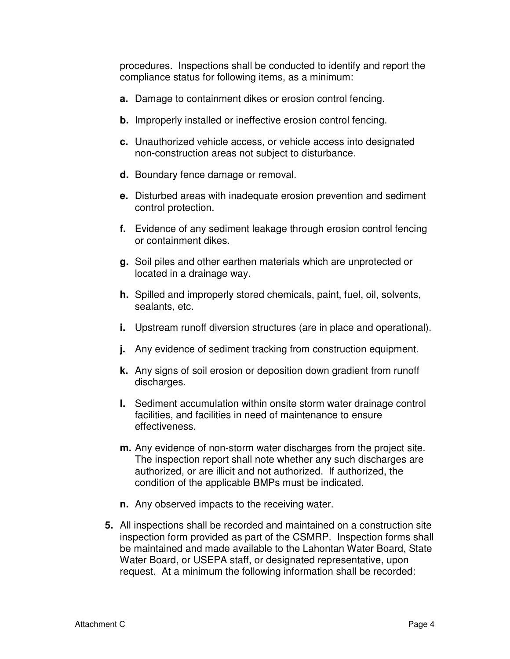procedures. Inspections shall be conducted to identify and report the compliance status for following items, as a minimum:

- **a.** Damage to containment dikes or erosion control fencing.
- **b.** Improperly installed or ineffective erosion control fencing.
- **c.** Unauthorized vehicle access, or vehicle access into designated non-construction areas not subject to disturbance.
- **d.** Boundary fence damage or removal.
- **e.** Disturbed areas with inadequate erosion prevention and sediment control protection.
- **f.** Evidence of any sediment leakage through erosion control fencing or containment dikes.
- **g.** Soil piles and other earthen materials which are unprotected or located in a drainage way.
- **h.** Spilled and improperly stored chemicals, paint, fuel, oil, solvents, sealants, etc.
- **i.** Upstream runoff diversion structures (are in place and operational).
- **j.** Any evidence of sediment tracking from construction equipment.
- **k.** Any signs of soil erosion or deposition down gradient from runoff discharges.
- **l.** Sediment accumulation within onsite storm water drainage control facilities, and facilities in need of maintenance to ensure effectiveness.
- **m.** Any evidence of non-storm water discharges from the project site. The inspection report shall note whether any such discharges are authorized, or are illicit and not authorized. If authorized, the condition of the applicable BMPs must be indicated.
- **n.** Any observed impacts to the receiving water.
- **5.** All inspections shall be recorded and maintained on a construction site inspection form provided as part of the CSMRP. Inspection forms shall be maintained and made available to the Lahontan Water Board, State Water Board, or USEPA staff, or designated representative, upon request. At a minimum the following information shall be recorded: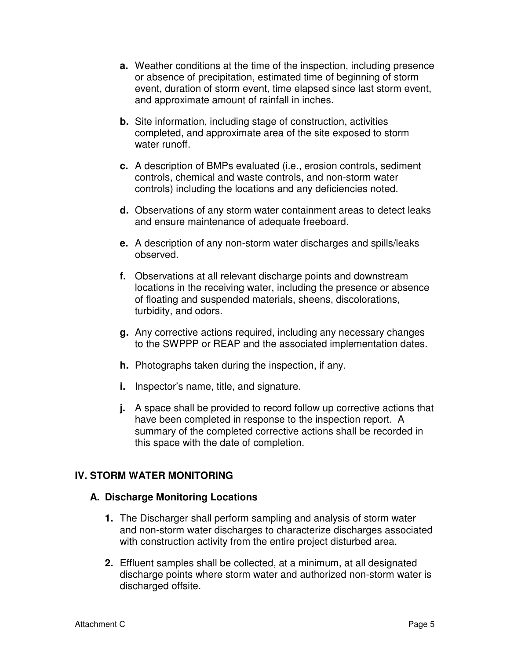- **a.** Weather conditions at the time of the inspection, including presence or absence of precipitation, estimated time of beginning of storm event, duration of storm event, time elapsed since last storm event, and approximate amount of rainfall in inches.
- **b.** Site information, including stage of construction, activities completed, and approximate area of the site exposed to storm water runoff.
- **c.** A description of BMPs evaluated (i.e., erosion controls, sediment controls, chemical and waste controls, and non-storm water controls) including the locations and any deficiencies noted.
- **d.** Observations of any storm water containment areas to detect leaks and ensure maintenance of adequate freeboard.
- **e.** A description of any non-storm water discharges and spills/leaks observed.
- **f.** Observations at all relevant discharge points and downstream locations in the receiving water, including the presence or absence of floating and suspended materials, sheens, discolorations, turbidity, and odors.
- **g.** Any corrective actions required, including any necessary changes to the SWPPP or REAP and the associated implementation dates.
- **h.** Photographs taken during the inspection, if any.
- **i.** Inspector's name, title, and signature.
- **j.** A space shall be provided to record follow up corrective actions that have been completed in response to the inspection report. A summary of the completed corrective actions shall be recorded in this space with the date of completion.

# **IV. STORM WATER MONITORING**

#### **A. Discharge Monitoring Locations**

- **1.** The Discharger shall perform sampling and analysis of storm water and non-storm water discharges to characterize discharges associated with construction activity from the entire project disturbed area.
- **2.** Effluent samples shall be collected, at a minimum, at all designated discharge points where storm water and authorized non-storm water is discharged offsite.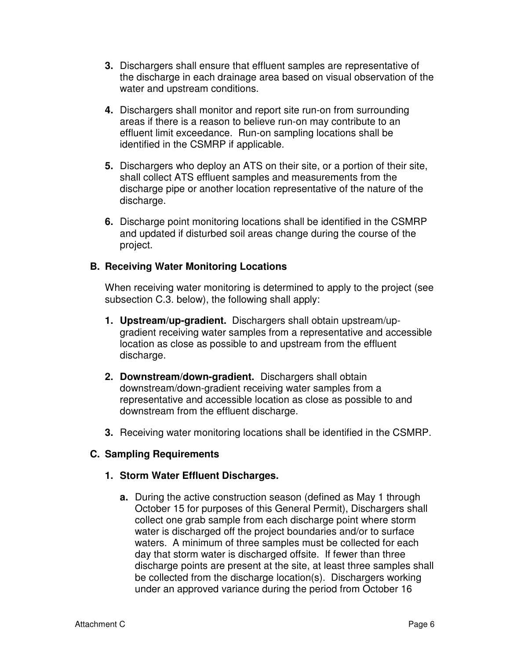- **3.** Dischargers shall ensure that effluent samples are representative of the discharge in each drainage area based on visual observation of the water and upstream conditions.
- **4.** Dischargers shall monitor and report site run-on from surrounding areas if there is a reason to believe run-on may contribute to an effluent limit exceedance. Run-on sampling locations shall be identified in the CSMRP if applicable.
- **5.** Dischargers who deploy an ATS on their site, or a portion of their site, shall collect ATS effluent samples and measurements from the discharge pipe or another location representative of the nature of the discharge.
- **6.** Discharge point monitoring locations shall be identified in the CSMRP and updated if disturbed soil areas change during the course of the project.

# **B. Receiving Water Monitoring Locations**

When receiving water monitoring is determined to apply to the project (see subsection C.3. below), the following shall apply:

- **1. Upstream/up-gradient.** Dischargers shall obtain upstream/upgradient receiving water samples from a representative and accessible location as close as possible to and upstream from the effluent discharge.
- **2. Downstream/down-gradient.** Dischargers shall obtain downstream/down-gradient receiving water samples from a representative and accessible location as close as possible to and downstream from the effluent discharge.
- **3.** Receiving water monitoring locations shall be identified in the CSMRP.

#### **C. Sampling Requirements**

#### **1. Storm Water Effluent Discharges.**

**a.** During the active construction season (defined as May 1 through October 15 for purposes of this General Permit), Dischargers shall collect one grab sample from each discharge point where storm water is discharged off the project boundaries and/or to surface waters. A minimum of three samples must be collected for each day that storm water is discharged offsite. If fewer than three discharge points are present at the site, at least three samples shall be collected from the discharge location(s). Dischargers working under an approved variance during the period from October 16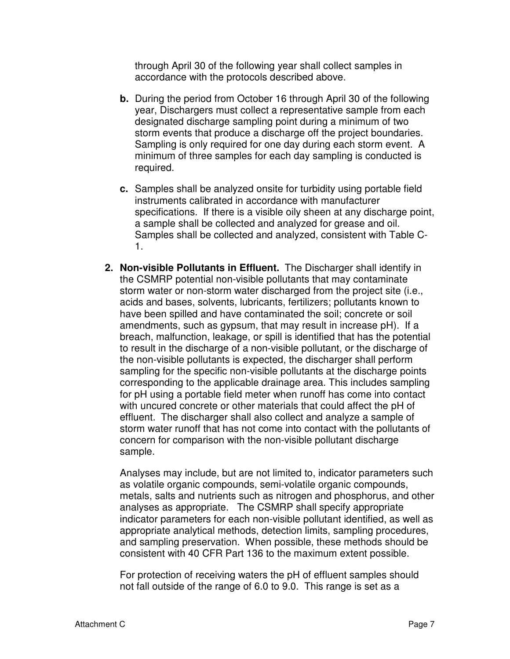through April 30 of the following year shall collect samples in accordance with the protocols described above.

- **b.** During the period from October 16 through April 30 of the following year, Dischargers must collect a representative sample from each designated discharge sampling point during a minimum of two storm events that produce a discharge off the project boundaries. Sampling is only required for one day during each storm event. A minimum of three samples for each day sampling is conducted is required.
- **c.** Samples shall be analyzed onsite for turbidity using portable field instruments calibrated in accordance with manufacturer specifications. If there is a visible oily sheen at any discharge point, a sample shall be collected and analyzed for grease and oil. Samples shall be collected and analyzed, consistent with Table C-1.
- **2. Non-visible Pollutants in Effluent.** The Discharger shall identify in the CSMRP potential non-visible pollutants that may contaminate storm water or non-storm water discharged from the project site (i.e., acids and bases, solvents, lubricants, fertilizers; pollutants known to have been spilled and have contaminated the soil; concrete or soil amendments, such as gypsum, that may result in increase pH). If a breach, malfunction, leakage, or spill is identified that has the potential to result in the discharge of a non-visible pollutant, or the discharge of the non-visible pollutants is expected, the discharger shall perform sampling for the specific non-visible pollutants at the discharge points corresponding to the applicable drainage area. This includes sampling for pH using a portable field meter when runoff has come into contact with uncured concrete or other materials that could affect the pH of effluent. The discharger shall also collect and analyze a sample of storm water runoff that has not come into contact with the pollutants of concern for comparison with the non-visible pollutant discharge sample.

Analyses may include, but are not limited to, indicator parameters such as volatile organic compounds, semi-volatile organic compounds, metals, salts and nutrients such as nitrogen and phosphorus, and other analyses as appropriate. The CSMRP shall specify appropriate indicator parameters for each non-visible pollutant identified, as well as appropriate analytical methods, detection limits, sampling procedures, and sampling preservation. When possible, these methods should be consistent with 40 CFR Part 136 to the maximum extent possible.

For protection of receiving waters the pH of effluent samples should not fall outside of the range of 6.0 to 9.0. This range is set as a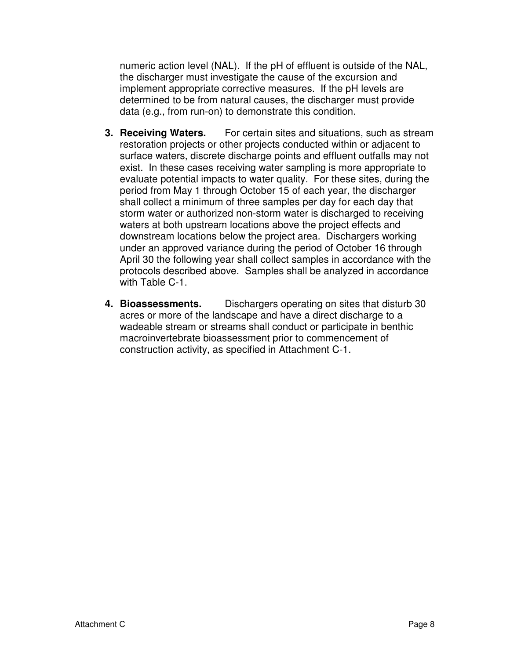numeric action level (NAL). If the pH of effluent is outside of the NAL, the discharger must investigate the cause of the excursion and implement appropriate corrective measures. If the pH levels are determined to be from natural causes, the discharger must provide data (e.g., from run-on) to demonstrate this condition.

- **3. Receiving Waters.** For certain sites and situations, such as stream restoration projects or other projects conducted within or adjacent to surface waters, discrete discharge points and effluent outfalls may not exist. In these cases receiving water sampling is more appropriate to evaluate potential impacts to water quality. For these sites, during the period from May 1 through October 15 of each year, the discharger shall collect a minimum of three samples per day for each day that storm water or authorized non-storm water is discharged to receiving waters at both upstream locations above the project effects and downstream locations below the project area. Dischargers working under an approved variance during the period of October 16 through April 30 the following year shall collect samples in accordance with the protocols described above. Samples shall be analyzed in accordance with Table C-1.
- **4. Bioassessments.** Dischargers operating on sites that disturb 30 acres or more of the landscape and have a direct discharge to a wadeable stream or streams shall conduct or participate in benthic macroinvertebrate bioassessment prior to commencement of construction activity, as specified in Attachment C-1.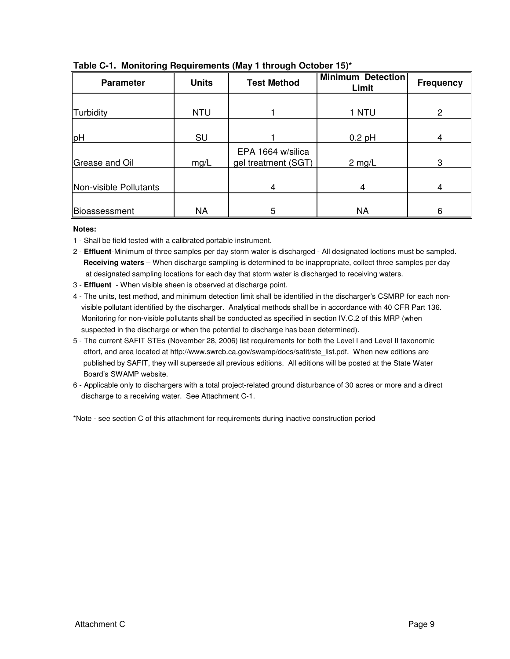| <b>Parameter</b>       | <b>Units</b> | <b>Test Method</b>                       | <b>Minimum Detection</b><br>Limit | <b>Frequency</b> |
|------------------------|--------------|------------------------------------------|-----------------------------------|------------------|
|                        |              |                                          |                                   |                  |
| Turbidity              | <b>NTU</b>   |                                          | 1 NTU                             | $\overline{2}$   |
|                        |              |                                          |                                   |                  |
| pH                     | SU           |                                          | $0.2$ pH                          | 4                |
| Grease and Oil         | mg/L         | EPA 1664 w/silica<br>gel treatment (SGT) | $2$ mg/L                          | 3                |
|                        |              |                                          |                                   |                  |
| Non-visible Pollutants |              | 4                                        | 4                                 | 4                |
|                        |              |                                          |                                   |                  |
| Bioassessment          | <b>NA</b>    | 5                                        | <b>NA</b>                         | 6                |

#### **Table C-1. Monitoring Requirements (May 1 through October 15)\***

#### **Notes:**

- 1 Shall be field tested with a calibrated portable instrument.
- 2 **Effluent**-Minimum of three samples per day storm water is discharged All designated loctions must be sampled. **Receiving waters** – When discharge sampling is determined to be inappropriate, collect three samples per day at designated sampling locations for each day that storm water is discharged to receiving waters.
- 3 **Effluent** When visible sheen is observed at discharge point.
- 4 The units, test method, and minimum detection limit shall be identified in the discharger's CSMRP for each non visible pollutant identified by the discharger. Analytical methods shall be in accordance with 40 CFR Part 136. Monitoring for non-visible pollutants shall be conducted as specified in section IV.C.2 of this MRP (when suspected in the discharge or when the potential to discharge has been determined).
- 5 The current SAFIT STEs (November 28, 2006) list requirements for both the Level I and Level II taxonomic effort, and area located at http://www.swrcb.ca.gov/swamp/docs/safit/ste\_list.pdf. When new editions are published by SAFIT, they will supersede all previous editions. All editions will be posted at the State Water Board's SWAMP website.
- 6 Applicable only to dischargers with a total project-related ground disturbance of 30 acres or more and a direct discharge to a receiving water. See Attachment C-1.

\*Note - see section C of this attachment for requirements during inactive construction period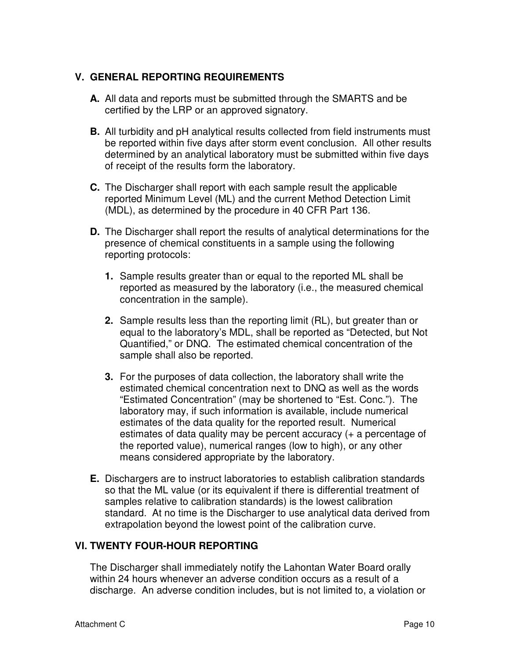# **V. GENERAL REPORTING REQUIREMENTS**

- **A.** All data and reports must be submitted through the SMARTS and be certified by the LRP or an approved signatory.
- **B.** All turbidity and pH analytical results collected from field instruments must be reported within five days after storm event conclusion. All other results determined by an analytical laboratory must be submitted within five days of receipt of the results form the laboratory.
- **C.** The Discharger shall report with each sample result the applicable reported Minimum Level (ML) and the current Method Detection Limit (MDL), as determined by the procedure in 40 CFR Part 136.
- **D.** The Discharger shall report the results of analytical determinations for the presence of chemical constituents in a sample using the following reporting protocols:
	- **1.** Sample results greater than or equal to the reported ML shall be reported as measured by the laboratory (i.e., the measured chemical concentration in the sample).
	- **2.** Sample results less than the reporting limit (RL), but greater than or equal to the laboratory's MDL, shall be reported as "Detected, but Not Quantified," or DNQ. The estimated chemical concentration of the sample shall also be reported.
	- **3.** For the purposes of data collection, the laboratory shall write the estimated chemical concentration next to DNQ as well as the words "Estimated Concentration" (may be shortened to "Est. Conc."). The laboratory may, if such information is available, include numerical estimates of the data quality for the reported result. Numerical estimates of data quality may be percent accuracy (+ a percentage of the reported value), numerical ranges (low to high), or any other means considered appropriate by the laboratory.
- **E.** Dischargers are to instruct laboratories to establish calibration standards so that the ML value (or its equivalent if there is differential treatment of samples relative to calibration standards) is the lowest calibration standard. At no time is the Discharger to use analytical data derived from extrapolation beyond the lowest point of the calibration curve.

# **VI. TWENTY FOUR-HOUR REPORTING**

The Discharger shall immediately notify the Lahontan Water Board orally within 24 hours whenever an adverse condition occurs as a result of a discharge. An adverse condition includes, but is not limited to, a violation or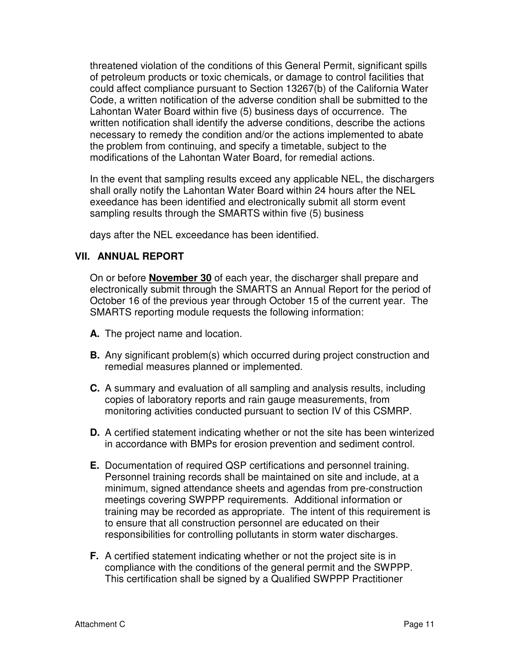threatened violation of the conditions of this General Permit, significant spills of petroleum products or toxic chemicals, or damage to control facilities that could affect compliance pursuant to Section 13267(b) of the California Water Code, a written notification of the adverse condition shall be submitted to the Lahontan Water Board within five (5) business days of occurrence. The written notification shall identify the adverse conditions, describe the actions necessary to remedy the condition and/or the actions implemented to abate the problem from continuing, and specify a timetable, subject to the modifications of the Lahontan Water Board, for remedial actions.

In the event that sampling results exceed any applicable NEL, the dischargers shall orally notify the Lahontan Water Board within 24 hours after the NEL exeedance has been identified and electronically submit all storm event sampling results through the SMARTS within five (5) business

days after the NEL exceedance has been identified.

#### **VII. ANNUAL REPORT**

On or before **November 30** of each year, the discharger shall prepare and electronically submit through the SMARTS an Annual Report for the period of October 16 of the previous year through October 15 of the current year. The SMARTS reporting module requests the following information:

- **A.** The project name and location.
- **B.** Any significant problem(s) which occurred during project construction and remedial measures planned or implemented.
- **C.** A summary and evaluation of all sampling and analysis results, including copies of laboratory reports and rain gauge measurements, from monitoring activities conducted pursuant to section IV of this CSMRP.
- **D.** A certified statement indicating whether or not the site has been winterized in accordance with BMPs for erosion prevention and sediment control.
- **E.** Documentation of required QSP certifications and personnel training. Personnel training records shall be maintained on site and include, at a minimum, signed attendance sheets and agendas from pre-construction meetings covering SWPPP requirements. Additional information or training may be recorded as appropriate. The intent of this requirement is to ensure that all construction personnel are educated on their responsibilities for controlling pollutants in storm water discharges.
- **F.** A certified statement indicating whether or not the project site is in compliance with the conditions of the general permit and the SWPPP. This certification shall be signed by a Qualified SWPPP Practitioner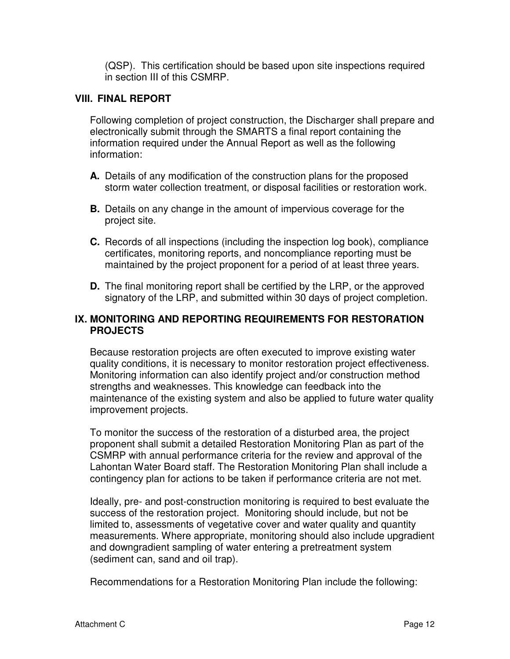(QSP). This certification should be based upon site inspections required in section III of this CSMRP.

### **VIII. FINAL REPORT**

Following completion of project construction, the Discharger shall prepare and electronically submit through the SMARTS a final report containing the information required under the Annual Report as well as the following information:

- **A.** Details of any modification of the construction plans for the proposed storm water collection treatment, or disposal facilities or restoration work.
- **B.** Details on any change in the amount of impervious coverage for the project site.
- **C.** Records of all inspections (including the inspection log book), compliance certificates, monitoring reports, and noncompliance reporting must be maintained by the project proponent for a period of at least three years.
- **D.** The final monitoring report shall be certified by the LRP, or the approved signatory of the LRP, and submitted within 30 days of project completion.

# **IX. MONITORING AND REPORTING REQUIREMENTS FOR RESTORATION PROJECTS**

Because restoration projects are often executed to improve existing water quality conditions, it is necessary to monitor restoration project effectiveness. Monitoring information can also identify project and/or construction method strengths and weaknesses. This knowledge can feedback into the maintenance of the existing system and also be applied to future water quality improvement projects.

To monitor the success of the restoration of a disturbed area, the project proponent shall submit a detailed Restoration Monitoring Plan as part of the CSMRP with annual performance criteria for the review and approval of the Lahontan Water Board staff. The Restoration Monitoring Plan shall include a contingency plan for actions to be taken if performance criteria are not met.

Ideally, pre- and post-construction monitoring is required to best evaluate the success of the restoration project. Monitoring should include, but not be limited to, assessments of vegetative cover and water quality and quantity measurements. Where appropriate, monitoring should also include upgradient and downgradient sampling of water entering a pretreatment system (sediment can, sand and oil trap).

Recommendations for a Restoration Monitoring Plan include the following: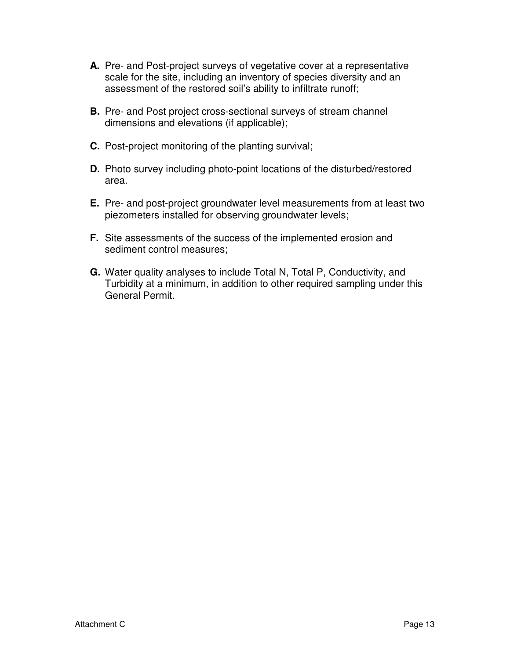- **A.** Pre- and Post-project surveys of vegetative cover at a representative scale for the site, including an inventory of species diversity and an assessment of the restored soil's ability to infiltrate runoff;
- **B.** Pre- and Post project cross-sectional surveys of stream channel dimensions and elevations (if applicable);
- **C.** Post-project monitoring of the planting survival;
- **D.** Photo survey including photo-point locations of the disturbed/restored area.
- **E.** Pre- and post-project groundwater level measurements from at least two piezometers installed for observing groundwater levels;
- **F.** Site assessments of the success of the implemented erosion and sediment control measures;
- **G.** Water quality analyses to include Total N, Total P, Conductivity, and Turbidity at a minimum, in addition to other required sampling under this General Permit.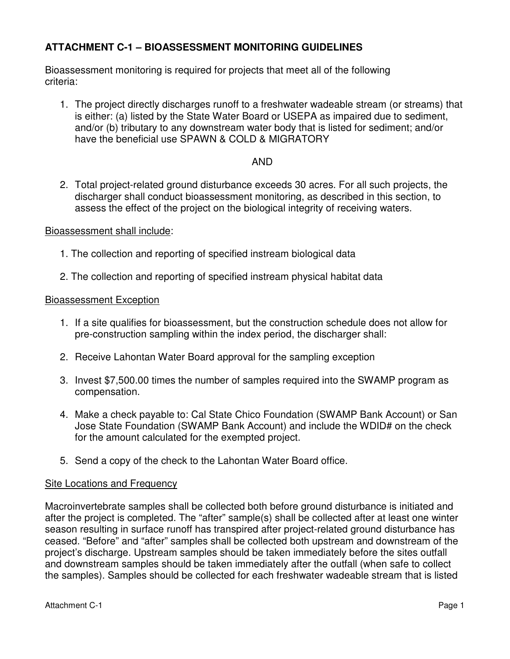# **ATTACHMENT C-1 – BIOASSESSMENT MONITORING GUIDELINES**

Bioassessment monitoring is required for projects that meet all of the following criteria:

1. The project directly discharges runoff to a freshwater wadeable stream (or streams) that is either: (a) listed by the State Water Board or USEPA as impaired due to sediment, and/or (b) tributary to any downstream water body that is listed for sediment; and/or have the beneficial use SPAWN & COLD & MIGRATORY

### AND

2. Total project-related ground disturbance exceeds 30 acres. For all such projects, the discharger shall conduct bioassessment monitoring, as described in this section, to assess the effect of the project on the biological integrity of receiving waters.

Bioassessment shall include:

- 1. The collection and reporting of specified instream biological data
- 2. The collection and reporting of specified instream physical habitat data

#### Bioassessment Exception

- 1. If a site qualifies for bioassessment, but the construction schedule does not allow for pre-construction sampling within the index period, the discharger shall:
- 2. Receive Lahontan Water Board approval for the sampling exception
- 3. Invest \$7,500.00 times the number of samples required into the SWAMP program as compensation.
- 4. Make a check payable to: Cal State Chico Foundation (SWAMP Bank Account) or San Jose State Foundation (SWAMP Bank Account) and include the WDID# on the check for the amount calculated for the exempted project.
- 5. Send a copy of the check to the Lahontan Water Board office.

#### Site Locations and Frequency

Macroinvertebrate samples shall be collected both before ground disturbance is initiated and after the project is completed. The "after" sample(s) shall be collected after at least one winter season resulting in surface runoff has transpired after project-related ground disturbance has ceased. "Before" and "after" samples shall be collected both upstream and downstream of the project's discharge. Upstream samples should be taken immediately before the sites outfall and downstream samples should be taken immediately after the outfall (when safe to collect the samples). Samples should be collected for each freshwater wadeable stream that is listed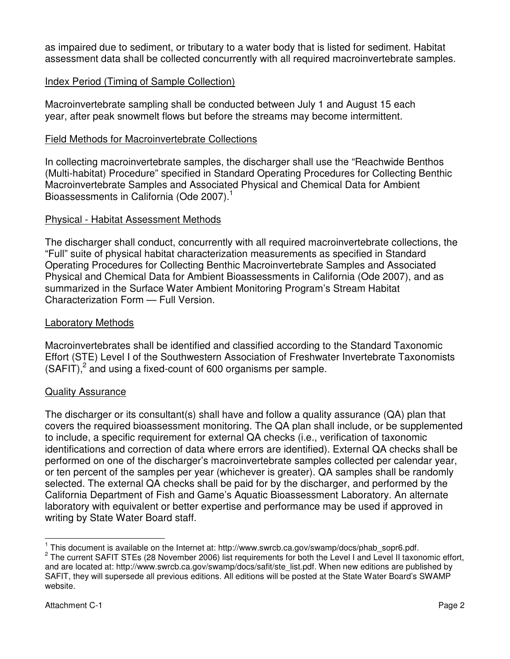as impaired due to sediment, or tributary to a water body that is listed for sediment. Habitat assessment data shall be collected concurrently with all required macroinvertebrate samples.

# Index Period (Timing of Sample Collection)

Macroinvertebrate sampling shall be conducted between July 1 and August 15 each year, after peak snowmelt flows but before the streams may become intermittent.

#### Field Methods for Macroinvertebrate Collections

In collecting macroinvertebrate samples, the discharger shall use the "Reachwide Benthos (Multi-habitat) Procedure" specified in Standard Operating Procedures for Collecting Benthic Macroinvertebrate Samples and Associated Physical and Chemical Data for Ambient Bioassessments in California (Ode 2007).<sup>1</sup>

#### Physical - Habitat Assessment Methods

The discharger shall conduct, concurrently with all required macroinvertebrate collections, the "Full" suite of physical habitat characterization measurements as specified in Standard Operating Procedures for Collecting Benthic Macroinvertebrate Samples and Associated Physical and Chemical Data for Ambient Bioassessments in California (Ode 2007), and as summarized in the Surface Water Ambient Monitoring Program's Stream Habitat Characterization Form — Full Version.

#### Laboratory Methods

Macroinvertebrates shall be identified and classified according to the Standard Taxonomic Effort (STE) Level I of the Southwestern Association of Freshwater Invertebrate Taxonomists  $(SAFIT)<sup>2</sup>$  and using a fixed-count of 600 organisms per sample.

#### Quality Assurance

The discharger or its consultant(s) shall have and follow a quality assurance (QA) plan that covers the required bioassessment monitoring. The QA plan shall include, or be supplemented to include, a specific requirement for external QA checks (i.e., verification of taxonomic identifications and correction of data where errors are identified). External QA checks shall be performed on one of the discharger's macroinvertebrate samples collected per calendar year, or ten percent of the samples per year (whichever is greater). QA samples shall be randomly selected. The external QA checks shall be paid for by the discharger, and performed by the California Department of Fish and Game's Aquatic Bioassessment Laboratory. An alternate laboratory with equivalent or better expertise and performance may be used if approved in writing by State Water Board staff.

 1 This document is available on the Internet at: http://www.swrcb.ca.gov/swamp/docs/phab\_sopr6.pdf.

<sup>&</sup>lt;sup>2</sup> The current SAFIT STEs (28 November 2006) list requirements for both the Level I and Level II taxonomic effort, and are located at: http://www.swrcb.ca.gov/swamp/docs/safit/ste\_list.pdf. When new editions are published by SAFIT, they will supersede all previous editions. All editions will be posted at the State Water Board's SWAMP website.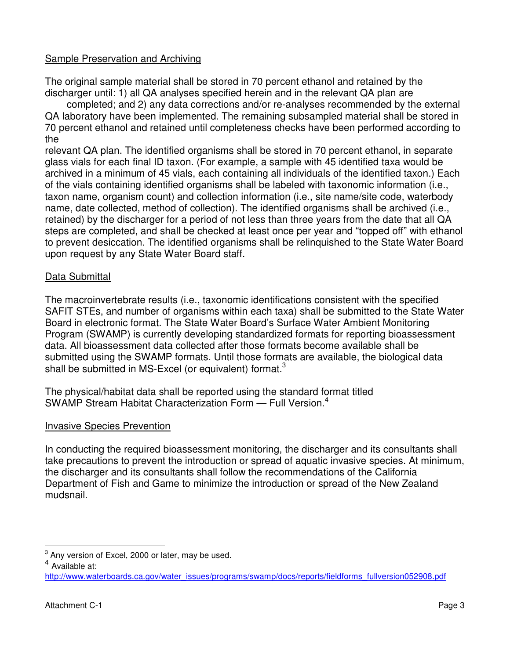# Sample Preservation and Archiving

The original sample material shall be stored in 70 percent ethanol and retained by the discharger until: 1) all QA analyses specified herein and in the relevant QA plan are

completed; and 2) any data corrections and/or re-analyses recommended by the external QA laboratory have been implemented. The remaining subsampled material shall be stored in 70 percent ethanol and retained until completeness checks have been performed according to the

relevant QA plan. The identified organisms shall be stored in 70 percent ethanol, in separate glass vials for each final ID taxon. (For example, a sample with 45 identified taxa would be archived in a minimum of 45 vials, each containing all individuals of the identified taxon.) Each of the vials containing identified organisms shall be labeled with taxonomic information (i.e., taxon name, organism count) and collection information (i.e., site name/site code, waterbody name, date collected, method of collection). The identified organisms shall be archived (i.e., retained) by the discharger for a period of not less than three years from the date that all QA steps are completed, and shall be checked at least once per year and "topped off" with ethanol to prevent desiccation. The identified organisms shall be relinquished to the State Water Board upon request by any State Water Board staff.

#### Data Submittal

The macroinvertebrate results (i.e., taxonomic identifications consistent with the specified SAFIT STEs, and number of organisms within each taxa) shall be submitted to the State Water Board in electronic format. The State Water Board's Surface Water Ambient Monitoring Program (SWAMP) is currently developing standardized formats for reporting bioassessment data. All bioassessment data collected after those formats become available shall be submitted using the SWAMP formats. Until those formats are available, the biological data shall be submitted in MS-Excel (or equivalent) format. $3$ 

The physical/habitat data shall be reported using the standard format titled SWAMP Stream Habitat Characterization Form - Full Version.<sup>4</sup>

#### Invasive Species Prevention

In conducting the required bioassessment monitoring, the discharger and its consultants shall take precautions to prevent the introduction or spread of aquatic invasive species. At minimum, the discharger and its consultants shall follow the recommendations of the California Department of Fish and Game to minimize the introduction or spread of the New Zealand mudsnail.

 3 Any version of Excel, 2000 or later, may be used.

<sup>4</sup> Available at:

http://www.waterboards.ca.gov/water\_issues/programs/swamp/docs/reports/fieldforms\_fullversion052908.pdf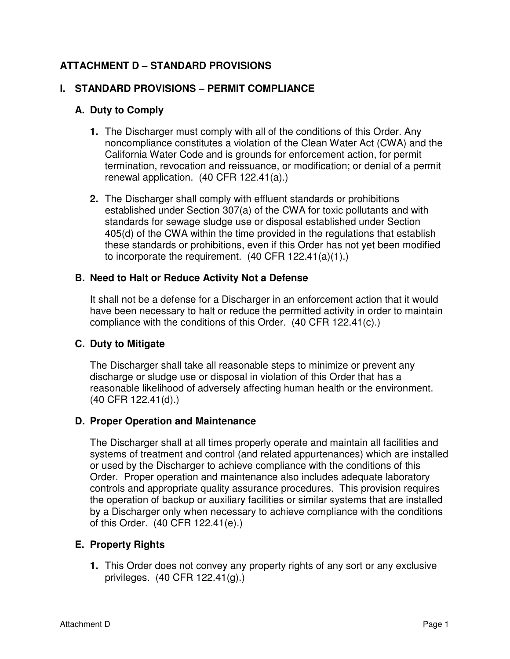# **ATTACHMENT D – STANDARD PROVISIONS**

# **I. STANDARD PROVISIONS – PERMIT COMPLIANCE**

# **A. Duty to Comply**

- **1.** The Discharger must comply with all of the conditions of this Order. Any noncompliance constitutes a violation of the Clean Water Act (CWA) and the California Water Code and is grounds for enforcement action, for permit termination, revocation and reissuance, or modification; or denial of a permit renewal application. (40 CFR 122.41(a).)
- **2.** The Discharger shall comply with effluent standards or prohibitions established under Section 307(a) of the CWA for toxic pollutants and with standards for sewage sludge use or disposal established under Section 405(d) of the CWA within the time provided in the regulations that establish these standards or prohibitions, even if this Order has not yet been modified to incorporate the requirement. (40 CFR 122.41(a)(1).)

# **B. Need to Halt or Reduce Activity Not a Defense**

It shall not be a defense for a Discharger in an enforcement action that it would have been necessary to halt or reduce the permitted activity in order to maintain compliance with the conditions of this Order. (40 CFR 122.41(c).)

# **C. Duty to Mitigate**

The Discharger shall take all reasonable steps to minimize or prevent any discharge or sludge use or disposal in violation of this Order that has a reasonable likelihood of adversely affecting human health or the environment. (40 CFR 122.41(d).)

# **D. Proper Operation and Maintenance**

The Discharger shall at all times properly operate and maintain all facilities and systems of treatment and control (and related appurtenances) which are installed or used by the Discharger to achieve compliance with the conditions of this Order. Proper operation and maintenance also includes adequate laboratory controls and appropriate quality assurance procedures. This provision requires the operation of backup or auxiliary facilities or similar systems that are installed by a Discharger only when necessary to achieve compliance with the conditions of this Order. (40 CFR 122.41(e).)

# **E. Property Rights**

**1.** This Order does not convey any property rights of any sort or any exclusive privileges. (40 CFR 122.41(g).)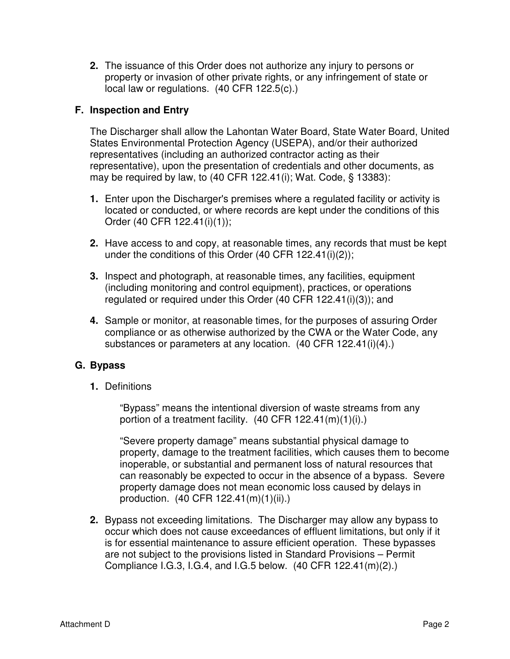**2.** The issuance of this Order does not authorize any injury to persons or property or invasion of other private rights, or any infringement of state or local law or regulations. (40 CFR 122.5(c).)

# **F. Inspection and Entry**

The Discharger shall allow the Lahontan Water Board, State Water Board, United States Environmental Protection Agency (USEPA), and/or their authorized representatives (including an authorized contractor acting as their representative), upon the presentation of credentials and other documents, as may be required by law, to (40 CFR 122.41(i); Wat. Code, § 13383):

- **1.** Enter upon the Discharger's premises where a regulated facility or activity is located or conducted, or where records are kept under the conditions of this Order (40 CFR 122.41(i)(1));
- **2.** Have access to and copy, at reasonable times, any records that must be kept under the conditions of this Order (40 CFR 122.41(i)(2));
- **3.** Inspect and photograph, at reasonable times, any facilities, equipment (including monitoring and control equipment), practices, or operations regulated or required under this Order (40 CFR 122.41(i)(3)); and
- **4.** Sample or monitor, at reasonable times, for the purposes of assuring Order compliance or as otherwise authorized by the CWA or the Water Code, any substances or parameters at any location. (40 CFR 122.41(i)(4).)

#### **G. Bypass**

**1.** Definitions

 "Bypass" means the intentional diversion of waste streams from any portion of a treatment facility.  $(40 \text{ CFR } 122.41 \text{ (m)}(1)(i)$ .)

 "Severe property damage" means substantial physical damage to property, damage to the treatment facilities, which causes them to become inoperable, or substantial and permanent loss of natural resources that can reasonably be expected to occur in the absence of a bypass. Severe property damage does not mean economic loss caused by delays in production. (40 CFR 122.41(m)(1)(ii).)

**2.** Bypass not exceeding limitations. The Discharger may allow any bypass to occur which does not cause exceedances of effluent limitations, but only if it is for essential maintenance to assure efficient operation. These bypasses are not subject to the provisions listed in Standard Provisions – Permit Compliance I.G.3, I.G.4, and I.G.5 below. (40 CFR 122.41(m)(2).)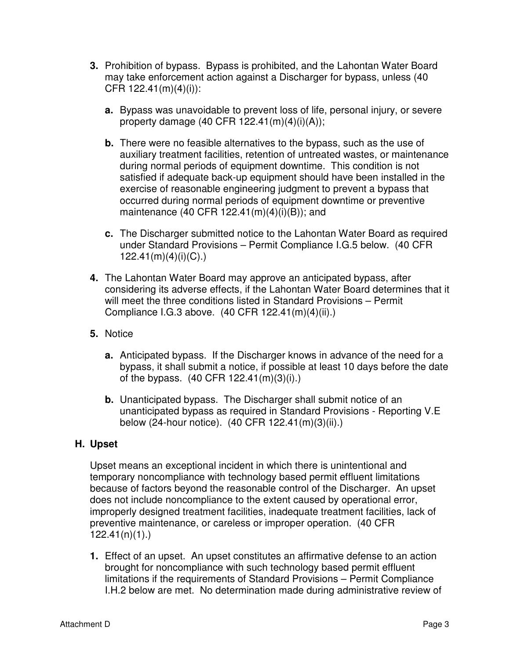- **3.** Prohibition of bypass. Bypass is prohibited, and the Lahontan Water Board may take enforcement action against a Discharger for bypass, unless (40 CFR 122.41(m)(4)(i)):
	- **a.** Bypass was unavoidable to prevent loss of life, personal injury, or severe property damage  $(40 \text{ CFR } 122.41 \text{ (m)}(4)(i)(A));$
	- **b.** There were no feasible alternatives to the bypass, such as the use of auxiliary treatment facilities, retention of untreated wastes, or maintenance during normal periods of equipment downtime. This condition is not satisfied if adequate back-up equipment should have been installed in the exercise of reasonable engineering judgment to prevent a bypass that occurred during normal periods of equipment downtime or preventive maintenance (40 CFR 122.41(m)(4)(i)(B)); and
	- **c.** The Discharger submitted notice to the Lahontan Water Board as required under Standard Provisions – Permit Compliance I.G.5 below. (40 CFR 122.41(m)(4)(i)(C).)
- **4.** The Lahontan Water Board may approve an anticipated bypass, after considering its adverse effects, if the Lahontan Water Board determines that it will meet the three conditions listed in Standard Provisions – Permit Compliance I.G.3 above. (40 CFR 122.41(m)(4)(ii).)
- **5.** Notice
	- **a.** Anticipated bypass. If the Discharger knows in advance of the need for a bypass, it shall submit a notice, if possible at least 10 days before the date of the bypass. (40 CFR 122.41(m)(3)(i).)
	- **b.** Unanticipated bypass. The Discharger shall submit notice of an unanticipated bypass as required in Standard Provisions - Reporting V.E below (24-hour notice). (40 CFR 122.41(m)(3)(ii).)

# **H. Upset**

Upset means an exceptional incident in which there is unintentional and temporary noncompliance with technology based permit effluent limitations because of factors beyond the reasonable control of the Discharger. An upset does not include noncompliance to the extent caused by operational error, improperly designed treatment facilities, inadequate treatment facilities, lack of preventive maintenance, or careless or improper operation. (40 CFR 122.41(n)(1).)

**1.** Effect of an upset. An upset constitutes an affirmative defense to an action brought for noncompliance with such technology based permit effluent limitations if the requirements of Standard Provisions – Permit Compliance I.H.2 below are met. No determination made during administrative review of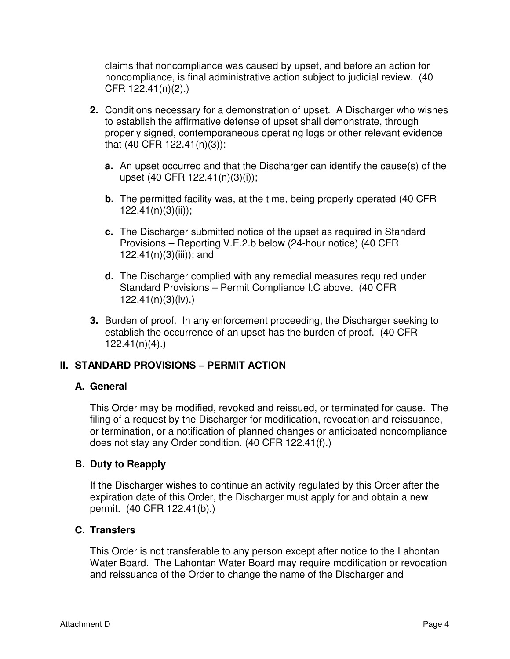claims that noncompliance was caused by upset, and before an action for noncompliance, is final administrative action subject to judicial review. (40 CFR 122.41(n)(2).)

- **2.** Conditions necessary for a demonstration of upset. A Discharger who wishes to establish the affirmative defense of upset shall demonstrate, through properly signed, contemporaneous operating logs or other relevant evidence that (40 CFR 122.41(n)(3)):
	- **a.** An upset occurred and that the Discharger can identify the cause(s) of the upset (40 CFR 122.41(n)(3)(i));
	- **b.** The permitted facility was, at the time, being properly operated (40 CFR)  $122.41(n)(3)(ii)$ ;
	- **c.** The Discharger submitted notice of the upset as required in Standard Provisions – Reporting V.E.2.b below (24-hour notice) (40 CFR 122.41(n) $(3)(iii)$ ; and
	- **d.** The Discharger complied with any remedial measures required under Standard Provisions – Permit Compliance I.C above. (40 CFR 122.41(n)(3)(iv).)
- **3.** Burden of proof. In any enforcement proceeding, the Discharger seeking to establish the occurrence of an upset has the burden of proof. (40 CFR 122.41(n)(4).)

# **II. STANDARD PROVISIONS – PERMIT ACTION**

#### **A. General**

This Order may be modified, revoked and reissued, or terminated for cause. The filing of a request by the Discharger for modification, revocation and reissuance, or termination, or a notification of planned changes or anticipated noncompliance does not stay any Order condition. (40 CFR 122.41(f).)

#### **B. Duty to Reapply**

If the Discharger wishes to continue an activity regulated by this Order after the expiration date of this Order, the Discharger must apply for and obtain a new permit. (40 CFR 122.41(b).)

#### **C. Transfers**

This Order is not transferable to any person except after notice to the Lahontan Water Board. The Lahontan Water Board may require modification or revocation and reissuance of the Order to change the name of the Discharger and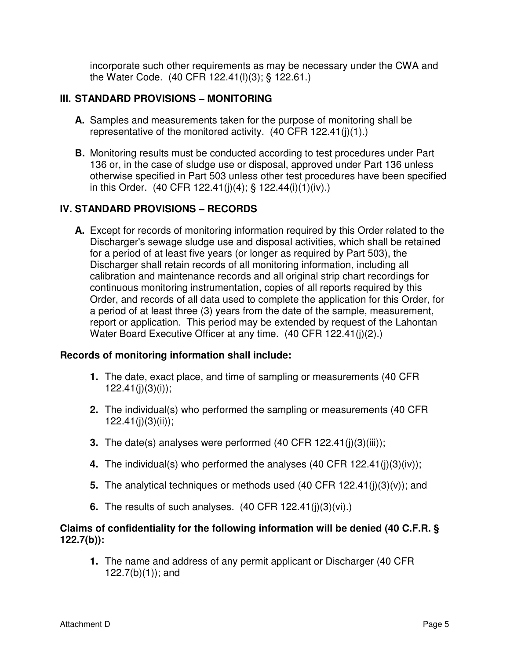incorporate such other requirements as may be necessary under the CWA and the Water Code. (40 CFR 122.41(l)(3); § 122.61.)

# **III. STANDARD PROVISIONS – MONITORING**

- **A.** Samples and measurements taken for the purpose of monitoring shall be representative of the monitored activity. (40 CFR 122.41(j)(1).)
- **B.** Monitoring results must be conducted according to test procedures under Part 136 or, in the case of sludge use or disposal, approved under Part 136 unless otherwise specified in Part 503 unless other test procedures have been specified in this Order. (40 CFR 122.41(j)(4); § 122.44(i)(1)(iv).)

# **IV. STANDARD PROVISIONS – RECORDS**

**A.** Except for records of monitoring information required by this Order related to the Discharger's sewage sludge use and disposal activities, which shall be retained for a period of at least five years (or longer as required by Part 503), the Discharger shall retain records of all monitoring information, including all calibration and maintenance records and all original strip chart recordings for continuous monitoring instrumentation, copies of all reports required by this Order, and records of all data used to complete the application for this Order, for a period of at least three (3) years from the date of the sample, measurement, report or application. This period may be extended by request of the Lahontan Water Board Executive Officer at any time. (40 CFR 122.41(j)(2).)

#### **Records of monitoring information shall include:**

- **1.** The date, exact place, and time of sampling or measurements (40 CFR  $122.41(j)(3)(i)$ ;
- **2.** The individual(s) who performed the sampling or measurements (40 CFR  $122.41(i)(3)(ii)$ ;
- **3.** The date(s) analyses were performed (40 CFR 122.41(j)(3)(iii));
- **4.** The individual(s) who performed the analyses (40 CFR 122.41(j)(3)(iv));
- **5.** The analytical techniques or methods used (40 CFR 122.41(j)(3)(v)); and
- **6.** The results of such analyses. (40 CFR 122.41(j)(3)(vi).)

#### **Claims of confidentiality for the following information will be denied (40 C.F.R. § 122.7(b)):**

**1.** The name and address of any permit applicant or Discharger (40 CFR 122.7(b)(1)); and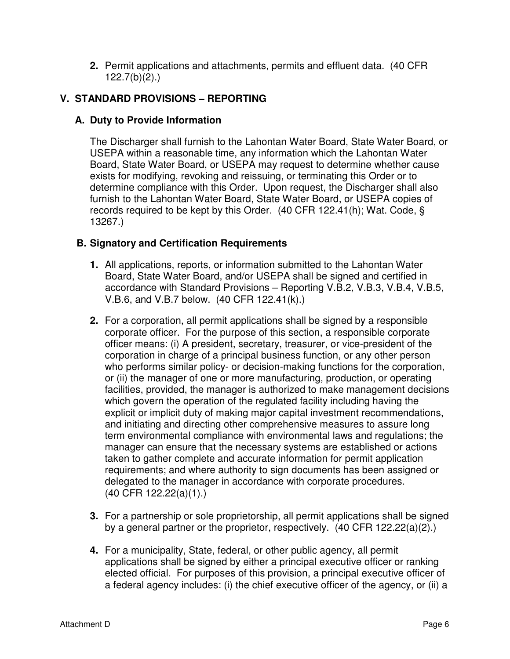**2.** Permit applications and attachments, permits and effluent data. (40 CFR 122.7(b)(2).)

# **V. STANDARD PROVISIONS – REPORTING**

# **A. Duty to Provide Information**

The Discharger shall furnish to the Lahontan Water Board, State Water Board, or USEPA within a reasonable time, any information which the Lahontan Water Board, State Water Board, or USEPA may request to determine whether cause exists for modifying, revoking and reissuing, or terminating this Order or to determine compliance with this Order. Upon request, the Discharger shall also furnish to the Lahontan Water Board, State Water Board, or USEPA copies of records required to be kept by this Order. (40 CFR 122.41(h); Wat. Code, § 13267.)

# **B. Signatory and Certification Requirements**

- **1.** All applications, reports, or information submitted to the Lahontan Water Board, State Water Board, and/or USEPA shall be signed and certified in accordance with Standard Provisions – Reporting V.B.2, V.B.3, V.B.4, V.B.5, V.B.6, and V.B.7 below. (40 CFR 122.41(k).)
- **2.** For a corporation, all permit applications shall be signed by a responsible corporate officer. For the purpose of this section, a responsible corporate officer means: (i) A president, secretary, treasurer, or vice-president of the corporation in charge of a principal business function, or any other person who performs similar policy- or decision-making functions for the corporation, or (ii) the manager of one or more manufacturing, production, or operating facilities, provided, the manager is authorized to make management decisions which govern the operation of the regulated facility including having the explicit or implicit duty of making major capital investment recommendations, and initiating and directing other comprehensive measures to assure long term environmental compliance with environmental laws and regulations; the manager can ensure that the necessary systems are established or actions taken to gather complete and accurate information for permit application requirements; and where authority to sign documents has been assigned or delegated to the manager in accordance with corporate procedures. (40 CFR 122.22(a)(1).)
- **3.** For a partnership or sole proprietorship, all permit applications shall be signed by a general partner or the proprietor, respectively. (40 CFR 122.22(a)(2).)
- **4.** For a municipality, State, federal, or other public agency, all permit applications shall be signed by either a principal executive officer or ranking elected official. For purposes of this provision, a principal executive officer of a federal agency includes: (i) the chief executive officer of the agency, or (ii) a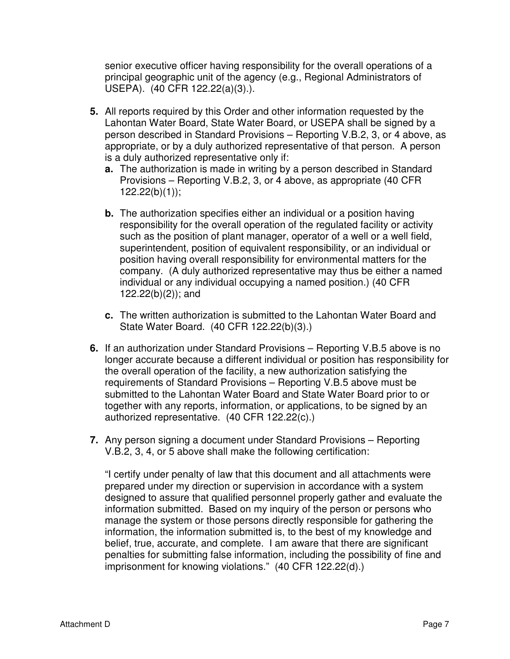senior executive officer having responsibility for the overall operations of a principal geographic unit of the agency (e.g., Regional Administrators of USEPA). (40 CFR 122.22(a)(3).).

- **5.** All reports required by this Order and other information requested by the Lahontan Water Board, State Water Board, or USEPA shall be signed by a person described in Standard Provisions – Reporting V.B.2, 3, or 4 above, as appropriate, or by a duly authorized representative of that person. A person is a duly authorized representative only if:
	- **a.** The authorization is made in writing by a person described in Standard Provisions – Reporting V.B.2, 3, or 4 above, as appropriate (40 CFR  $122.22(b)(1)$ ;
	- **b.** The authorization specifies either an individual or a position having responsibility for the overall operation of the regulated facility or activity such as the position of plant manager, operator of a well or a well field, superintendent, position of equivalent responsibility, or an individual or position having overall responsibility for environmental matters for the company. (A duly authorized representative may thus be either a named individual or any individual occupying a named position.) (40 CFR 122.22(b)(2)); and
	- **c.** The written authorization is submitted to the Lahontan Water Board and State Water Board. (40 CFR 122.22(b)(3).)
- **6.** If an authorization under Standard Provisions Reporting V.B.5 above is no longer accurate because a different individual or position has responsibility for the overall operation of the facility, a new authorization satisfying the requirements of Standard Provisions – Reporting V.B.5 above must be submitted to the Lahontan Water Board and State Water Board prior to or together with any reports, information, or applications, to be signed by an authorized representative. (40 CFR 122.22(c).)
- **7.** Any person signing a document under Standard Provisions Reporting V.B.2, 3, 4, or 5 above shall make the following certification:

"I certify under penalty of law that this document and all attachments were prepared under my direction or supervision in accordance with a system designed to assure that qualified personnel properly gather and evaluate the information submitted. Based on my inquiry of the person or persons who manage the system or those persons directly responsible for gathering the information, the information submitted is, to the best of my knowledge and belief, true, accurate, and complete. I am aware that there are significant penalties for submitting false information, including the possibility of fine and imprisonment for knowing violations." (40 CFR 122.22(d).)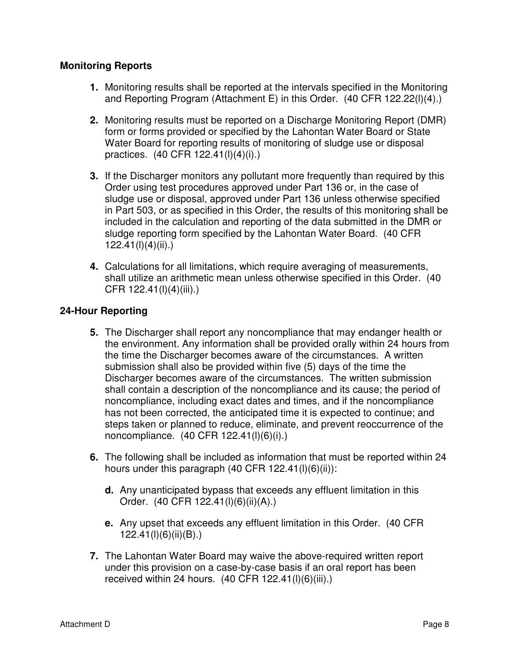### **Monitoring Reports**

- **1.** Monitoring results shall be reported at the intervals specified in the Monitoring and Reporting Program (Attachment E) in this Order. (40 CFR 122.22(l)(4).)
- **2.** Monitoring results must be reported on a Discharge Monitoring Report (DMR) form or forms provided or specified by the Lahontan Water Board or State Water Board for reporting results of monitoring of sludge use or disposal practices. (40 CFR 122.41(l)(4)(i).)
- **3.** If the Discharger monitors any pollutant more frequently than required by this Order using test procedures approved under Part 136 or, in the case of sludge use or disposal, approved under Part 136 unless otherwise specified in Part 503, or as specified in this Order, the results of this monitoring shall be included in the calculation and reporting of the data submitted in the DMR or sludge reporting form specified by the Lahontan Water Board. (40 CFR 122.41(l)(4)(ii).)
- **4.** Calculations for all limitations, which require averaging of measurements, shall utilize an arithmetic mean unless otherwise specified in this Order. (40 CFR 122.41(l)(4)(iii).)

### **24-Hour Reporting**

- **5.** The Discharger shall report any noncompliance that may endanger health or the environment. Any information shall be provided orally within 24 hours from the time the Discharger becomes aware of the circumstances. A written submission shall also be provided within five (5) days of the time the Discharger becomes aware of the circumstances. The written submission shall contain a description of the noncompliance and its cause; the period of noncompliance, including exact dates and times, and if the noncompliance has not been corrected, the anticipated time it is expected to continue; and steps taken or planned to reduce, eliminate, and prevent reoccurrence of the noncompliance. (40 CFR 122.41(l)(6)(i).)
- **6.** The following shall be included as information that must be reported within 24 hours under this paragraph (40 CFR  $122.41(1)(6)(ii)$ ):
	- **d.** Any unanticipated bypass that exceeds any effluent limitation in this Order. (40 CFR 122.41(l)(6)(ii)(A).)
	- **e.** Any upset that exceeds any effluent limitation in this Order. (40 CFR 122.41(l)(6)(ii)(B).)
- **7.** The Lahontan Water Board may waive the above-required written report under this provision on a case-by-case basis if an oral report has been received within 24 hours. (40 CFR 122.41(l)(6)(iii).)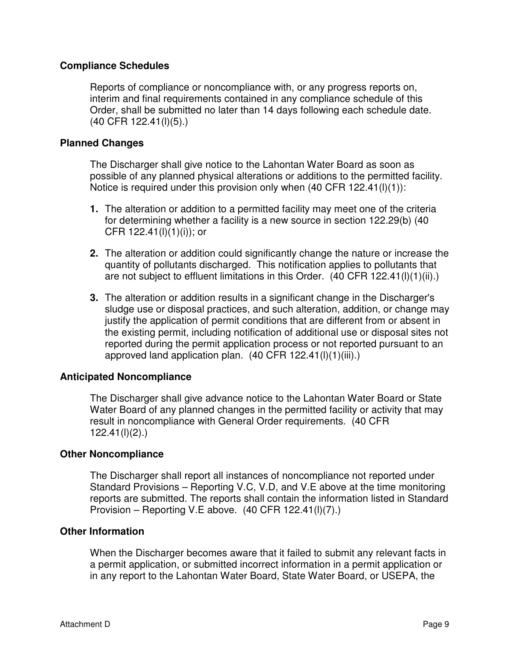#### **Compliance Schedules**

Reports of compliance or noncompliance with, or any progress reports on, interim and final requirements contained in any compliance schedule of this Order, shall be submitted no later than 14 days following each schedule date. (40 CFR 122.41(l)(5).)

#### **Planned Changes**

The Discharger shall give notice to the Lahontan Water Board as soon as possible of any planned physical alterations or additions to the permitted facility. Notice is required under this provision only when (40 CFR 122.41(l)(1)):

- **1.** The alteration or addition to a permitted facility may meet one of the criteria for determining whether a facility is a new source in section 122.29(b) (40 CFR  $122.41(l)(1)(i)$ ; or
- **2.** The alteration or addition could significantly change the nature or increase the quantity of pollutants discharged. This notification applies to pollutants that are not subject to effluent limitations in this Order. (40 CFR 122.41(l)(1)(ii).)
- **3.** The alteration or addition results in a significant change in the Discharger's sludge use or disposal practices, and such alteration, addition, or change may justify the application of permit conditions that are different from or absent in the existing permit, including notification of additional use or disposal sites not reported during the permit application process or not reported pursuant to an approved land application plan. (40 CFR 122.41(l)(1)(iii).)

#### **Anticipated Noncompliance**

The Discharger shall give advance notice to the Lahontan Water Board or State Water Board of any planned changes in the permitted facility or activity that may result in noncompliance with General Order requirements. (40 CFR 122.41(l)(2).)

#### **Other Noncompliance**

The Discharger shall report all instances of noncompliance not reported under Standard Provisions – Reporting V.C, V.D, and V.E above at the time monitoring reports are submitted. The reports shall contain the information listed in Standard Provision – Reporting V.E above. (40 CFR 122.41(l)(7).)

#### **Other Information**

When the Discharger becomes aware that it failed to submit any relevant facts in a permit application, or submitted incorrect information in a permit application or in any report to the Lahontan Water Board, State Water Board, or USEPA, the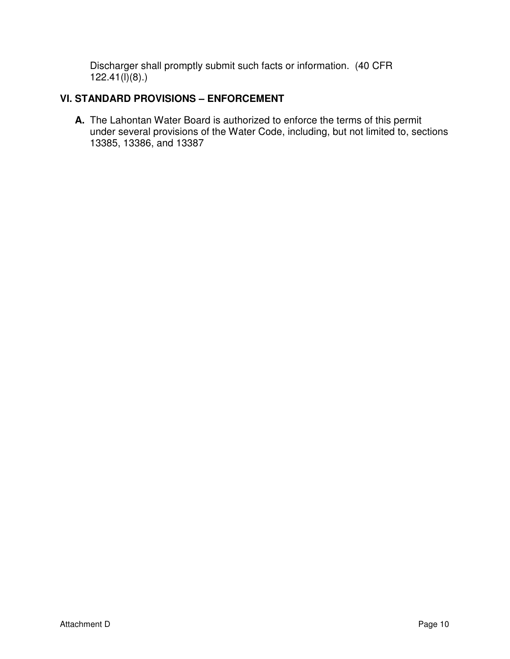Discharger shall promptly submit such facts or information. (40 CFR  $122.41(1)(8)$ .)

# **VI. STANDARD PROVISIONS – ENFORCEMENT**

**A.** The Lahontan Water Board is authorized to enforce the terms of this permit under several provisions of the Water Code, including, but not limited to, sections 13385, 13386, and 13387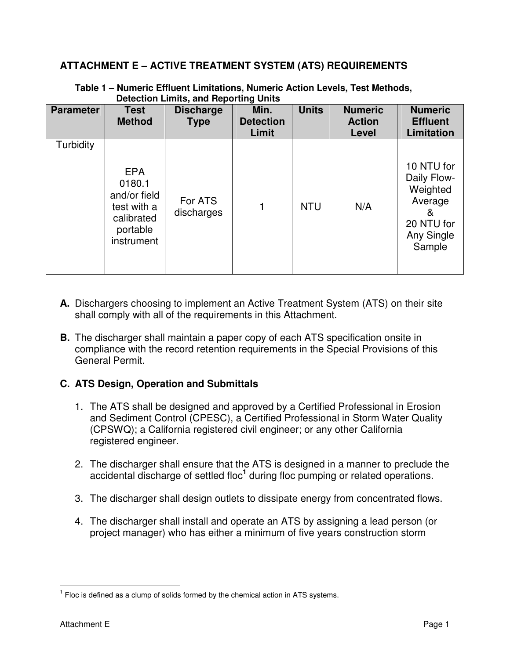### **ATTACHMENT E – ACTIVE TREATMENT SYSTEM (ATS) REQUIREMENTS**

| <b>Parameter</b> | <b>Test</b><br><b>Method</b>                                                                | <b>Discharge</b><br><b>Type</b> | Min.<br><b>Detection</b><br>Limit | <b>Units</b> | <b>Numeric</b><br><b>Action</b><br>Level | <b>Numeric</b><br><b>Effluent</b><br>Limitation                                             |
|------------------|---------------------------------------------------------------------------------------------|---------------------------------|-----------------------------------|--------------|------------------------------------------|---------------------------------------------------------------------------------------------|
| Turbidity        | <b>EPA</b><br>0180.1<br>and/or field<br>test with a<br>calibrated<br>portable<br>instrument | For ATS<br>discharges           |                                   | <b>NTU</b>   | N/A                                      | 10 NTU for<br>Daily Flow-<br>Weighted<br>Average<br>&<br>20 NTU for<br>Any Single<br>Sample |

**Table 1 – Numeric Effluent Limitations, Numeric Action Levels, Test Methods, Detection Limits, and Reporting Units** 

- **A.** Dischargers choosing to implement an Active Treatment System (ATS) on their site shall comply with all of the requirements in this Attachment.
- **B.** The discharger shall maintain a paper copy of each ATS specification onsite in compliance with the record retention requirements in the Special Provisions of this General Permit.

### **C. ATS Design, Operation and Submittals**

- 1. The ATS shall be designed and approved by a Certified Professional in Erosion and Sediment Control (CPESC), a Certified Professional in Storm Water Quality (CPSWQ); a California registered civil engineer; or any other California registered engineer.
- 2. The discharger shall ensure that the ATS is designed in a manner to preclude the accidental discharge of settled floc<sup>1</sup> during floc pumping or related operations.
- 3. The discharger shall design outlets to dissipate energy from concentrated flows.
- 4. The discharger shall install and operate an ATS by assigning a lead person (or project manager) who has either a minimum of five years construction storm

 $\overline{\phantom{a}}$  $<sup>1</sup>$  Floc is defined as a clump of solids formed by the chemical action in ATS systems.</sup>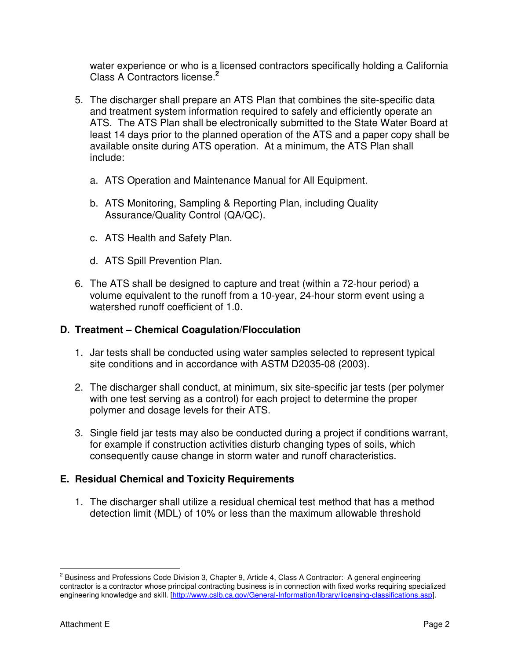water experience or who is a licensed contractors specifically holding a California Class A Contractors license.**<sup>2</sup>**

- 5. The discharger shall prepare an ATS Plan that combines the site-specific data and treatment system information required to safely and efficiently operate an ATS. The ATS Plan shall be electronically submitted to the State Water Board at least 14 days prior to the planned operation of the ATS and a paper copy shall be available onsite during ATS operation. At a minimum, the ATS Plan shall include:
	- a. ATS Operation and Maintenance Manual for All Equipment.
	- b. ATS Monitoring, Sampling & Reporting Plan, including Quality Assurance/Quality Control (QA/QC).
	- c. ATS Health and Safety Plan.
	- d. ATS Spill Prevention Plan.
- 6. The ATS shall be designed to capture and treat (within a 72-hour period) a volume equivalent to the runoff from a 10-year, 24-hour storm event using a watershed runoff coefficient of 1.0.

#### **D. Treatment – Chemical Coagulation/Flocculation**

- 1. Jar tests shall be conducted using water samples selected to represent typical site conditions and in accordance with ASTM D2035-08 (2003).
- 2. The discharger shall conduct, at minimum, six site-specific jar tests (per polymer with one test serving as a control) for each project to determine the proper polymer and dosage levels for their ATS.
- 3. Single field jar tests may also be conducted during a project if conditions warrant, for example if construction activities disturb changing types of soils, which consequently cause change in storm water and runoff characteristics.

#### **E. Residual Chemical and Toxicity Requirements**

1. The discharger shall utilize a residual chemical test method that has a method detection limit (MDL) of 10% or less than the maximum allowable threshold

<sup>&</sup>lt;u>2</u><br><sup>2</sup> Business and Professions Code Division 3, Chapter 9, Article 4, Class A Contractor: A general engineering contractor is a contractor whose principal contracting business is in connection with fixed works requiring specialized engineering knowledge and skill. [http://www.cslb.ca.gov/General-Information/library/licensing-classifications.asp].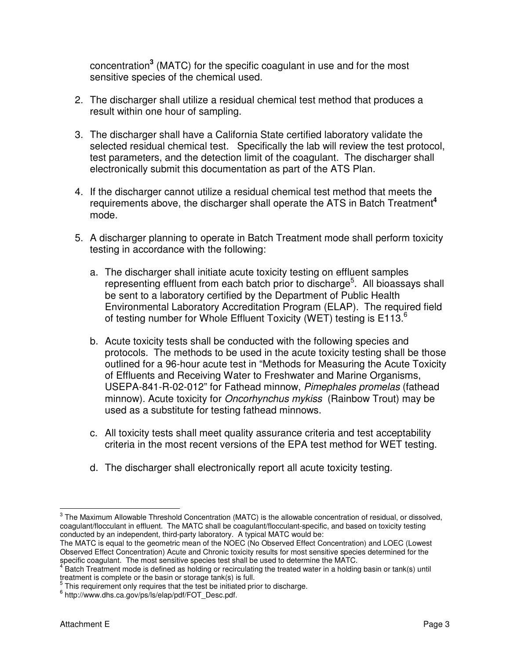concentration**<sup>3</sup>** (MATC) for the specific coagulant in use and for the most sensitive species of the chemical used.

- 2. The discharger shall utilize a residual chemical test method that produces a result within one hour of sampling.
- 3. The discharger shall have a California State certified laboratory validate the selected residual chemical test. Specifically the lab will review the test protocol, test parameters, and the detection limit of the coagulant. The discharger shall electronically submit this documentation as part of the ATS Plan.
- 4. If the discharger cannot utilize a residual chemical test method that meets the requirements above, the discharger shall operate the ATS in Batch Treatment**<sup>4</sup>** mode.
- 5. A discharger planning to operate in Batch Treatment mode shall perform toxicity testing in accordance with the following:
	- a. The discharger shall initiate acute toxicity testing on effluent samples representing effluent from each batch prior to discharge<sup>5</sup>. All bioassays shall be sent to a laboratory certified by the Department of Public Health Environmental Laboratory Accreditation Program (ELAP). The required field of testing number for Whole Effluent Toxicity (WET) testing is E113.<sup>6</sup>
	- b. Acute toxicity tests shall be conducted with the following species and protocols. The methods to be used in the acute toxicity testing shall be those outlined for a 96-hour acute test in "Methods for Measuring the Acute Toxicity of Effluents and Receiving Water to Freshwater and Marine Organisms, USEPA-841-R-02-012" for Fathead minnow, Pimephales promelas (fathead minnow). Acute toxicity for *Oncorhynchus mykiss* (Rainbow Trout) may be used as a substitute for testing fathead minnows.
	- c. All toxicity tests shall meet quality assurance criteria and test acceptability criteria in the most recent versions of the EPA test method for WET testing.
	- d. The discharger shall electronically report all acute toxicity testing.

<sup>&</sup>lt;u>3</u><br><sup>3</sup> The Maximum Allowable Threshold Concentration (MATC) is the allowable concentration of residual, or dissolved, coagulant/flocculant in effluent. The MATC shall be coagulant/flocculant-specific, and based on toxicity testing conducted by an independent, third-party laboratory. A typical MATC would be:

The MATC is equal to the geometric mean of the NOEC (No Observed Effect Concentration) and LOEC (Lowest Observed Effect Concentration) Acute and Chronic toxicity results for most sensitive species determined for the

specific coagulant. The most sensitive species test shall be used to determine the MATC.<br><sup>4</sup> Batch Treatment mode is defined as holding or recirculating the treated water in a holding basin or tank(s) until treatment is complete or the basin or storage tank(s) is full.

<sup>&</sup>lt;sup>5</sup> This requirement only requires that the test be initiated prior to discharge.

<sup>6</sup> http://www.dhs.ca.gov/ps/ls/elap/pdf/FOT\_Desc.pdf.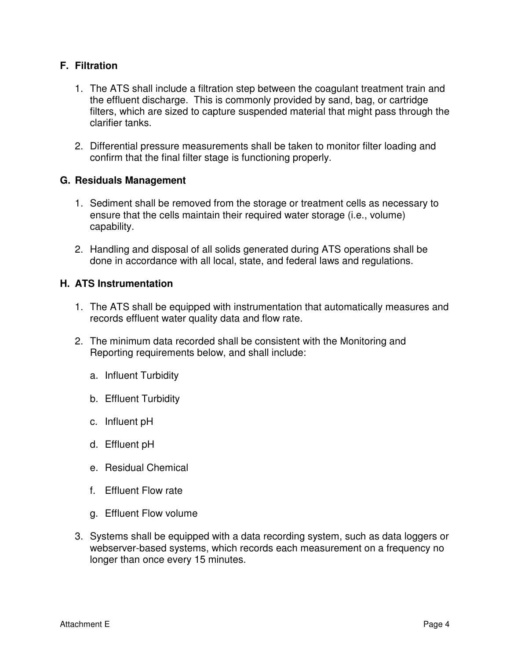### **F. Filtration**

- 1. The ATS shall include a filtration step between the coagulant treatment train and the effluent discharge. This is commonly provided by sand, bag, or cartridge filters, which are sized to capture suspended material that might pass through the clarifier tanks.
- 2. Differential pressure measurements shall be taken to monitor filter loading and confirm that the final filter stage is functioning properly.

#### **G. Residuals Management**

- 1. Sediment shall be removed from the storage or treatment cells as necessary to ensure that the cells maintain their required water storage (i.e., volume) capability.
- 2. Handling and disposal of all solids generated during ATS operations shall be done in accordance with all local, state, and federal laws and regulations.

#### **H. ATS Instrumentation**

- 1. The ATS shall be equipped with instrumentation that automatically measures and records effluent water quality data and flow rate.
- 2. The minimum data recorded shall be consistent with the Monitoring and Reporting requirements below, and shall include:
	- a. Influent Turbidity
	- b. Effluent Turbidity
	- c. Influent pH
	- d. Effluent pH
	- e. Residual Chemical
	- f. Effluent Flow rate
	- g. Effluent Flow volume
- 3. Systems shall be equipped with a data recording system, such as data loggers or webserver-based systems, which records each measurement on a frequency no longer than once every 15 minutes.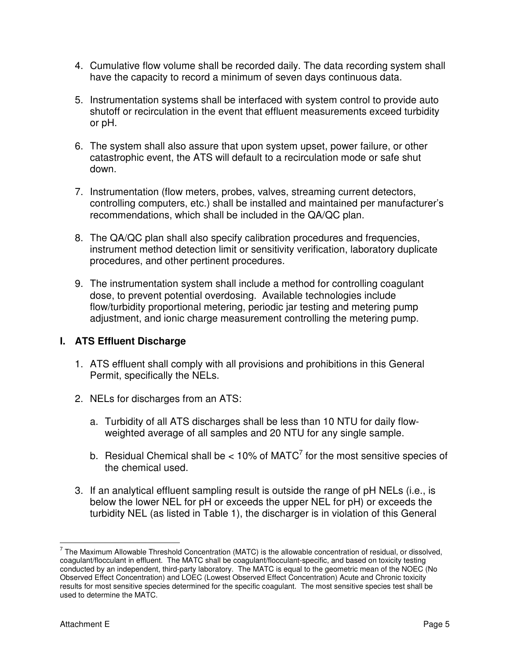- 4. Cumulative flow volume shall be recorded daily. The data recording system shall have the capacity to record a minimum of seven days continuous data.
- 5. Instrumentation systems shall be interfaced with system control to provide auto shutoff or recirculation in the event that effluent measurements exceed turbidity or pH.
- 6. The system shall also assure that upon system upset, power failure, or other catastrophic event, the ATS will default to a recirculation mode or safe shut down.
- 7. Instrumentation (flow meters, probes, valves, streaming current detectors, controlling computers, etc.) shall be installed and maintained per manufacturer's recommendations, which shall be included in the QA/QC plan.
- 8. The QA/QC plan shall also specify calibration procedures and frequencies, instrument method detection limit or sensitivity verification, laboratory duplicate procedures, and other pertinent procedures.
- 9. The instrumentation system shall include a method for controlling coagulant dose, to prevent potential overdosing. Available technologies include flow/turbidity proportional metering, periodic jar testing and metering pump adjustment, and ionic charge measurement controlling the metering pump.

### **I. ATS Effluent Discharge**

- 1. ATS effluent shall comply with all provisions and prohibitions in this General Permit, specifically the NELs.
- 2. NELs for discharges from an ATS:
	- a. Turbidity of all ATS discharges shall be less than 10 NTU for daily flowweighted average of all samples and 20 NTU for any single sample.
	- b. Residual Chemical shall be  $< 10\%$  of MATC<sup>7</sup> for the most sensitive species of the chemical used.
- 3. If an analytical effluent sampling result is outside the range of pH NELs (i.e., is below the lower NEL for pH or exceeds the upper NEL for pH) or exceeds the turbidity NEL (as listed in Table 1), the discharger is in violation of this General

 7 The Maximum Allowable Threshold Concentration (MATC) is the allowable concentration of residual, or dissolved, coagulant/flocculant in effluent. The MATC shall be coagulant/flocculant-specific, and based on toxicity testing conducted by an independent, third-party laboratory. The MATC is equal to the geometric mean of the NOEC (No Observed Effect Concentration) and LOEC (Lowest Observed Effect Concentration) Acute and Chronic toxicity results for most sensitive species determined for the specific coagulant. The most sensitive species test shall be used to determine the MATC.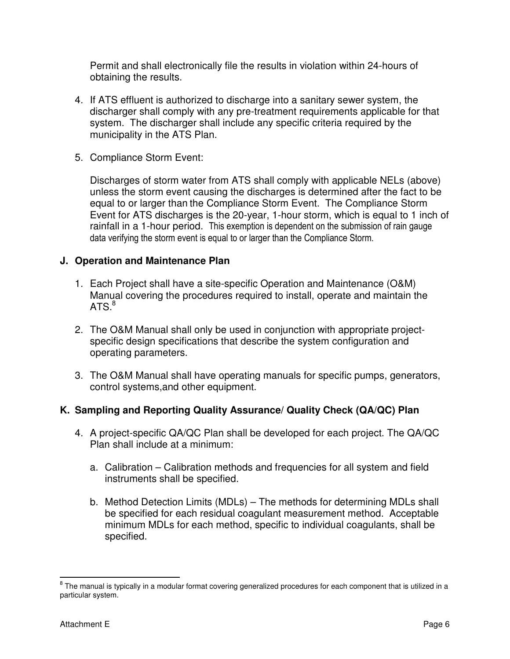Permit and shall electronically file the results in violation within 24-hours of obtaining the results.

- 4. If ATS effluent is authorized to discharge into a sanitary sewer system, the discharger shall comply with any pre-treatment requirements applicable for that system. The discharger shall include any specific criteria required by the municipality in the ATS Plan.
- 5. Compliance Storm Event:

Discharges of storm water from ATS shall comply with applicable NELs (above) unless the storm event causing the discharges is determined after the fact to be equal to or larger than the Compliance Storm Event. The Compliance Storm Event for ATS discharges is the 20-year, 1-hour storm, which is equal to 1 inch of rainfall in a 1-hour period. This exemption is dependent on the submission of rain gauge data verifying the storm event is equal to or larger than the Compliance Storm.

### **J. Operation and Maintenance Plan**

- 1. Each Project shall have a site-specific Operation and Maintenance (O&M) Manual covering the procedures required to install, operate and maintain the ATS. $^8$
- 2. The O&M Manual shall only be used in conjunction with appropriate projectspecific design specifications that describe the system configuration and operating parameters.
- 3. The O&M Manual shall have operating manuals for specific pumps, generators, control systems,and other equipment.

### **K. Sampling and Reporting Quality Assurance/ Quality Check (QA/QC) Plan**

- 4. A project-specific QA/QC Plan shall be developed for each project. The QA/QC Plan shall include at a minimum:
	- a. Calibration Calibration methods and frequencies for all system and field instruments shall be specified.
	- b. Method Detection Limits (MDLs) The methods for determining MDLs shall be specified for each residual coagulant measurement method. Acceptable minimum MDLs for each method, specific to individual coagulants, shall be specified.

enties and the manual is typically in a modular format covering generalized procedures for each component that is utilized in a set of the manual is the manual is typically in a modular format covering generalized enties. particular system.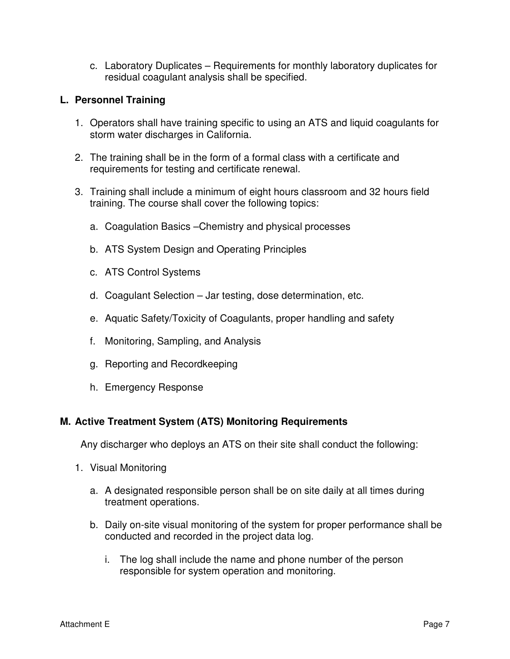c. Laboratory Duplicates – Requirements for monthly laboratory duplicates for residual coagulant analysis shall be specified.

### **L. Personnel Training**

- 1. Operators shall have training specific to using an ATS and liquid coagulants for storm water discharges in California.
- 2. The training shall be in the form of a formal class with a certificate and requirements for testing and certificate renewal.
- 3. Training shall include a minimum of eight hours classroom and 32 hours field training. The course shall cover the following topics:
	- a. Coagulation Basics –Chemistry and physical processes
	- b. ATS System Design and Operating Principles
	- c. ATS Control Systems
	- d. Coagulant Selection Jar testing, dose determination, etc.
	- e. Aquatic Safety/Toxicity of Coagulants, proper handling and safety
	- f. Monitoring, Sampling, and Analysis
	- g. Reporting and Recordkeeping
	- h. Emergency Response

### **M. Active Treatment System (ATS) Monitoring Requirements**

Any discharger who deploys an ATS on their site shall conduct the following:

- 1. Visual Monitoring
	- a. A designated responsible person shall be on site daily at all times during treatment operations.
	- b. Daily on-site visual monitoring of the system for proper performance shall be conducted and recorded in the project data log.
		- i. The log shall include the name and phone number of the person responsible for system operation and monitoring.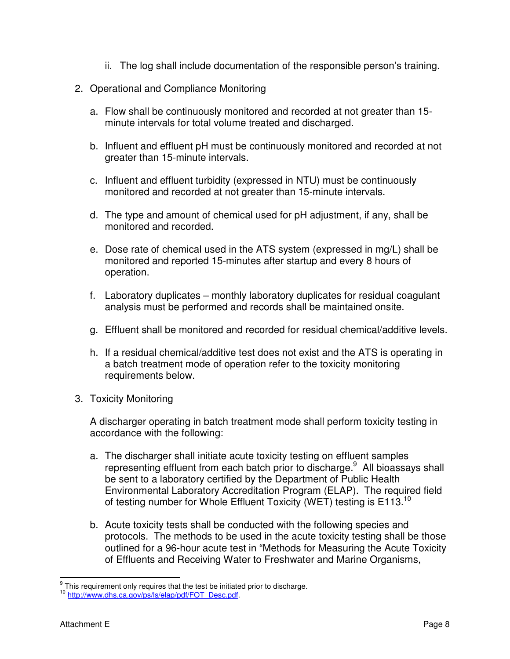- ii. The log shall include documentation of the responsible person's training.
- 2. Operational and Compliance Monitoring
	- a. Flow shall be continuously monitored and recorded at not greater than 15 minute intervals for total volume treated and discharged.
	- b. Influent and effluent pH must be continuously monitored and recorded at not greater than 15-minute intervals.
	- c. Influent and effluent turbidity (expressed in NTU) must be continuously monitored and recorded at not greater than 15-minute intervals.
	- d. The type and amount of chemical used for pH adjustment, if any, shall be monitored and recorded.
	- e. Dose rate of chemical used in the ATS system (expressed in mg/L) shall be monitored and reported 15-minutes after startup and every 8 hours of operation.
	- f. Laboratory duplicates monthly laboratory duplicates for residual coagulant analysis must be performed and records shall be maintained onsite.
	- g. Effluent shall be monitored and recorded for residual chemical/additive levels.
	- h. If a residual chemical/additive test does not exist and the ATS is operating in a batch treatment mode of operation refer to the toxicity monitoring requirements below.
- 3. Toxicity Monitoring

A discharger operating in batch treatment mode shall perform toxicity testing in accordance with the following:

- a. The discharger shall initiate acute toxicity testing on effluent samples representing effluent from each batch prior to discharge.<sup>9</sup> All bioassays shall be sent to a laboratory certified by the Department of Public Health Environmental Laboratory Accreditation Program (ELAP). The required field of testing number for Whole Effluent Toxicity (WET) testing is  $E113.<sup>10</sup>$
- b. Acute toxicity tests shall be conducted with the following species and protocols. The methods to be used in the acute toxicity testing shall be those outlined for a 96-hour acute test in "Methods for Measuring the Acute Toxicity of Effluents and Receiving Water to Freshwater and Marine Organisms,

get This requirement only requires that the test be initiated prior to discharge.

<sup>&</sup>lt;sup>10</sup> http://www.dhs.ca.gov/ps/ls/elap/pdf/FOT\_Desc.pdf.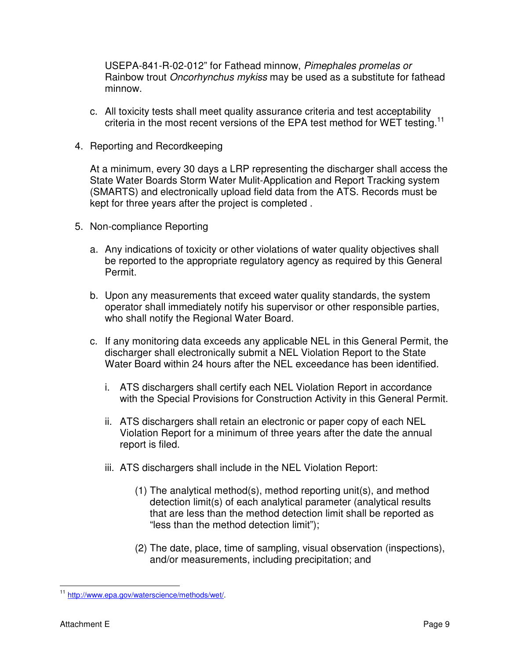USEPA-841-R-02-012" for Fathead minnow, Pimephales promelas or Rainbow trout Oncorhynchus mykiss may be used as a substitute for fathead minnow.

- c. All toxicity tests shall meet quality assurance criteria and test acceptability criteria in the most recent versions of the EPA test method for WET testing.<sup>11</sup>
- 4. Reporting and Recordkeeping

At a minimum, every 30 days a LRP representing the discharger shall access the State Water Boards Storm Water Mulit-Application and Report Tracking system (SMARTS) and electronically upload field data from the ATS. Records must be kept for three years after the project is completed .

- 5. Non-compliance Reporting
	- a. Any indications of toxicity or other violations of water quality objectives shall be reported to the appropriate regulatory agency as required by this General Permit.
	- b. Upon any measurements that exceed water quality standards, the system operator shall immediately notify his supervisor or other responsible parties, who shall notify the Regional Water Board.
	- c. If any monitoring data exceeds any applicable NEL in this General Permit, the discharger shall electronically submit a NEL Violation Report to the State Water Board within 24 hours after the NEL exceedance has been identified.
		- i. ATS dischargers shall certify each NEL Violation Report in accordance with the Special Provisions for Construction Activity in this General Permit.
		- ii. ATS dischargers shall retain an electronic or paper copy of each NEL Violation Report for a minimum of three years after the date the annual report is filed.
		- iii. ATS dischargers shall include in the NEL Violation Report:
			- (1) The analytical method(s), method reporting unit(s), and method detection limit(s) of each analytical parameter (analytical results that are less than the method detection limit shall be reported as "less than the method detection limit");
			- (2) The date, place, time of sampling, visual observation (inspections), and/or measurements, including precipitation; and

 $\overline{a}$ <sup>11</sup> http://www.epa.gov/waterscience/methods/wet/.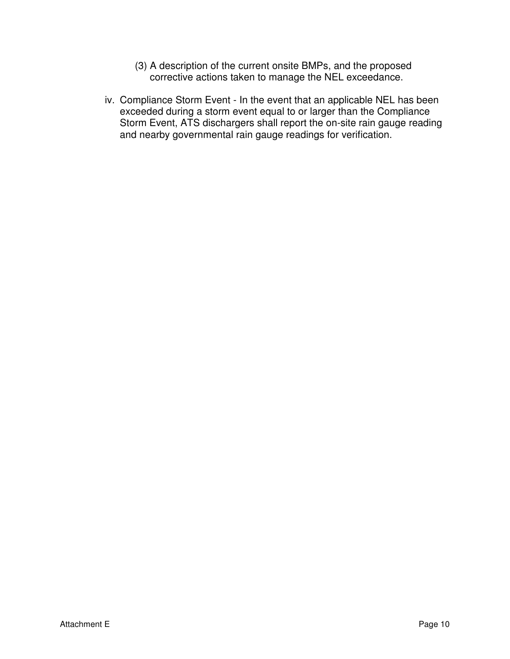- (3) A description of the current onsite BMPs, and the proposed corrective actions taken to manage the NEL exceedance.
- iv. Compliance Storm Event In the event that an applicable NEL has been exceeded during a storm event equal to or larger than the Compliance Storm Event, ATS dischargers shall report the on-site rain gauge reading and nearby governmental rain gauge readings for verification.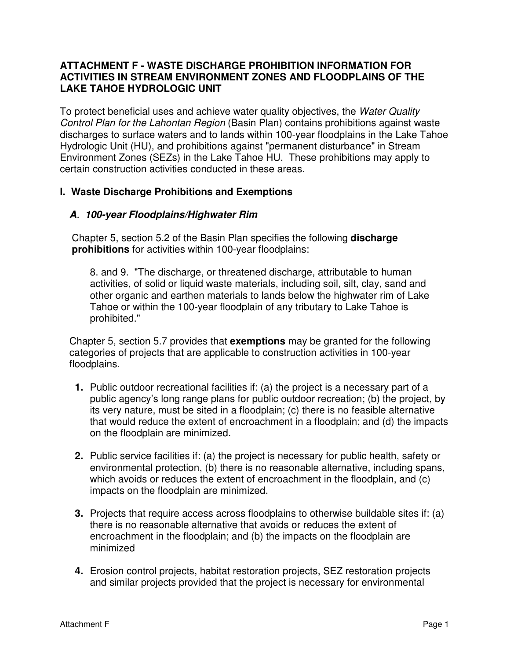### **ATTACHMENT F - WASTE DISCHARGE PROHIBITION INFORMATION FOR ACTIVITIES IN STREAM ENVIRONMENT ZONES AND FLOODPLAINS OF THE LAKE TAHOE HYDROLOGIC UNIT**

To protect beneficial uses and achieve water quality objectives, the Water Quality Control Plan for the Lahontan Region (Basin Plan) contains prohibitions against waste discharges to surface waters and to lands within 100-year floodplains in the Lake Tahoe Hydrologic Unit (HU), and prohibitions against "permanent disturbance" in Stream Environment Zones (SEZs) in the Lake Tahoe HU. These prohibitions may apply to certain construction activities conducted in these areas.

### **I. Waste Discharge Prohibitions and Exemptions**

### **A**. **100-year Floodplains/Highwater Rim**

Chapter 5, section 5.2 of the Basin Plan specifies the following **discharge prohibitions** for activities within 100-year floodplains:

8. and 9. "The discharge, or threatened discharge, attributable to human activities, of solid or liquid waste materials, including soil, silt, clay, sand and other organic and earthen materials to lands below the highwater rim of Lake Tahoe or within the 100-year floodplain of any tributary to Lake Tahoe is prohibited."

Chapter 5, section 5.7 provides that **exemptions** may be granted for the following categories of projects that are applicable to construction activities in 100-year floodplains.

- **1.** Public outdoor recreational facilities if: (a) the project is a necessary part of a public agency's long range plans for public outdoor recreation; (b) the project, by its very nature, must be sited in a floodplain; (c) there is no feasible alternative that would reduce the extent of encroachment in a floodplain; and (d) the impacts on the floodplain are minimized.
- **2.** Public service facilities if: (a) the project is necessary for public health, safety or environmental protection, (b) there is no reasonable alternative, including spans, which avoids or reduces the extent of encroachment in the floodplain, and (c) impacts on the floodplain are minimized.
- **3.** Projects that require access across floodplains to otherwise buildable sites if: (a) there is no reasonable alternative that avoids or reduces the extent of encroachment in the floodplain; and (b) the impacts on the floodplain are minimized
- **4.** Erosion control projects, habitat restoration projects, SEZ restoration projects and similar projects provided that the project is necessary for environmental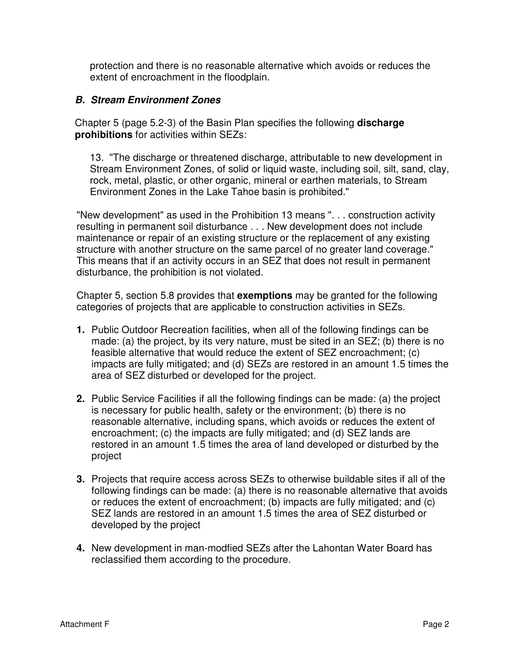protection and there is no reasonable alternative which avoids or reduces the extent of encroachment in the floodplain.

### **B. Stream Environment Zones**

Chapter 5 (page 5.2-3) of the Basin Plan specifies the following **discharge prohibitions** for activities within SEZs:

13. "The discharge or threatened discharge, attributable to new development in Stream Environment Zones, of solid or liquid waste, including soil, silt, sand, clay, rock, metal, plastic, or other organic, mineral or earthen materials, to Stream Environment Zones in the Lake Tahoe basin is prohibited."

"New development" as used in the Prohibition 13 means ". . . construction activity resulting in permanent soil disturbance . . . New development does not include maintenance or repair of an existing structure or the replacement of any existing structure with another structure on the same parcel of no greater land coverage." This means that if an activity occurs in an SEZ that does not result in permanent disturbance, the prohibition is not violated.

Chapter 5, section 5.8 provides that **exemptions** may be granted for the following categories of projects that are applicable to construction activities in SEZs.

- **1.** Public Outdoor Recreation facilities, when all of the following findings can be made: (a) the project, by its very nature, must be sited in an SEZ; (b) there is no feasible alternative that would reduce the extent of SEZ encroachment; (c) impacts are fully mitigated; and (d) SEZs are restored in an amount 1.5 times the area of SEZ disturbed or developed for the project.
- **2.** Public Service Facilities if all the following findings can be made: (a) the project is necessary for public health, safety or the environment; (b) there is no reasonable alternative, including spans, which avoids or reduces the extent of encroachment; (c) the impacts are fully mitigated; and (d) SEZ lands are restored in an amount 1.5 times the area of land developed or disturbed by the project
- **3.** Projects that require access across SEZs to otherwise buildable sites if all of the following findings can be made: (a) there is no reasonable alternative that avoids or reduces the extent of encroachment; (b) impacts are fully mitigated; and (c) SEZ lands are restored in an amount 1.5 times the area of SEZ disturbed or developed by the project
- **4.** New development in man-modfied SEZs after the Lahontan Water Board has reclassified them according to the procedure.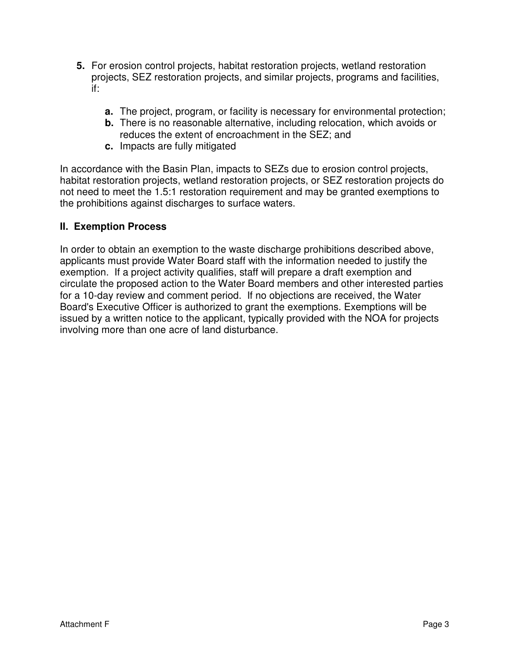- **5.** For erosion control projects, habitat restoration projects, wetland restoration projects, SEZ restoration projects, and similar projects, programs and facilities, if:
	- **a.** The project, program, or facility is necessary for environmental protection;
	- **b.** There is no reasonable alternative, including relocation, which avoids or reduces the extent of encroachment in the SEZ; and
	- **c.** Impacts are fully mitigated

In accordance with the Basin Plan, impacts to SEZs due to erosion control projects, habitat restoration projects, wetland restoration projects, or SEZ restoration projects do not need to meet the 1.5:1 restoration requirement and may be granted exemptions to the prohibitions against discharges to surface waters.

### **II. Exemption Process**

In order to obtain an exemption to the waste discharge prohibitions described above, applicants must provide Water Board staff with the information needed to justify the exemption. If a project activity qualifies, staff will prepare a draft exemption and circulate the proposed action to the Water Board members and other interested parties for a 10-day review and comment period. If no objections are received, the Water Board's Executive Officer is authorized to grant the exemptions. Exemptions will be issued by a written notice to the applicant, typically provided with the NOA for projects involving more than one acre of land disturbance.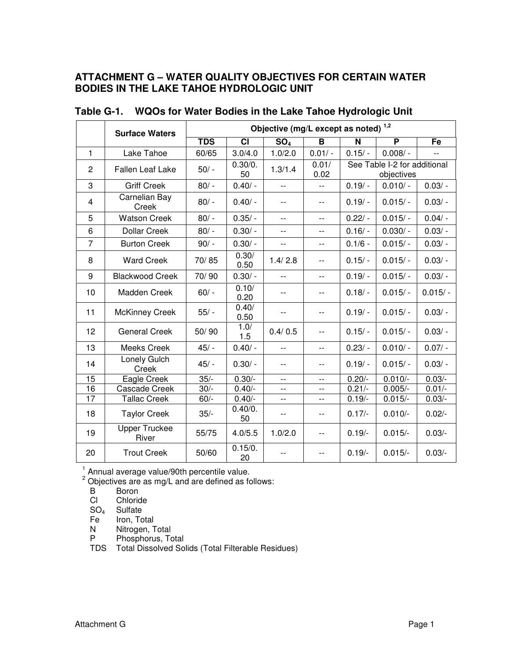### **ATTACHMENT G – WATER QUALITY OBJECTIVES FOR CERTAIN WATER BODIES IN THE LAKE TAHOE HYDROLOGIC UNIT**

|                | <b>Surface Waters</b>         |            | Objective (mg/L except as noted) <sup>1,2</sup> |                 |               |             |                                            |           |  |  |
|----------------|-------------------------------|------------|-------------------------------------------------|-----------------|---------------|-------------|--------------------------------------------|-----------|--|--|
|                |                               | <b>TDS</b> | <b>CI</b>                                       | SO <sub>4</sub> | В             | $\mathbf N$ | P                                          | Fe        |  |  |
| $\mathbf{1}$   | Lake Tahoe                    | 60/65      | 3.0/4.0                                         | 1.0/2.0         | $0.01/-$      | $0.15/ -$   | $0.008/-$                                  |           |  |  |
| 2              | <b>Fallen Leaf Lake</b>       | $50/ -$    | 0.30/0.<br>50                                   | 1.3/1.4         | 0.01/<br>0.02 |             | See Table I-2 for additional<br>objectives |           |  |  |
| 3              | <b>Griff Creek</b>            | $80/ -$    | $0.40/ -$                                       | $-$             | $-$           | $0.19/ -$   | $0.010/-$                                  | $0.03/-$  |  |  |
| $\overline{4}$ | Carnelian Bay<br>Creek        | $80/ -$    | $0.40/ -$                                       | --              | --            | $0.19/ -$   | $0.015/-$                                  | $0.03/ -$ |  |  |
| 5              | <b>Watson Creek</b>           | $80/ -$    | $0.35/ -$                                       | $-$             | $-$           | $0.22/ -$   | $0.015/-$                                  | $0.04/-$  |  |  |
| 6              | <b>Dollar Creek</b>           | $80/ -$    | $0.30/-$                                        | $-$             | --            | $0.16/ -$   | $0.030/-$                                  | $0.03/ -$ |  |  |
| $\overline{7}$ | <b>Burton Creek</b>           | $90/ -$    | $0.30/-$                                        | $-$             | $-$           | $0.1/6 -$   | $0.015/-$                                  | $0.03/ -$ |  |  |
| 8              | <b>Ward Creek</b>             | 70/85      | 0.30/<br>0.50                                   | 1.4/2.8         | $-$           | $0.15/ -$   | $0.015/-$                                  | $0.03/ -$ |  |  |
| 9              | <b>Blackwood Creek</b>        | 70/90      | $0.30/-$                                        | $-$             | $-$           | $0.19/ -$   | $0.015/-$                                  | $0.03/ -$ |  |  |
| 10             | Madden Creek                  | $60/ -$    | 0.10/<br>0.20                                   | --              | $-$           | $0.18/ -$   | $0.015/-$                                  | $0.015/-$ |  |  |
| 11             | <b>McKinney Creek</b>         | $55/ -$    | 0.40/<br>0.50                                   | $-$             | $-$           | $0.19/ -$   | $0.015/-$                                  | $0.03/ -$ |  |  |
| 12             | <b>General Creek</b>          | 50/90      | 1.0/<br>1.5                                     | 0.4/0.5         | $-$           | $0.15/ -$   | $0.015/-$                                  | $0.03/-$  |  |  |
| 13             | Meeks Creek                   | $45/ -$    | $0.40/-$                                        | $\overline{a}$  | $-$           | $0.23/ -$   | $0.010/-$                                  | $0.07/-$  |  |  |
| 14             | Lonely Gulch<br>Creek         | $45/ -$    | $0.30/-$                                        | --              | $- -$         | $0.19/ -$   | $0.015/-$                                  | $0.03/ -$ |  |  |
| 15             | Eagle Creek                   | $35/-$     | $0.30/-$                                        | $-$             | $-$           | $0.20/-$    | $0.010/-$                                  | $0.03/-$  |  |  |
| 16             | Cascade Creek                 | $30/-$     | $0.40/-$                                        | $-$             | $-$           | $0.21/-$    | $0.005/-$                                  | $0.01/-$  |  |  |
| 17             | <b>Tallac Creek</b>           | $60/-$     | $0.40/-$                                        | $-$             | $-$           | $0.19/-$    | $0.015/-$                                  | $0.03/-$  |  |  |
| 18             | <b>Taylor Creek</b>           | $35/-$     | 0.40/0.<br>50                                   | $-$             | $-$           | $0.17/-$    | $0.010/-$                                  | $0.02/-$  |  |  |
| 19             | <b>Upper Truckee</b><br>River | 55/75      | 4.0/5.5                                         | 1.0/2.0         | --            | $0.19/-$    | $0.015/-$                                  | $0.03/-$  |  |  |
| 20             | <b>Trout Creek</b>            | 50/60      | 0.15/0.<br>20                                   | $-$             | $-$           | $0.19/-$    | $0.015/-$                                  | $0.03/-$  |  |  |

# **Table G-1. WQOs for Water Bodies in the Lake Tahoe Hydrologic Unit**

<sup>1</sup> Annual average value/90th percentile value.<br><sup>2</sup> Objectives are as mg/L and are defined as follows:

B Boron<br>Cl Chloric

Chloride

SO<sub>4</sub> Sulfate<br>Fe Iron, To

Iron, Total

N Nitrogen, Total

P Phosphorus, Total

TDS Total Dissolved Solids (Total Filterable Residues)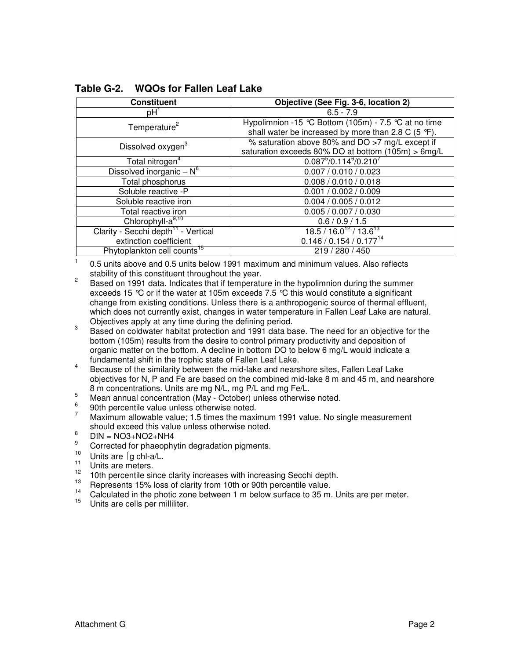| <b>Constituent</b>                              | Objective (See Fig. 3-6, location 2)                 |  |  |  |
|-------------------------------------------------|------------------------------------------------------|--|--|--|
| pH <sup>1</sup>                                 | $6.5 - 7.9$                                          |  |  |  |
| Temperature <sup>2</sup>                        | Hypolimnion -15 °C Bottom (105m) - 7.5 °C at no time |  |  |  |
|                                                 | shall water be increased by more than 2.8 C (5 °F).  |  |  |  |
| Dissolved oxygen <sup>3</sup>                   | % saturation above 80% and DO >7 mg/L except if      |  |  |  |
|                                                 | saturation exceeds 80% DO at bottom (105m) > 6mg/L   |  |  |  |
| Total nitrogen <sup>4</sup>                     | $0.087^{5}/0.114^{6}/0.210^{7}$                      |  |  |  |
| Dissolved inorganic $-N^8$                      | 0.007 / 0.010 / 0.023                                |  |  |  |
| Total phosphorus                                | 0.008 / 0.010 / 0.018                                |  |  |  |
| Soluble reactive -P                             | 0.001 / 0.002 / 0.009                                |  |  |  |
| Soluble reactive iron                           | 0.004 / 0.005 / 0.012                                |  |  |  |
| Total reactive iron                             | 0.005 / 0.007 / 0.030                                |  |  |  |
| Chlorophyll-a <sup>9,10</sup>                   | 0.6 / 0.9 / 1.5                                      |  |  |  |
| Clarity - Secchi depth <sup>11</sup> - Vertical | $18.5 / 16.0^{12} / 13.6^{13}$                       |  |  |  |
| extinction coefficient                          | $0.146 / 0.154 / 0.177^{14}$                         |  |  |  |
| Phytoplankton cell counts <sup>15</sup>         | 219 / 280 / 450                                      |  |  |  |

**Table G-2. WQOs for Fallen Leaf Lake** 

 0.5 units above and 0.5 units below 1991 maximum and minimum values. Also reflects stability of this constituent throughout the year.

2 Based on 1991 data. Indicates that if temperature in the hypolimnion during the summer exceeds 15 °C or if the water at 105m exceeds 7.5 °C this would constitute a significant change from existing conditions. Unless there is a anthropogenic source of thermal effluent, which does not currently exist, changes in water temperature in Fallen Leaf Lake are natural. Objectives apply at any time during the defining period.

3 Based on coldwater habitat protection and 1991 data base. The need for an objective for the bottom (105m) results from the desire to control primary productivity and deposition of organic matter on the bottom. A decline in bottom DO to below 6 mg/L would indicate a fundamental shift in the trophic state of Fallen Leaf Lake.

ABECAUSE OF THE MILITARY CONTROL CONTROL CONTROL CONTROL TO BECAUSE THE MILITARY BECAUSE of the similarity between the mid-lake and nearshore sites, Fallen Leaf Lake objectives for N, P and Fe are based on the combined mid-lake 8 m and 45 m, and nearshore 8 m concentrations. Units are mg N/L, mg P/L and mg Fe/L.

- $5<sup>5</sup>$  Mean annual concentration (May October) unless otherwise noted.
- 6  $\frac{6}{7}$  90th percentile value unless otherwise noted.

<sup>7</sup>Maximum allowable value; 1.5 times the maximum 1991 value. No single measurement should exceed this value unless otherwise noted.

- 8  $DIN = NO3 + NO2 + NH4$
- 9 <sup>9</sup> Corrected for phaeophytin degradation pigments.
- <sup>10</sup> Units are  $\int$ g chl-a/L.
- $\frac{11}{12}$  Units are meters.

1

- <sup>12</sup> 10th percentile since clarity increases with increasing Secchi depth.<br> $\frac{13}{13}$  Depression 15% less of electrofrom 19th as 20th percentile value.
- <sup>13</sup> Represents 15% loss of clarity from 10th or 90th percentile value.
- <sup>14</sup> Calculated in the photic zone between 1 m below surface to 35 m. Units are per meter.
- Units are cells per milliliter.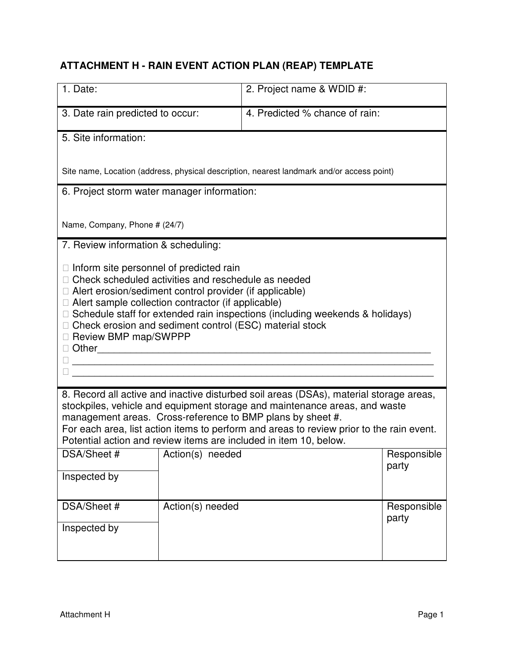# **ATTACHMENT H - RAIN EVENT ACTION PLAN (REAP) TEMPLATE**

| 1. Date:                                    |                                                                                                                                                                                                                                                                                                                                                                                    | 2. Project name & WDID #:                                                                                                                                                                                                          |                      |  |  |  |
|---------------------------------------------|------------------------------------------------------------------------------------------------------------------------------------------------------------------------------------------------------------------------------------------------------------------------------------------------------------------------------------------------------------------------------------|------------------------------------------------------------------------------------------------------------------------------------------------------------------------------------------------------------------------------------|----------------------|--|--|--|
| 3. Date rain predicted to occur:            |                                                                                                                                                                                                                                                                                                                                                                                    | 4. Predicted % chance of rain:                                                                                                                                                                                                     |                      |  |  |  |
| 5. Site information:                        |                                                                                                                                                                                                                                                                                                                                                                                    |                                                                                                                                                                                                                                    |                      |  |  |  |
|                                             | Site name, Location (address, physical description, nearest landmark and/or access point)                                                                                                                                                                                                                                                                                          |                                                                                                                                                                                                                                    |                      |  |  |  |
| 6. Project storm water manager information: |                                                                                                                                                                                                                                                                                                                                                                                    |                                                                                                                                                                                                                                    |                      |  |  |  |
| Name, Company, Phone # (24/7)               |                                                                                                                                                                                                                                                                                                                                                                                    |                                                                                                                                                                                                                                    |                      |  |  |  |
| 7. Review information & scheduling:         |                                                                                                                                                                                                                                                                                                                                                                                    |                                                                                                                                                                                                                                    |                      |  |  |  |
| Other                                       | Inform site personnel of predicted rain<br>Check scheduled activities and reschedule as needed<br>Alert erosion/sediment control provider (if applicable)<br>Alert sample collection contractor (if applicable)<br>Schedule staff for extended rain inspections (including weekends & holidays)<br>Check erosion and sediment control (ESC) material stock<br>Review BMP map/SWPPP |                                                                                                                                                                                                                                    |                      |  |  |  |
|                                             |                                                                                                                                                                                                                                                                                                                                                                                    | 8. Record all active and inactive disturbed soil areas (DSAs), material storage areas,<br>stockpiles, vehicle and equipment storage and maintenance areas, and waste<br>management areas. Cross-reference to BMP plans by sheet #. |                      |  |  |  |
|                                             |                                                                                                                                                                                                                                                                                                                                                                                    | For each area, list action items to perform and areas to review prior to the rain event.<br>Potential action and review items are included in item 10, below.                                                                      |                      |  |  |  |
| DSA/Sheet #                                 | Action(s) needed                                                                                                                                                                                                                                                                                                                                                                   |                                                                                                                                                                                                                                    | Responsible<br>party |  |  |  |
| Inspected by                                |                                                                                                                                                                                                                                                                                                                                                                                    |                                                                                                                                                                                                                                    |                      |  |  |  |
| DSA/Sheet #                                 | Action(s) needed                                                                                                                                                                                                                                                                                                                                                                   |                                                                                                                                                                                                                                    | Responsible<br>party |  |  |  |
| Inspected by                                |                                                                                                                                                                                                                                                                                                                                                                                    |                                                                                                                                                                                                                                    |                      |  |  |  |
|                                             |                                                                                                                                                                                                                                                                                                                                                                                    |                                                                                                                                                                                                                                    |                      |  |  |  |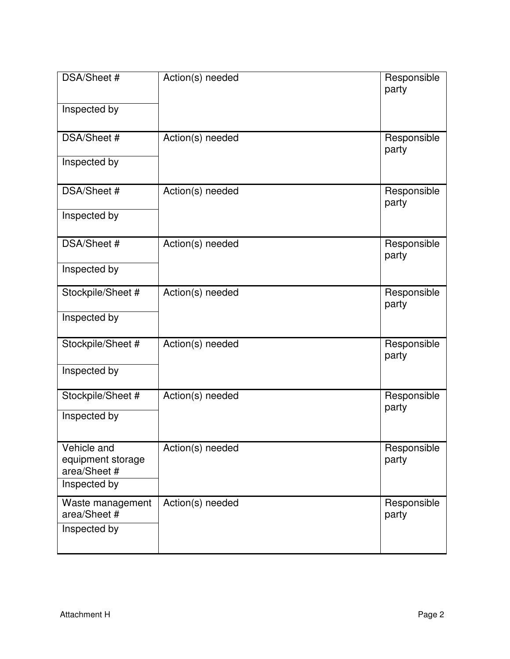| DSA/Sheet #<br>Inspected by                      | Action(s) needed | Responsible<br>party |
|--------------------------------------------------|------------------|----------------------|
| DSA/Sheet #                                      | Action(s) needed | Responsible<br>party |
| Inspected by                                     |                  |                      |
| DSA/Sheet #                                      | Action(s) needed | Responsible<br>party |
| Inspected by                                     |                  |                      |
| DSA/Sheet #                                      | Action(s) needed | Responsible<br>party |
| Inspected by                                     |                  |                      |
| Stockpile/Sheet #                                | Action(s) needed | Responsible<br>party |
| Inspected by                                     |                  |                      |
| Stockpile/Sheet #                                | Action(s) needed | Responsible<br>party |
| Inspected by                                     |                  |                      |
| Stockpile/Sheet #                                | Action(s) needed | Responsible<br>party |
| Inspected by                                     |                  |                      |
| Vehicle and<br>equipment storage                 | Action(s) needed | Responsible<br>party |
| area/Sheet #<br>Inspected by                     |                  |                      |
| Waste management<br>area/Sheet #<br>Inspected by | Action(s) needed | Responsible<br>party |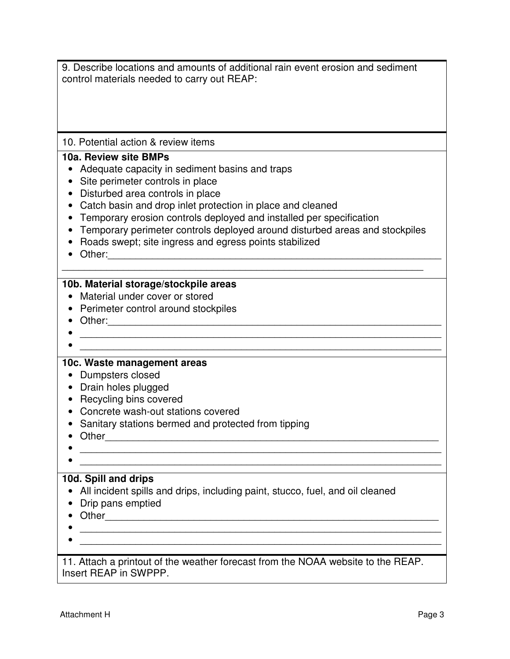| 9. Describe locations and amounts of additional rain event erosion and sediment |  |
|---------------------------------------------------------------------------------|--|
| control materials needed to carry out REAP:                                     |  |

10. Potential action & review items

#### **10a. Review site BMPs**

- Adequate capacity in sediment basins and traps
- Site perimeter controls in place
- Disturbed area controls in place
- Catch basin and drop inlet protection in place and cleaned
- Temporary erosion controls deployed and installed per specification
- Temporary perimeter controls deployed around disturbed areas and stockpiles

\_\_\_\_\_\_\_\_\_\_\_\_\_\_\_\_\_\_\_\_\_\_\_\_\_\_\_\_\_\_\_\_\_\_\_\_\_\_\_\_\_\_\_\_\_\_\_\_\_\_\_\_\_\_\_\_\_\_\_\_\_\_\_\_\_

- Roads swept; site ingress and egress points stabilized
- Other:\_\_\_\_\_\_\_\_\_\_\_\_\_\_\_\_\_\_\_\_\_\_\_\_\_\_\_\_\_\_\_\_\_\_\_\_\_\_\_\_\_\_\_\_\_\_\_\_\_\_\_\_\_\_\_\_\_\_\_\_

#### **10b. Material storage/stockpile areas**

- Material under cover or stored
- Perimeter control around stockpiles

 $\bullet$  . The contract of the contract of the contract of the contract of the contract of the contract of the contract of

- Other:\_\_\_\_\_\_\_\_\_\_\_\_\_\_\_\_\_\_\_\_\_\_\_\_\_\_\_\_\_\_\_\_\_\_\_\_\_\_\_\_\_\_\_\_\_\_\_\_\_\_\_\_\_\_\_\_\_\_\_\_
- $\hspace{0.5cm}$   $\hspace{0.5cm}$   $\hspace{0.5cm}$   $\hspace{0.5cm}$   $\hspace{0.5cm}$   $\hspace{0.5cm}$   $\hspace{0.5cm}$   $\hspace{0.5cm}$   $\hspace{0.5cm}$   $\hspace{0.5cm}$   $\hspace{0.5cm}$   $\hspace{0.5cm}$   $\hspace{0.5cm}$   $\hspace{0.5cm}$   $\hspace{0.5cm}$   $\hspace{0.5cm}$   $\hspace{0.5cm}$   $\hspace{0.5cm}$   $\hs$
- 

#### **10c. Waste management areas**

- Dumpsters closed
- Drain holes plugged
- Recycling bins covered
- Concrete wash-out stations covered
- Sanitary stations bermed and protected from tipping
- Other\_\_\_\_\_\_\_\_\_\_\_\_\_\_\_\_\_\_\_\_\_\_\_\_\_\_\_\_\_\_\_\_\_\_\_\_\_\_\_\_\_\_\_\_\_\_\_\_\_\_\_\_\_\_\_\_\_\_\_\_
- $\hspace{0.5cm}$   $\hspace{0.5cm}$   $\hspace{0.5cm}$   $\hspace{0.5cm}$   $\hspace{0.5cm}$   $\hspace{0.5cm}$   $\hspace{0.5cm}$   $\hspace{0.5cm}$   $\hspace{0.5cm}$   $\hspace{0.5cm}$   $\hspace{0.5cm}$   $\hspace{0.5cm}$   $\hspace{0.5cm}$   $\hspace{0.5cm}$   $\hspace{0.5cm}$   $\hspace{0.5cm}$   $\hspace{0.5cm}$   $\hspace{0.5cm}$   $\hs$
- $\hspace{0.5cm}$   $\hspace{0.5cm}$   $\hspace{0.5cm}$   $\hspace{0.5cm}$   $\hspace{0.5cm}$   $\hspace{0.5cm}$   $\hspace{0.5cm}$   $\hspace{0.5cm}$   $\hspace{0.5cm}$   $\hspace{0.5cm}$   $\hspace{0.5cm}$   $\hspace{0.5cm}$   $\hspace{0.5cm}$   $\hspace{0.5cm}$   $\hspace{0.5cm}$   $\hspace{0.5cm}$   $\hspace{0.5cm}$   $\hspace{0.5cm}$   $\hs$

#### **10d. Spill and drips**

- All incident spills and drips, including paint, stucco, fuel, and oil cleaned
- Drip pans emptied
- Other\_\_\_\_\_\_\_\_\_\_\_\_\_\_\_\_\_\_\_\_\_\_\_\_\_\_\_\_\_\_\_\_\_\_\_\_\_\_\_\_\_\_\_\_\_\_\_\_\_\_\_\_\_\_\_\_\_\_\_\_
- $\hspace{0.5cm}$   $\hspace{0.5cm}$   $\hspace{0.5cm}$   $\hspace{0.5cm}$   $\hspace{0.5cm}$   $\hspace{0.5cm}$   $\hspace{0.5cm}$   $\hspace{0.5cm}$   $\hspace{0.5cm}$   $\hspace{0.5cm}$   $\hspace{0.5cm}$   $\hspace{0.5cm}$   $\hspace{0.5cm}$   $\hspace{0.5cm}$   $\hspace{0.5cm}$   $\hspace{0.5cm}$   $\hspace{0.5cm}$   $\hspace{0.5cm}$   $\hs$
- $\hspace{0.5cm}$   $\hspace{0.5cm}$   $\hspace{0.5cm}$   $\hspace{0.5cm}$   $\hspace{0.5cm}$   $\hspace{0.5cm}$   $\hspace{0.5cm}$   $\hspace{0.5cm}$   $\hspace{0.5cm}$   $\hspace{0.5cm}$   $\hspace{0.5cm}$   $\hspace{0.5cm}$   $\hspace{0.5cm}$   $\hspace{0.5cm}$   $\hspace{0.5cm}$   $\hspace{0.5cm}$   $\hspace{0.5cm}$   $\hspace{0.5cm}$   $\hs$

11. Attach a printout of the weather forecast from the NOAA website to the REAP. Insert REAP in SWPPP.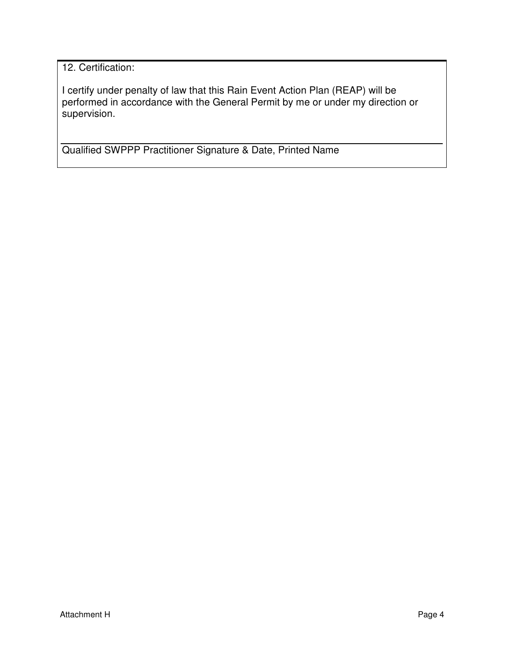12. Certification:

I certify under penalty of law that this Rain Event Action Plan (REAP) will be performed in accordance with the General Permit by me or under my direction or supervision.

Qualified SWPPP Practitioner Signature & Date, Printed Name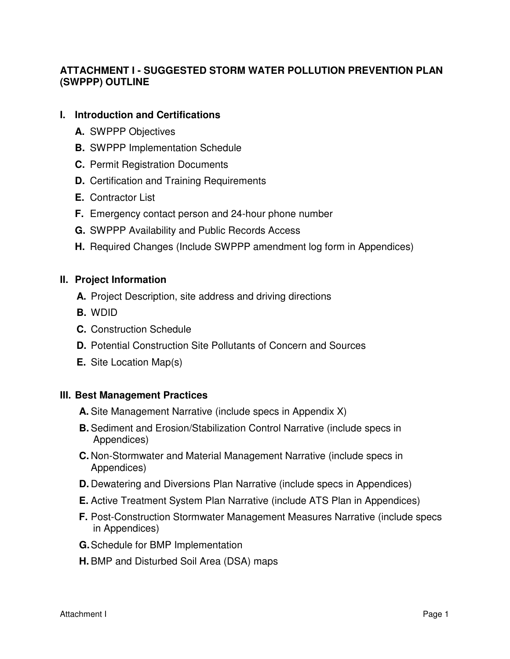# **ATTACHMENT I - SUGGESTED STORM WATER POLLUTION PREVENTION PLAN (SWPPP) OUTLINE**

#### **I. Introduction and Certifications**

- **A.** SWPPP Objectives
- **B.** SWPPP Implementation Schedule
- **C.** Permit Registration Documents
- **D.** Certification and Training Requirements
- **E.** Contractor List
- **F.** Emergency contact person and 24-hour phone number
- **G.** SWPPP Availability and Public Records Access
- **H.** Required Changes (Include SWPPP amendment log form in Appendices)

#### **II. Project Information**

- **A.** Project Description, site address and driving directions
- **B.** WDID
- **C.** Construction Schedule
- **D.** Potential Construction Site Pollutants of Concern and Sources
- **E.** Site Location Map(s)

#### **III. Best Management Practices**

- **A.** Site Management Narrative (include specs in Appendix X)
- **B.** Sediment and Erosion/Stabilization Control Narrative (include specs in Appendices)
- **C.** Non-Stormwater and Material Management Narrative (include specs in Appendices)
- **D.** Dewatering and Diversions Plan Narrative (include specs in Appendices)
- **E.** Active Treatment System Plan Narrative (include ATS Plan in Appendices)
- **F.** Post-Construction Stormwater Management Measures Narrative (include specs in Appendices)
- **G.** Schedule for BMP Implementation
- **H.** BMP and Disturbed Soil Area (DSA) maps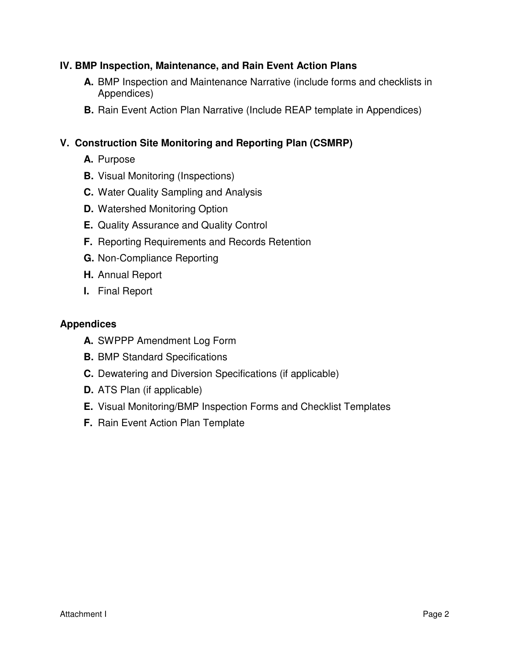### **IV. BMP Inspection, Maintenance, and Rain Event Action Plans**

- **A.** BMP Inspection and Maintenance Narrative (include forms and checklists in Appendices)
- **B.** Rain Event Action Plan Narrative (Include REAP template in Appendices)

### **V. Construction Site Monitoring and Reporting Plan (CSMRP)**

- **A.** Purpose
- **B.** Visual Monitoring (Inspections)
- **C.** Water Quality Sampling and Analysis
- **D.** Watershed Monitoring Option
- **E.** Quality Assurance and Quality Control
- **F.** Reporting Requirements and Records Retention
- **G.** Non-Compliance Reporting
- **H.** Annual Report
- **I.** Final Report

#### **Appendices**

- **A.** SWPPP Amendment Log Form
- **B.** BMP Standard Specifications
- **C.** Dewatering and Diversion Specifications (if applicable)
- **D.** ATS Plan (if applicable)
- **E.** Visual Monitoring/BMP Inspection Forms and Checklist Templates
- **F.** Rain Event Action Plan Template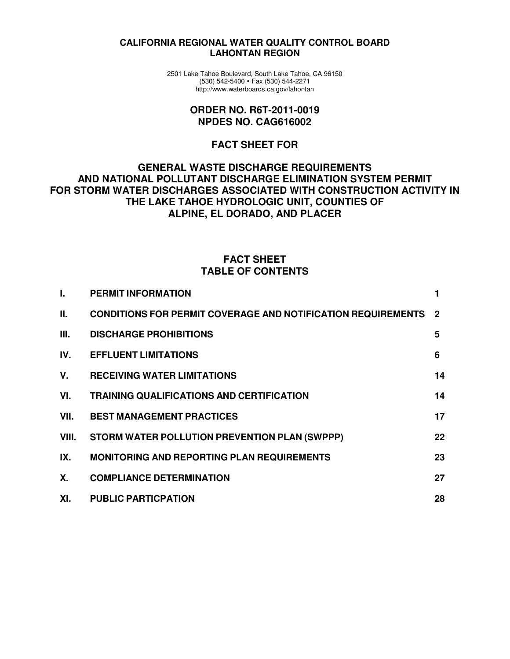#### **CALIFORNIA REGIONAL WATER QUALITY CONTROL BOARD LAHONTAN REGION**

2501 Lake Tahoe Boulevard, South Lake Tahoe, CA 96150 (530) 542-5400 Fax (530) 544-2271 http://www.waterboards.ca.gov/lahontan

#### **ORDER NO. R6T-2011-0019 NPDES NO. CAG616002**

#### **FACT SHEET FOR**

#### **GENERAL WASTE DISCHARGE REQUIREMENTS AND NATIONAL POLLUTANT DISCHARGE ELIMINATION SYSTEM PERMIT FOR STORM WATER DISCHARGES ASSOCIATED WITH CONSTRUCTION ACTIVITY IN THE LAKE TAHOE HYDROLOGIC UNIT, COUNTIES OF ALPINE, EL DORADO, AND PLACER**

#### **FACT SHEET TABLE OF CONTENTS**

| Τ.    | <b>PERMIT INFORMATION</b>                                           |             |
|-------|---------------------------------------------------------------------|-------------|
| Ш.    | <b>CONDITIONS FOR PERMIT COVERAGE AND NOTIFICATION REQUIREMENTS</b> | $\mathbf 2$ |
| III.  | <b>DISCHARGE PROHIBITIONS</b>                                       | 5           |
| IV.   | <b>EFFLUENT LIMITATIONS</b>                                         | 6           |
| V.    | <b>RECEIVING WATER LIMITATIONS</b>                                  | 14          |
| VI.   | <b>TRAINING QUALIFICATIONS AND CERTIFICATION</b>                    | 14          |
| VII.  | <b>BEST MANAGEMENT PRACTICES</b>                                    | 17          |
| VIII. | STORM WATER POLLUTION PREVENTION PLAN (SWPPP)                       | 22          |
| IX.   | <b>MONITORING AND REPORTING PLAN REQUIREMENTS</b>                   | 23          |
| Χ.    | <b>COMPLIANCE DETERMINATION</b>                                     | 27          |
| XI.   | <b>PUBLIC PARTICPATION</b>                                          | 28          |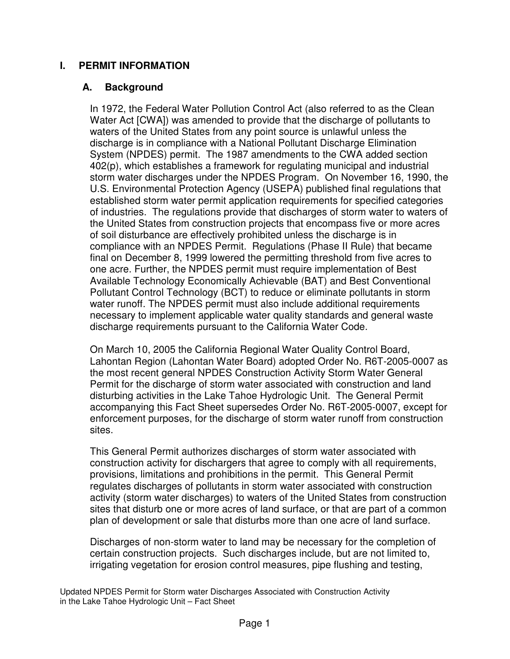### **I. PERMIT INFORMATION**

#### **A. Background**

In 1972, the Federal Water Pollution Control Act (also referred to as the Clean Water Act [CWA]) was amended to provide that the discharge of pollutants to waters of the United States from any point source is unlawful unless the discharge is in compliance with a National Pollutant Discharge Elimination System (NPDES) permit. The 1987 amendments to the CWA added section 402(p), which establishes a framework for regulating municipal and industrial storm water discharges under the NPDES Program. On November 16, 1990, the U.S. Environmental Protection Agency (USEPA) published final regulations that established storm water permit application requirements for specified categories of industries. The regulations provide that discharges of storm water to waters of the United States from construction projects that encompass five or more acres of soil disturbance are effectively prohibited unless the discharge is in compliance with an NPDES Permit. Regulations (Phase II Rule) that became final on December 8, 1999 lowered the permitting threshold from five acres to one acre. Further, the NPDES permit must require implementation of Best Available Technology Economically Achievable (BAT) and Best Conventional Pollutant Control Technology (BCT) to reduce or eliminate pollutants in storm water runoff. The NPDES permit must also include additional requirements necessary to implement applicable water quality standards and general waste discharge requirements pursuant to the California Water Code.

On March 10, 2005 the California Regional Water Quality Control Board, Lahontan Region (Lahontan Water Board) adopted Order No. R6T-2005-0007 as the most recent general NPDES Construction Activity Storm Water General Permit for the discharge of storm water associated with construction and land disturbing activities in the Lake Tahoe Hydrologic Unit. The General Permit accompanying this Fact Sheet supersedes Order No. R6T-2005-0007, except for enforcement purposes, for the discharge of storm water runoff from construction sites.

This General Permit authorizes discharges of storm water associated with construction activity for dischargers that agree to comply with all requirements, provisions, limitations and prohibitions in the permit. This General Permit regulates discharges of pollutants in storm water associated with construction activity (storm water discharges) to waters of the United States from construction sites that disturb one or more acres of land surface, or that are part of a common plan of development or sale that disturbs more than one acre of land surface.

Discharges of non-storm water to land may be necessary for the completion of certain construction projects. Such discharges include, but are not limited to, irrigating vegetation for erosion control measures, pipe flushing and testing,

Updated NPDES Permit for Storm water Discharges Associated with Construction Activity in the Lake Tahoe Hydrologic Unit – Fact Sheet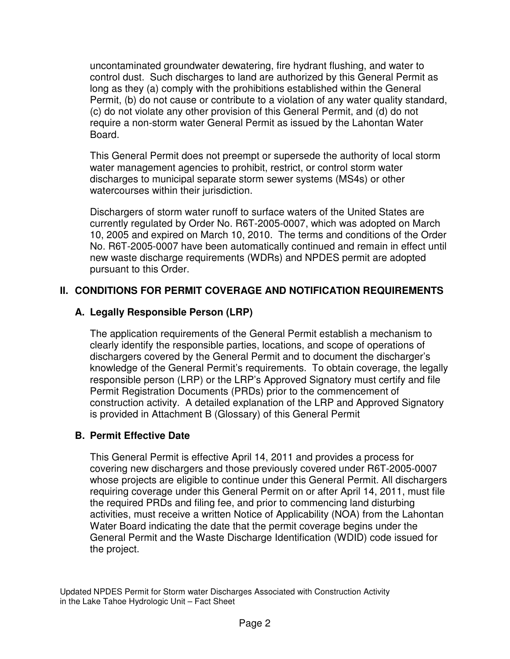uncontaminated groundwater dewatering, fire hydrant flushing, and water to control dust. Such discharges to land are authorized by this General Permit as long as they (a) comply with the prohibitions established within the General Permit, (b) do not cause or contribute to a violation of any water quality standard, (c) do not violate any other provision of this General Permit, and (d) do not require a non-storm water General Permit as issued by the Lahontan Water Board.

This General Permit does not preempt or supersede the authority of local storm water management agencies to prohibit, restrict, or control storm water discharges to municipal separate storm sewer systems (MS4s) or other watercourses within their jurisdiction.

Dischargers of storm water runoff to surface waters of the United States are currently regulated by Order No. R6T-2005-0007, which was adopted on March 10, 2005 and expired on March 10, 2010. The terms and conditions of the Order No. R6T-2005-0007 have been automatically continued and remain in effect until new waste discharge requirements (WDRs) and NPDES permit are adopted pursuant to this Order.

# **II. CONDITIONS FOR PERMIT COVERAGE AND NOTIFICATION REQUIREMENTS**

# **A. Legally Responsible Person (LRP)**

The application requirements of the General Permit establish a mechanism to clearly identify the responsible parties, locations, and scope of operations of dischargers covered by the General Permit and to document the discharger's knowledge of the General Permit's requirements. To obtain coverage, the legally responsible person (LRP) or the LRP's Approved Signatory must certify and file Permit Registration Documents (PRDs) prior to the commencement of construction activity. A detailed explanation of the LRP and Approved Signatory is provided in Attachment B (Glossary) of this General Permit

### **B. Permit Effective Date**

This General Permit is effective April 14, 2011 and provides a process for covering new dischargers and those previously covered under R6T-2005-0007 whose projects are eligible to continue under this General Permit. All dischargers requiring coverage under this General Permit on or after April 14, 2011, must file the required PRDs and filing fee, and prior to commencing land disturbing activities, must receive a written Notice of Applicability (NOA) from the Lahontan Water Board indicating the date that the permit coverage begins under the General Permit and the Waste Discharge Identification (WDID) code issued for the project.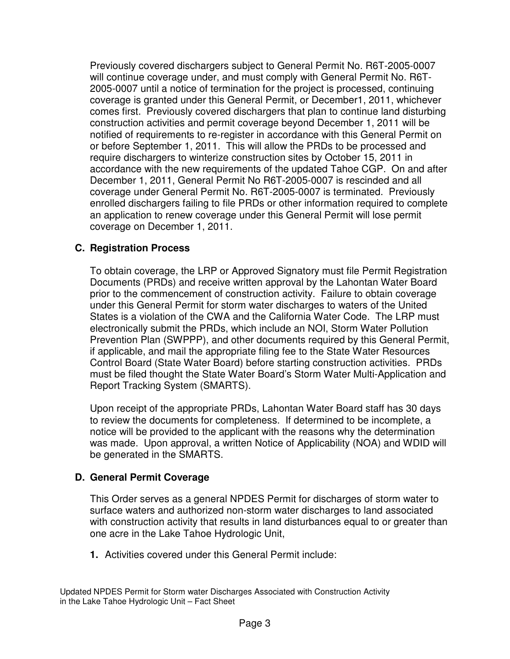Previously covered dischargers subject to General Permit No. R6T-2005-0007 will continue coverage under, and must comply with General Permit No. R6T-2005-0007 until a notice of termination for the project is processed, continuing coverage is granted under this General Permit, or December1, 2011, whichever comes first. Previously covered dischargers that plan to continue land disturbing construction activities and permit coverage beyond December 1, 2011 will be notified of requirements to re-register in accordance with this General Permit on or before September 1, 2011. This will allow the PRDs to be processed and require dischargers to winterize construction sites by October 15, 2011 in accordance with the new requirements of the updated Tahoe CGP. On and after December 1, 2011, General Permit No R6T-2005-0007 is rescinded and all coverage under General Permit No. R6T-2005-0007 is terminated. Previously enrolled dischargers failing to file PRDs or other information required to complete an application to renew coverage under this General Permit will lose permit coverage on December 1, 2011.

### **C. Registration Process**

To obtain coverage, the LRP or Approved Signatory must file Permit Registration Documents (PRDs) and receive written approval by the Lahontan Water Board prior to the commencement of construction activity. Failure to obtain coverage under this General Permit for storm water discharges to waters of the United States is a violation of the CWA and the California Water Code. The LRP must electronically submit the PRDs, which include an NOI, Storm Water Pollution Prevention Plan (SWPPP), and other documents required by this General Permit, if applicable, and mail the appropriate filing fee to the State Water Resources Control Board (State Water Board) before starting construction activities. PRDs must be filed thought the State Water Board's Storm Water Multi-Application and Report Tracking System (SMARTS).

Upon receipt of the appropriate PRDs, Lahontan Water Board staff has 30 days to review the documents for completeness. If determined to be incomplete, a notice will be provided to the applicant with the reasons why the determination was made. Upon approval, a written Notice of Applicability (NOA) and WDID will be generated in the SMARTS.

#### **D. General Permit Coverage**

This Order serves as a general NPDES Permit for discharges of storm water to surface waters and authorized non-storm water discharges to land associated with construction activity that results in land disturbances equal to or greater than one acre in the Lake Tahoe Hydrologic Unit,

**1.** Activities covered under this General Permit include:

Updated NPDES Permit for Storm water Discharges Associated with Construction Activity in the Lake Tahoe Hydrologic Unit – Fact Sheet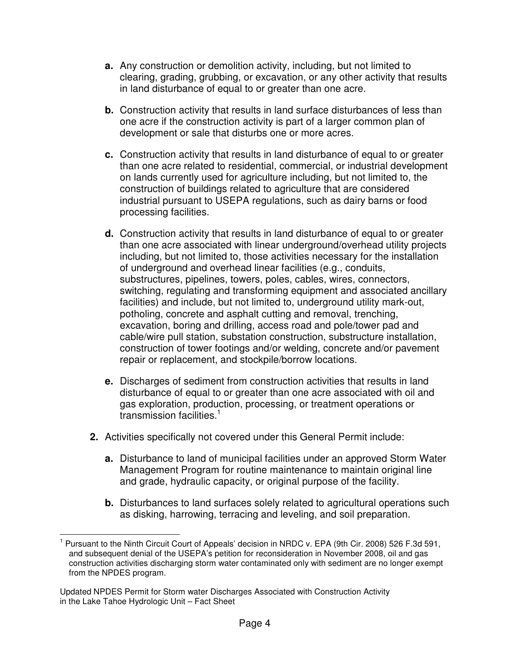- **a.** Any construction or demolition activity, including, but not limited to clearing, grading, grubbing, or excavation, or any other activity that results in land disturbance of equal to or greater than one acre.
- **b.** Construction activity that results in land surface disturbances of less than one acre if the construction activity is part of a larger common plan of development or sale that disturbs one or more acres.
- **c.** Construction activity that results in land disturbance of equal to or greater than one acre related to residential, commercial, or industrial development on lands currently used for agriculture including, but not limited to, the construction of buildings related to agriculture that are considered industrial pursuant to USEPA regulations, such as dairy barns or food processing facilities.
- **d.** Construction activity that results in land disturbance of equal to or greater than one acre associated with linear underground/overhead utility projects including, but not limited to, those activities necessary for the installation of underground and overhead linear facilities (e.g., conduits, substructures, pipelines, towers, poles, cables, wires, connectors, switching, regulating and transforming equipment and associated ancillary facilities) and include, but not limited to, underground utility mark-out, potholing, concrete and asphalt cutting and removal, trenching, excavation, boring and drilling, access road and pole/tower pad and cable/wire pull station, substation construction, substructure installation, construction of tower footings and/or welding, concrete and/or pavement repair or replacement, and stockpile/borrow locations.
- **e.** Discharges of sediment from construction activities that results in land disturbance of equal to or greater than one acre associated with oil and gas exploration, production, processing, or treatment operations or transmission facilities.<sup>1</sup>
- **2.** Activities specifically not covered under this General Permit include:
	- **a.** Disturbance to land of municipal facilities under an approved Storm Water Management Program for routine maintenance to maintain original line and grade, hydraulic capacity, or original purpose of the facility.
	- **b.** Disturbances to land surfaces solely related to agricultural operations such as disking, harrowing, terracing and leveling, and soil preparation.

 $\overline{a}$ 1 Pursuant to the Ninth Circuit Court of Appeals' decision in NRDC v. EPA (9th Cir. 2008) 526 F.3d 591, and subsequent denial of the USEPA's petition for reconsideration in November 2008, oil and gas construction activities discharging storm water contaminated only with sediment are no longer exempt from the NPDES program.

Updated NPDES Permit for Storm water Discharges Associated with Construction Activity in the Lake Tahoe Hydrologic Unit – Fact Sheet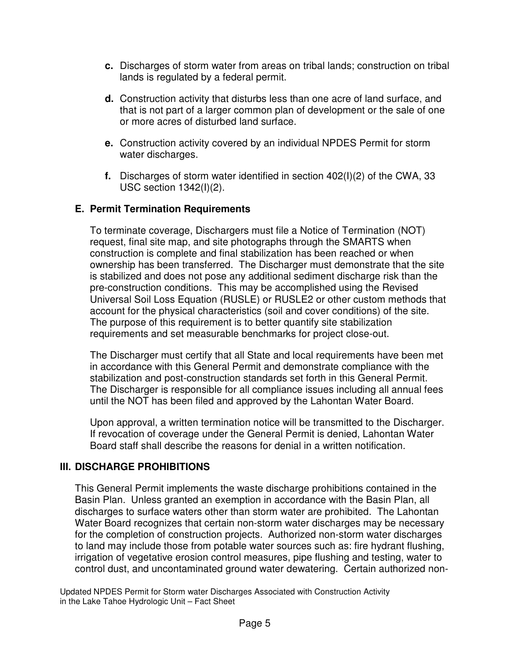- **c.** Discharges of storm water from areas on tribal lands; construction on tribal lands is regulated by a federal permit.
- **d.** Construction activity that disturbs less than one acre of land surface, and that is not part of a larger common plan of development or the sale of one or more acres of disturbed land surface.
- **e.** Construction activity covered by an individual NPDES Permit for storm water discharges.
- **f.** Discharges of storm water identified in section 402(I)(2) of the CWA, 33 USC section 1342(I)(2).

# **E. Permit Termination Requirements**

To terminate coverage, Dischargers must file a Notice of Termination (NOT) request, final site map, and site photographs through the SMARTS when construction is complete and final stabilization has been reached or when ownership has been transferred. The Discharger must demonstrate that the site is stabilized and does not pose any additional sediment discharge risk than the pre-construction conditions. This may be accomplished using the Revised Universal Soil Loss Equation (RUSLE) or RUSLE2 or other custom methods that account for the physical characteristics (soil and cover conditions) of the site. The purpose of this requirement is to better quantify site stabilization requirements and set measurable benchmarks for project close-out.

The Discharger must certify that all State and local requirements have been met in accordance with this General Permit and demonstrate compliance with the stabilization and post-construction standards set forth in this General Permit. The Discharger is responsible for all compliance issues including all annual fees until the NOT has been filed and approved by the Lahontan Water Board.

Upon approval, a written termination notice will be transmitted to the Discharger. If revocation of coverage under the General Permit is denied, Lahontan Water Board staff shall describe the reasons for denial in a written notification.

# **III. DISCHARGE PROHIBITIONS**

This General Permit implements the waste discharge prohibitions contained in the Basin Plan. Unless granted an exemption in accordance with the Basin Plan, all discharges to surface waters other than storm water are prohibited. The Lahontan Water Board recognizes that certain non-storm water discharges may be necessary for the completion of construction projects. Authorized non-storm water discharges to land may include those from potable water sources such as: fire hydrant flushing, irrigation of vegetative erosion control measures, pipe flushing and testing, water to control dust, and uncontaminated ground water dewatering. Certain authorized non-

Updated NPDES Permit for Storm water Discharges Associated with Construction Activity in the Lake Tahoe Hydrologic Unit – Fact Sheet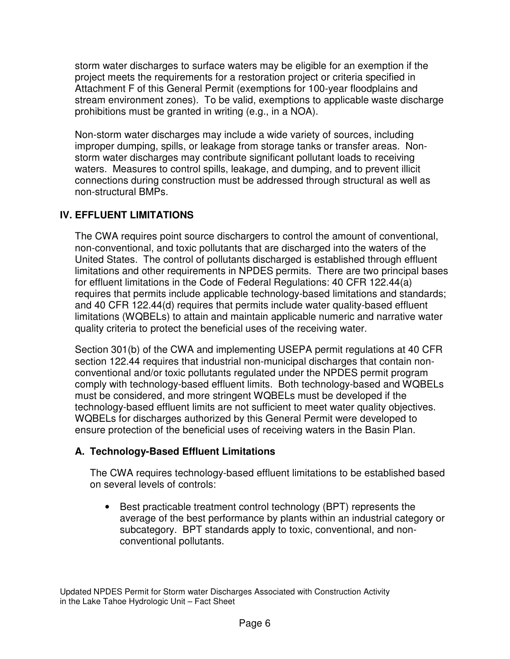storm water discharges to surface waters may be eligible for an exemption if the project meets the requirements for a restoration project or criteria specified in Attachment F of this General Permit (exemptions for 100-year floodplains and stream environment zones). To be valid, exemptions to applicable waste discharge prohibitions must be granted in writing (e.g., in a NOA).

Non-storm water discharges may include a wide variety of sources, including improper dumping, spills, or leakage from storage tanks or transfer areas. Nonstorm water discharges may contribute significant pollutant loads to receiving waters. Measures to control spills, leakage, and dumping, and to prevent illicit connections during construction must be addressed through structural as well as non-structural BMPs.

# **IV. EFFLUENT LIMITATIONS**

The CWA requires point source dischargers to control the amount of conventional, non-conventional, and toxic pollutants that are discharged into the waters of the United States. The control of pollutants discharged is established through effluent limitations and other requirements in NPDES permits. There are two principal bases for effluent limitations in the Code of Federal Regulations: 40 CFR 122.44(a) requires that permits include applicable technology-based limitations and standards; and 40 CFR 122.44(d) requires that permits include water quality-based effluent limitations (WQBELs) to attain and maintain applicable numeric and narrative water quality criteria to protect the beneficial uses of the receiving water.

Section 301(b) of the CWA and implementing USEPA permit regulations at 40 CFR section 122.44 requires that industrial non-municipal discharges that contain nonconventional and/or toxic pollutants regulated under the NPDES permit program comply with technology-based effluent limits. Both technology-based and WQBELs must be considered, and more stringent WQBELs must be developed if the technology-based effluent limits are not sufficient to meet water quality objectives. WQBELs for discharges authorized by this General Permit were developed to ensure protection of the beneficial uses of receiving waters in the Basin Plan.

# **A. Technology-Based Effluent Limitations**

The CWA requires technology-based effluent limitations to be established based on several levels of controls:

• Best practicable treatment control technology (BPT) represents the average of the best performance by plants within an industrial category or subcategory. BPT standards apply to toxic, conventional, and nonconventional pollutants.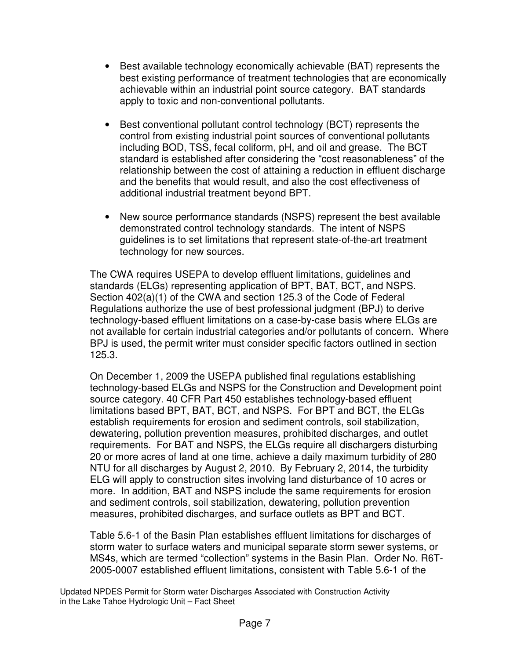- Best available technology economically achievable (BAT) represents the best existing performance of treatment technologies that are economically achievable within an industrial point source category. BAT standards apply to toxic and non-conventional pollutants.
- Best conventional pollutant control technology (BCT) represents the control from existing industrial point sources of conventional pollutants including BOD, TSS, fecal coliform, pH, and oil and grease. The BCT standard is established after considering the "cost reasonableness" of the relationship between the cost of attaining a reduction in effluent discharge and the benefits that would result, and also the cost effectiveness of additional industrial treatment beyond BPT.
- New source performance standards (NSPS) represent the best available demonstrated control technology standards. The intent of NSPS guidelines is to set limitations that represent state-of-the-art treatment technology for new sources.

The CWA requires USEPA to develop effluent limitations, guidelines and standards (ELGs) representing application of BPT, BAT, BCT, and NSPS. Section 402(a)(1) of the CWA and section 125.3 of the Code of Federal Regulations authorize the use of best professional judgment (BPJ) to derive technology-based effluent limitations on a case-by-case basis where ELGs are not available for certain industrial categories and/or pollutants of concern. Where BPJ is used, the permit writer must consider specific factors outlined in section 125.3.

On December 1, 2009 the USEPA published final regulations establishing technology-based ELGs and NSPS for the Construction and Development point source category. 40 CFR Part 450 establishes technology-based effluent limitations based BPT, BAT, BCT, and NSPS. For BPT and BCT, the ELGs establish requirements for erosion and sediment controls, soil stabilization, dewatering, pollution prevention measures, prohibited discharges, and outlet requirements. For BAT and NSPS, the ELGs require all dischargers disturbing 20 or more acres of land at one time, achieve a daily maximum turbidity of 280 NTU for all discharges by August 2, 2010. By February 2, 2014, the turbidity ELG will apply to construction sites involving land disturbance of 10 acres or more. In addition, BAT and NSPS include the same requirements for erosion and sediment controls, soil stabilization, dewatering, pollution prevention measures, prohibited discharges, and surface outlets as BPT and BCT.

Table 5.6-1 of the Basin Plan establishes effluent limitations for discharges of storm water to surface waters and municipal separate storm sewer systems, or MS4s, which are termed "collection" systems in the Basin Plan. Order No. R6T-2005-0007 established effluent limitations, consistent with Table 5.6-1 of the

Updated NPDES Permit for Storm water Discharges Associated with Construction Activity in the Lake Tahoe Hydrologic Unit – Fact Sheet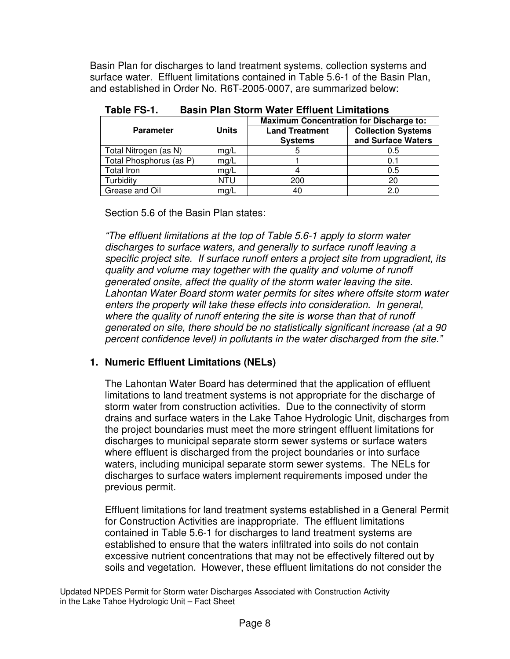Basin Plan for discharges to land treatment systems, collection systems and surface water. Effluent limitations contained in Table 5.6-1 of the Basin Plan, and established in Order No. R6T-2005-0007, are summarized below:

|                         |              | <b>Maximum Concentration for Discharge to:</b> |                           |  |  |  |
|-------------------------|--------------|------------------------------------------------|---------------------------|--|--|--|
| <b>Parameter</b>        | <b>Units</b> | <b>Land Treatment</b>                          | <b>Collection Systems</b> |  |  |  |
|                         |              | <b>Systems</b>                                 | and Surface Waters        |  |  |  |
| Total Nitrogen (as N)   | mg/L         |                                                | 0.5                       |  |  |  |
| Total Phosphorus (as P) | mg/L         |                                                | 0.1                       |  |  |  |
| Total Iron              | mg/L         |                                                | 0.5                       |  |  |  |
| Turbidity               | NTU          | 200                                            | 20                        |  |  |  |
| Grease and Oil          | mg/L         | 40                                             | 2.0                       |  |  |  |

| Table FS-1. |  |  |  |  | <b>Basin Plan Storm Water Effluent Limitations</b> |
|-------------|--|--|--|--|----------------------------------------------------|
|-------------|--|--|--|--|----------------------------------------------------|

Section 5.6 of the Basin Plan states:

"The effluent limitations at the top of Table 5.6-1 apply to storm water discharges to surface waters, and generally to surface runoff leaving a specific project site. If surface runoff enters a project site from upgradient, its quality and volume may together with the quality and volume of runoff generated onsite, affect the quality of the storm water leaving the site. Lahontan Water Board storm water permits for sites where offsite storm water enters the property will take these effects into consideration. In general, where the quality of runoff entering the site is worse than that of runoff generated on site, there should be no statistically significant increase (at a 90 percent confidence level) in pollutants in the water discharged from the site."

### **1. Numeric Effluent Limitations (NELs)**

The Lahontan Water Board has determined that the application of effluent limitations to land treatment systems is not appropriate for the discharge of storm water from construction activities. Due to the connectivity of storm drains and surface waters in the Lake Tahoe Hydrologic Unit, discharges from the project boundaries must meet the more stringent effluent limitations for discharges to municipal separate storm sewer systems or surface waters where effluent is discharged from the project boundaries or into surface waters, including municipal separate storm sewer systems. The NELs for discharges to surface waters implement requirements imposed under the previous permit.

Effluent limitations for land treatment systems established in a General Permit for Construction Activities are inappropriate. The effluent limitations contained in Table 5.6-1 for discharges to land treatment systems are established to ensure that the waters infiltrated into soils do not contain excessive nutrient concentrations that may not be effectively filtered out by soils and vegetation. However, these effluent limitations do not consider the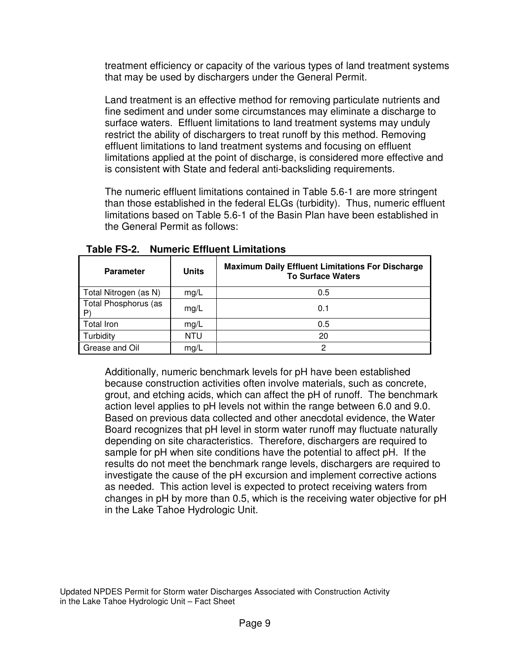treatment efficiency or capacity of the various types of land treatment systems that may be used by dischargers under the General Permit.

Land treatment is an effective method for removing particulate nutrients and fine sediment and under some circumstances may eliminate a discharge to surface waters. Effluent limitations to land treatment systems may unduly restrict the ability of dischargers to treat runoff by this method. Removing effluent limitations to land treatment systems and focusing on effluent limitations applied at the point of discharge, is considered more effective and is consistent with State and federal anti-backsliding requirements.

The numeric effluent limitations contained in Table 5.6-1 are more stringent than those established in the federal ELGs (turbidity). Thus, numeric effluent limitations based on Table 5.6-1 of the Basin Plan have been established in the General Permit as follows:

| <b>Parameter</b>           | <b>Units</b> | <b>Maximum Daily Effluent Limitations For Discharge</b><br><b>To Surface Waters</b> |
|----------------------------|--------------|-------------------------------------------------------------------------------------|
| Total Nitrogen (as N)      | mg/L         | 0.5                                                                                 |
| Total Phosphorus (as<br>P, | mg/L         | 0.1                                                                                 |
| Total Iron                 | mg/L         | 0.5                                                                                 |
| Turbidity                  | NTU          | 20                                                                                  |
| Grease and Oil             | mg/L         | っ                                                                                   |

**Table FS-2. Numeric Effluent Limitations** 

Additionally, numeric benchmark levels for pH have been established because construction activities often involve materials, such as concrete, grout, and etching acids, which can affect the pH of runoff. The benchmark action level applies to pH levels not within the range between 6.0 and 9.0. Based on previous data collected and other anecdotal evidence, the Water Board recognizes that pH level in storm water runoff may fluctuate naturally depending on site characteristics. Therefore, dischargers are required to sample for pH when site conditions have the potential to affect pH. If the results do not meet the benchmark range levels, dischargers are required to investigate the cause of the pH excursion and implement corrective actions as needed. This action level is expected to protect receiving waters from changes in pH by more than 0.5, which is the receiving water objective for pH in the Lake Tahoe Hydrologic Unit.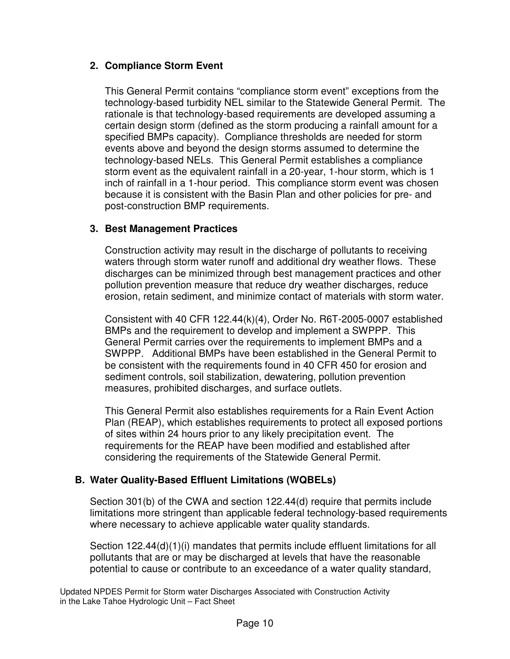# **2. Compliance Storm Event**

This General Permit contains "compliance storm event" exceptions from the technology-based turbidity NEL similar to the Statewide General Permit. The rationale is that technology-based requirements are developed assuming a certain design storm (defined as the storm producing a rainfall amount for a specified BMPs capacity). Compliance thresholds are needed for storm events above and beyond the design storms assumed to determine the technology-based NELs. This General Permit establishes a compliance storm event as the equivalent rainfall in a 20-year, 1-hour storm, which is 1 inch of rainfall in a 1-hour period. This compliance storm event was chosen because it is consistent with the Basin Plan and other policies for pre- and post-construction BMP requirements.

# **3. Best Management Practices**

Construction activity may result in the discharge of pollutants to receiving waters through storm water runoff and additional dry weather flows. These discharges can be minimized through best management practices and other pollution prevention measure that reduce dry weather discharges, reduce erosion, retain sediment, and minimize contact of materials with storm water.

Consistent with 40 CFR 122.44(k)(4), Order No. R6T-2005-0007 established BMPs and the requirement to develop and implement a SWPPP. This General Permit carries over the requirements to implement BMPs and a SWPPP. Additional BMPs have been established in the General Permit to be consistent with the requirements found in 40 CFR 450 for erosion and sediment controls, soil stabilization, dewatering, pollution prevention measures, prohibited discharges, and surface outlets.

This General Permit also establishes requirements for a Rain Event Action Plan (REAP), which establishes requirements to protect all exposed portions of sites within 24 hours prior to any likely precipitation event. The requirements for the REAP have been modified and established after considering the requirements of the Statewide General Permit.

# **B. Water Quality-Based Effluent Limitations (WQBELs)**

Section 301(b) of the CWA and section 122.44(d) require that permits include limitations more stringent than applicable federal technology-based requirements where necessary to achieve applicable water quality standards.

Section 122.44(d)(1)(i) mandates that permits include effluent limitations for all pollutants that are or may be discharged at levels that have the reasonable potential to cause or contribute to an exceedance of a water quality standard,

Updated NPDES Permit for Storm water Discharges Associated with Construction Activity in the Lake Tahoe Hydrologic Unit – Fact Sheet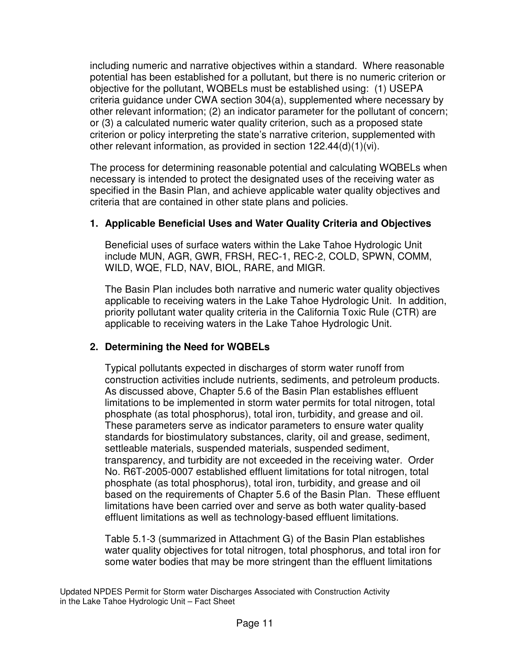including numeric and narrative objectives within a standard. Where reasonable potential has been established for a pollutant, but there is no numeric criterion or objective for the pollutant, WQBELs must be established using: (1) USEPA criteria guidance under CWA section 304(a), supplemented where necessary by other relevant information; (2) an indicator parameter for the pollutant of concern; or (3) a calculated numeric water quality criterion, such as a proposed state criterion or policy interpreting the state's narrative criterion, supplemented with other relevant information, as provided in section 122.44(d)(1)(vi).

The process for determining reasonable potential and calculating WQBELs when necessary is intended to protect the designated uses of the receiving water as specified in the Basin Plan, and achieve applicable water quality objectives and criteria that are contained in other state plans and policies.

### **1. Applicable Beneficial Uses and Water Quality Criteria and Objectives**

Beneficial uses of surface waters within the Lake Tahoe Hydrologic Unit include MUN, AGR, GWR, FRSH, REC-1, REC-2, COLD, SPWN, COMM, WILD, WQE, FLD, NAV, BIOL, RARE, and MIGR.

The Basin Plan includes both narrative and numeric water quality objectives applicable to receiving waters in the Lake Tahoe Hydrologic Unit. In addition, priority pollutant water quality criteria in the California Toxic Rule (CTR) are applicable to receiving waters in the Lake Tahoe Hydrologic Unit.

### **2. Determining the Need for WQBELs**

Typical pollutants expected in discharges of storm water runoff from construction activities include nutrients, sediments, and petroleum products. As discussed above, Chapter 5.6 of the Basin Plan establishes effluent limitations to be implemented in storm water permits for total nitrogen, total phosphate (as total phosphorus), total iron, turbidity, and grease and oil. These parameters serve as indicator parameters to ensure water quality standards for biostimulatory substances, clarity, oil and grease, sediment, settleable materials, suspended materials, suspended sediment, transparency, and turbidity are not exceeded in the receiving water. Order No. R6T-2005-0007 established effluent limitations for total nitrogen, total phosphate (as total phosphorus), total iron, turbidity, and grease and oil based on the requirements of Chapter 5.6 of the Basin Plan. These effluent limitations have been carried over and serve as both water quality-based effluent limitations as well as technology-based effluent limitations.

Table 5.1-3 (summarized in Attachment G) of the Basin Plan establishes water quality objectives for total nitrogen, total phosphorus, and total iron for some water bodies that may be more stringent than the effluent limitations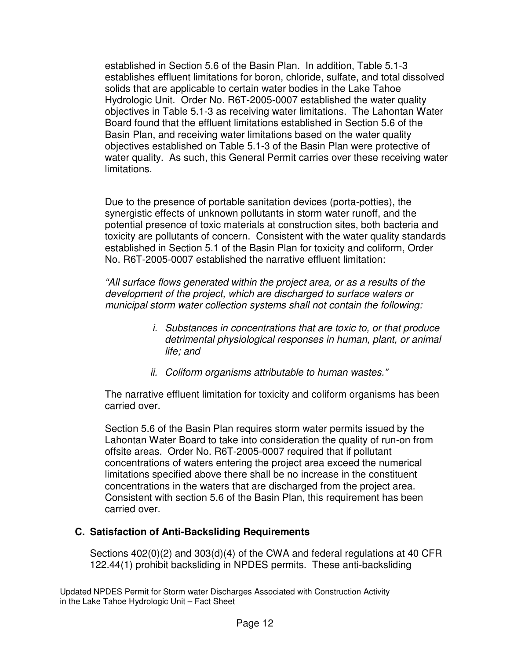established in Section 5.6 of the Basin Plan. In addition, Table 5.1-3 establishes effluent limitations for boron, chloride, sulfate, and total dissolved solids that are applicable to certain water bodies in the Lake Tahoe Hydrologic Unit. Order No. R6T-2005-0007 established the water quality objectives in Table 5.1-3 as receiving water limitations. The Lahontan Water Board found that the effluent limitations established in Section 5.6 of the Basin Plan, and receiving water limitations based on the water quality objectives established on Table 5.1-3 of the Basin Plan were protective of water quality. As such, this General Permit carries over these receiving water limitations.

Due to the presence of portable sanitation devices (porta-potties), the synergistic effects of unknown pollutants in storm water runoff, and the potential presence of toxic materials at construction sites, both bacteria and toxicity are pollutants of concern. Consistent with the water quality standards established in Section 5.1 of the Basin Plan for toxicity and coliform, Order No. R6T-2005-0007 established the narrative effluent limitation:

"All surface flows generated within the project area, or as a results of the development of the project, which are discharged to surface waters or municipal storm water collection systems shall not contain the following:

- i. Substances in concentrations that are toxic to, or that produce detrimental physiological responses in human, plant, or animal life; and
- ii. Coliform organisms attributable to human wastes."

The narrative effluent limitation for toxicity and coliform organisms has been carried over.

Section 5.6 of the Basin Plan requires storm water permits issued by the Lahontan Water Board to take into consideration the quality of run-on from offsite areas. Order No. R6T-2005-0007 required that if pollutant concentrations of waters entering the project area exceed the numerical limitations specified above there shall be no increase in the constituent concentrations in the waters that are discharged from the project area. Consistent with section 5.6 of the Basin Plan, this requirement has been carried over.

### **C. Satisfaction of Anti-Backsliding Requirements**

Sections 402(0)(2) and 303(d)(4) of the CWA and federal regulations at 40 CFR 122.44(1) prohibit backsliding in NPDES permits. These anti-backsliding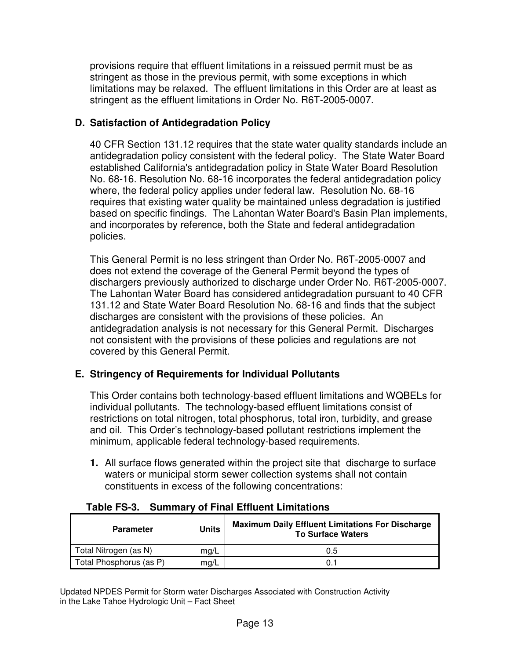provisions require that effluent limitations in a reissued permit must be as stringent as those in the previous permit, with some exceptions in which limitations may be relaxed. The effluent limitations in this Order are at least as stringent as the effluent limitations in Order No. R6T-2005-0007.

## **D. Satisfaction of Antidegradation Policy**

40 CFR Section 131.12 requires that the state water quality standards include an antidegradation policy consistent with the federal policy. The State Water Board established California's antidegradation policy in State Water Board Resolution No. 68-16. Resolution No. 68-16 incorporates the federal antidegradation policy where, the federal policy applies under federal law. Resolution No. 68-16 requires that existing water quality be maintained unless degradation is justified based on specific findings. The Lahontan Water Board's Basin Plan implements, and incorporates by reference, both the State and federal antidegradation policies.

This General Permit is no less stringent than Order No. R6T-2005-0007 and does not extend the coverage of the General Permit beyond the types of dischargers previously authorized to discharge under Order No. R6T-2005-0007. The Lahontan Water Board has considered antidegradation pursuant to 40 CFR 131.12 and State Water Board Resolution No. 68-16 and finds that the subject discharges are consistent with the provisions of these policies. An antidegradation analysis is not necessary for this General Permit. Discharges not consistent with the provisions of these policies and regulations are not covered by this General Permit.

# **E. Stringency of Requirements for Individual Pollutants**

This Order contains both technology-based effluent limitations and WQBELs for individual pollutants. The technology-based effluent limitations consist of restrictions on total nitrogen, total phosphorus, total iron, turbidity, and grease and oil. This Order's technology-based pollutant restrictions implement the minimum, applicable federal technology-based requirements.

**1.** All surface flows generated within the project site that discharge to surface waters or municipal storm sewer collection systems shall not contain constituents in excess of the following concentrations:

| <b>Parameter</b>        | <b>Units</b> | <b>Maximum Daily Effluent Limitations For Discharge</b><br><b>To Surface Waters</b> |
|-------------------------|--------------|-------------------------------------------------------------------------------------|
| Total Nitrogen (as N)   | mg/L         | 0.5                                                                                 |
| Total Phosphorus (as P) | mg/L         | 0.1                                                                                 |

### **Table FS-3. Summary of Final Effluent Limitations**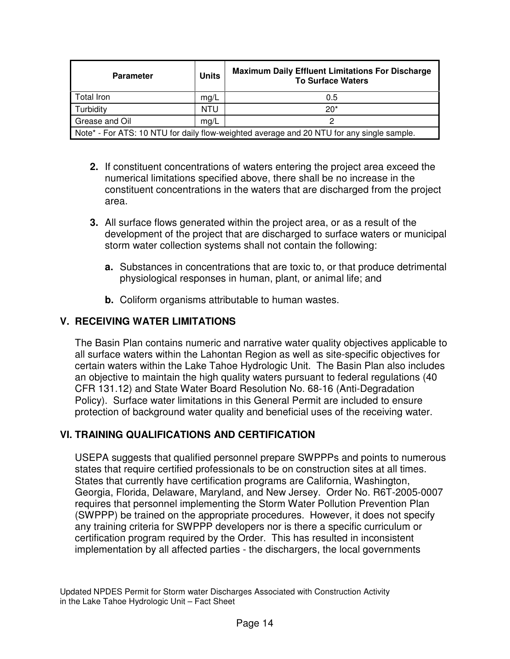| <b>Parameter</b>                                                                          | <b>Units</b> | <b>Maximum Daily Effluent Limitations For Discharge</b><br><b>To Surface Waters</b> |  |  |
|-------------------------------------------------------------------------------------------|--------------|-------------------------------------------------------------------------------------|--|--|
| Total Iron                                                                                | mg/L         | 0.5                                                                                 |  |  |
| Turbidity                                                                                 | <b>NTU</b>   | $20*$                                                                               |  |  |
| Grease and Oil                                                                            | mg/L         |                                                                                     |  |  |
| Note* - For ATS: 10 NTU for daily flow-weighted average and 20 NTU for any single sample. |              |                                                                                     |  |  |

- **2.** If constituent concentrations of waters entering the project area exceed the numerical limitations specified above, there shall be no increase in the constituent concentrations in the waters that are discharged from the project area.
- **3.** All surface flows generated within the project area, or as a result of the development of the project that are discharged to surface waters or municipal storm water collection systems shall not contain the following:
	- **a.** Substances in concentrations that are toxic to, or that produce detrimental physiological responses in human, plant, or animal life; and
	- **b.** Coliform organisms attributable to human wastes.

# **V. RECEIVING WATER LIMITATIONS**

The Basin Plan contains numeric and narrative water quality objectives applicable to all surface waters within the Lahontan Region as well as site-specific objectives for certain waters within the Lake Tahoe Hydrologic Unit. The Basin Plan also includes an objective to maintain the high quality waters pursuant to federal regulations (40 CFR 131.12) and State Water Board Resolution No. 68-16 (Anti-Degradation Policy). Surface water limitations in this General Permit are included to ensure protection of background water quality and beneficial uses of the receiving water.

# **VI. TRAINING QUALIFICATIONS AND CERTIFICATION**

USEPA suggests that qualified personnel prepare SWPPPs and points to numerous states that require certified professionals to be on construction sites at all times. States that currently have certification programs are California, Washington, Georgia, Florida, Delaware, Maryland, and New Jersey. Order No. R6T-2005-0007 requires that personnel implementing the Storm Water Pollution Prevention Plan (SWPPP) be trained on the appropriate procedures. However, it does not specify any training criteria for SWPPP developers nor is there a specific curriculum or certification program required by the Order. This has resulted in inconsistent implementation by all affected parties - the dischargers, the local governments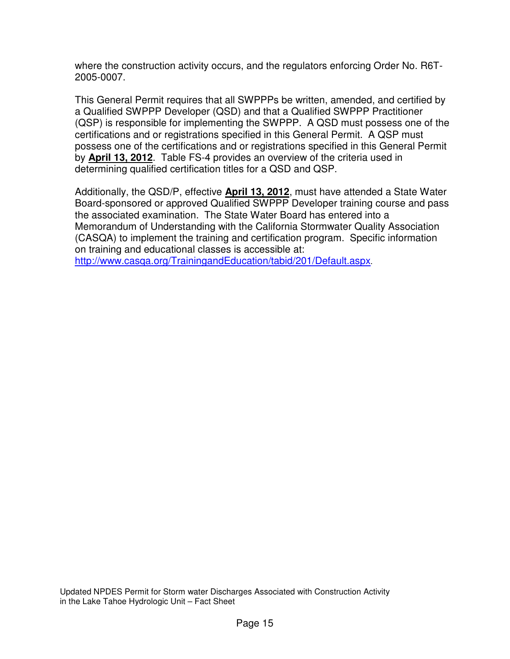where the construction activity occurs, and the regulators enforcing Order No. R6T-2005-0007.

This General Permit requires that all SWPPPs be written, amended, and certified by a Qualified SWPPP Developer (QSD) and that a Qualified SWPPP Practitioner (QSP) is responsible for implementing the SWPPP. A QSD must possess one of the certifications and or registrations specified in this General Permit. A QSP must possess one of the certifications and or registrations specified in this General Permit by **April 13, 2012**. Table FS-4 provides an overview of the criteria used in determining qualified certification titles for a QSD and QSP.

Additionally, the QSD/P, effective **April 13, 2012**, must have attended a State Water Board-sponsored or approved Qualified SWPPP Developer training course and pass the associated examination. The State Water Board has entered into a Memorandum of Understanding with the California Stormwater Quality Association (CASQA) to implement the training and certification program. Specific information on training and educational classes is accessible at: http://www.casqa.org/TrainingandEducation/tabid/201/Default.aspx.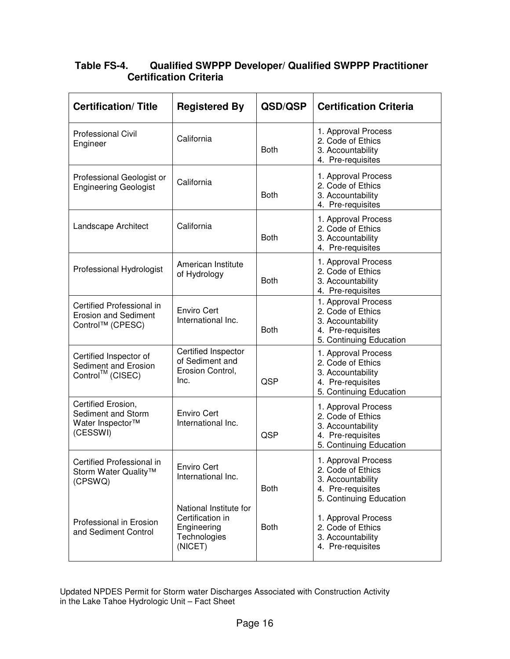## **Table FS-4. Qualified SWPPP Developer/ Qualified SWPPP Practitioner Certification Criteria**

| <b>Certification/Title</b>                                                           | <b>Registered By</b>                                                                 | QSD/QSP     | <b>Certification Criteria</b>                                                                                 |
|--------------------------------------------------------------------------------------|--------------------------------------------------------------------------------------|-------------|---------------------------------------------------------------------------------------------------------------|
| <b>Professional Civil</b><br>Engineer                                                | California                                                                           | <b>Both</b> | 1. Approval Process<br>2. Code of Ethics<br>3. Accountability<br>4. Pre-requisites                            |
| Professional Geologist or<br><b>Engineering Geologist</b>                            | California                                                                           | <b>Both</b> | 1. Approval Process<br>2. Code of Ethics<br>3. Accountability<br>4. Pre-requisites                            |
| Landscape Architect                                                                  | California                                                                           | <b>Both</b> | 1. Approval Process<br>2. Code of Ethics<br>3. Accountability<br>4. Pre-requisites                            |
| Professional Hydrologist                                                             | American Institute<br>of Hydrology                                                   | <b>Both</b> | 1. Approval Process<br>2. Code of Ethics<br>3. Accountability<br>4. Pre-requisites                            |
| Certified Professional in<br><b>Erosion and Sediment</b><br>Control™ (CPESC)         | <b>Enviro Cert</b><br>International Inc.                                             | <b>Both</b> | 1. Approval Process<br>2. Code of Ethics<br>3. Accountability<br>4. Pre-requisites<br>5. Continuing Education |
| Certified Inspector of<br>Sediment and Erosion<br>Control™ (CISEC)                   | Certified Inspector<br>of Sediment and<br>Erosion Control,<br>Inc.                   | QSP         | 1. Approval Process<br>2. Code of Ethics<br>3. Accountability<br>4. Pre-requisites<br>5. Continuing Education |
| Certified Erosion,<br>Sediment and Storm<br>Water Inspector <sup>™</sup><br>(CESSWI) | <b>Enviro Cert</b><br>International Inc.                                             | QSP         | 1. Approval Process<br>2. Code of Ethics<br>3. Accountability<br>4. Pre-requisites<br>5. Continuing Education |
| Certified Professional in<br>Storm Water Quality™<br>(CPSWQ)                         | <b>Enviro Cert</b><br>International Inc.                                             | <b>Both</b> | 1. Approval Process<br>2. Code of Ethics<br>3. Accountability<br>4. Pre-requisites<br>5. Continuing Education |
| Professional in Erosion<br>and Sediment Control                                      | National Institute for<br>Certification in<br>Engineering<br>Technologies<br>(NICET) | <b>Both</b> | 1. Approval Process<br>2. Code of Ethics<br>3. Accountability<br>4. Pre-requisites                            |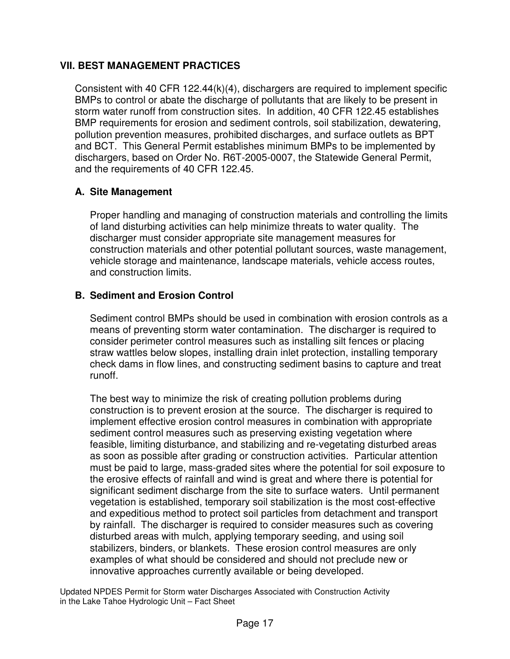## **VII. BEST MANAGEMENT PRACTICES**

Consistent with 40 CFR 122.44(k)(4), dischargers are required to implement specific BMPs to control or abate the discharge of pollutants that are likely to be present in storm water runoff from construction sites. In addition, 40 CFR 122.45 establishes BMP requirements for erosion and sediment controls, soil stabilization, dewatering, pollution prevention measures, prohibited discharges, and surface outlets as BPT and BCT. This General Permit establishes minimum BMPs to be implemented by dischargers, based on Order No. R6T-2005-0007, the Statewide General Permit, and the requirements of 40 CFR 122.45.

# **A. Site Management**

Proper handling and managing of construction materials and controlling the limits of land disturbing activities can help minimize threats to water quality. The discharger must consider appropriate site management measures for construction materials and other potential pollutant sources, waste management, vehicle storage and maintenance, landscape materials, vehicle access routes, and construction limits.

# **B. Sediment and Erosion Control**

Sediment control BMPs should be used in combination with erosion controls as a means of preventing storm water contamination. The discharger is required to consider perimeter control measures such as installing silt fences or placing straw wattles below slopes, installing drain inlet protection, installing temporary check dams in flow lines, and constructing sediment basins to capture and treat runoff.

The best way to minimize the risk of creating pollution problems during construction is to prevent erosion at the source. The discharger is required to implement effective erosion control measures in combination with appropriate sediment control measures such as preserving existing vegetation where feasible, limiting disturbance, and stabilizing and re-vegetating disturbed areas as soon as possible after grading or construction activities. Particular attention must be paid to large, mass-graded sites where the potential for soil exposure to the erosive effects of rainfall and wind is great and where there is potential for significant sediment discharge from the site to surface waters. Until permanent vegetation is established, temporary soil stabilization is the most cost-effective and expeditious method to protect soil particles from detachment and transport by rainfall. The discharger is required to consider measures such as covering disturbed areas with mulch, applying temporary seeding, and using soil stabilizers, binders, or blankets. These erosion control measures are only examples of what should be considered and should not preclude new or innovative approaches currently available or being developed.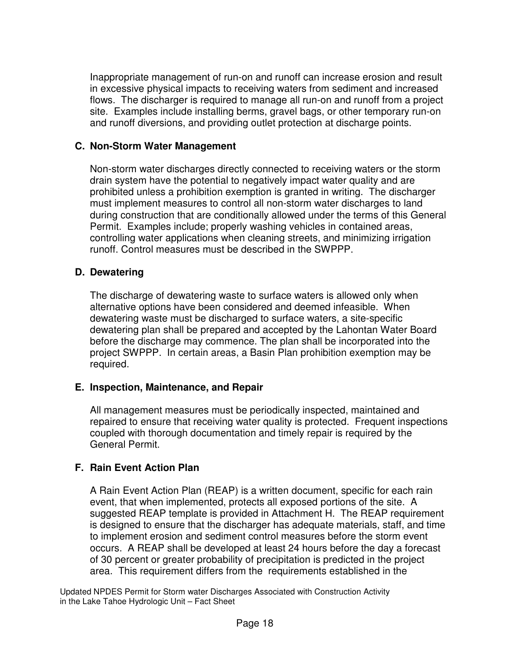Inappropriate management of run-on and runoff can increase erosion and result in excessive physical impacts to receiving waters from sediment and increased flows. The discharger is required to manage all run-on and runoff from a project site. Examples include installing berms, gravel bags, or other temporary run-on and runoff diversions, and providing outlet protection at discharge points.

### **C. Non-Storm Water Management**

Non-storm water discharges directly connected to receiving waters or the storm drain system have the potential to negatively impact water quality and are prohibited unless a prohibition exemption is granted in writing. The discharger must implement measures to control all non-storm water discharges to land during construction that are conditionally allowed under the terms of this General Permit. Examples include; properly washing vehicles in contained areas, controlling water applications when cleaning streets, and minimizing irrigation runoff. Control measures must be described in the SWPPP.

### **D. Dewatering**

The discharge of dewatering waste to surface waters is allowed only when alternative options have been considered and deemed infeasible. When dewatering waste must be discharged to surface waters, a site-specific dewatering plan shall be prepared and accepted by the Lahontan Water Board before the discharge may commence. The plan shall be incorporated into the project SWPPP. In certain areas, a Basin Plan prohibition exemption may be required.

#### **E. Inspection, Maintenance, and Repair**

All management measures must be periodically inspected, maintained and repaired to ensure that receiving water quality is protected. Frequent inspections coupled with thorough documentation and timely repair is required by the General Permit.

### **F. Rain Event Action Plan**

A Rain Event Action Plan (REAP) is a written document, specific for each rain event, that when implemented, protects all exposed portions of the site. A suggested REAP template is provided in Attachment H. The REAP requirement is designed to ensure that the discharger has adequate materials, staff, and time to implement erosion and sediment control measures before the storm event occurs. A REAP shall be developed at least 24 hours before the day a forecast of 30 percent or greater probability of precipitation is predicted in the project area. This requirement differs from the requirements established in the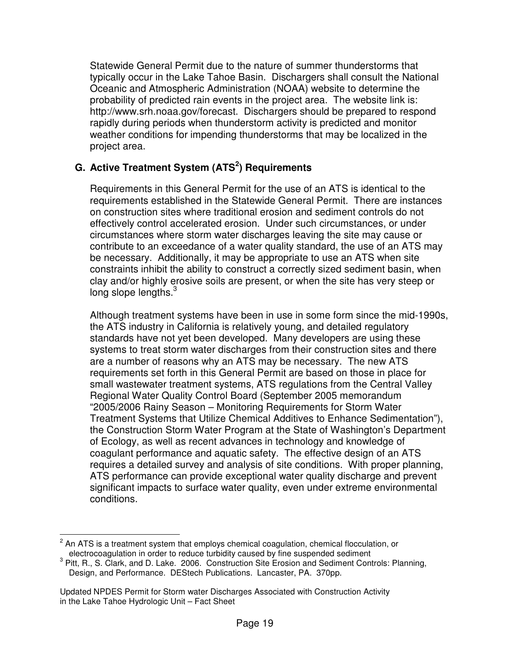Statewide General Permit due to the nature of summer thunderstorms that typically occur in the Lake Tahoe Basin. Dischargers shall consult the National Oceanic and Atmospheric Administration (NOAA) website to determine the probability of predicted rain events in the project area. The website link is: http://www.srh.noaa.gov/forecast. Dischargers should be prepared to respond rapidly during periods when thunderstorm activity is predicted and monitor weather conditions for impending thunderstorms that may be localized in the project area.

## **G. Active Treatment System (ATS<sup>2</sup> ) Requirements**

Requirements in this General Permit for the use of an ATS is identical to the requirements established in the Statewide General Permit. There are instances on construction sites where traditional erosion and sediment controls do not effectively control accelerated erosion. Under such circumstances, or under circumstances where storm water discharges leaving the site may cause or contribute to an exceedance of a water quality standard, the use of an ATS may be necessary. Additionally, it may be appropriate to use an ATS when site constraints inhibit the ability to construct a correctly sized sediment basin, when clay and/or highly erosive soils are present, or when the site has very steep or long slope lengths.<sup>3</sup>

Although treatment systems have been in use in some form since the mid-1990s, the ATS industry in California is relatively young, and detailed regulatory standards have not yet been developed. Many developers are using these systems to treat storm water discharges from their construction sites and there are a number of reasons why an ATS may be necessary. The new ATS requirements set forth in this General Permit are based on those in place for small wastewater treatment systems, ATS regulations from the Central Valley Regional Water Quality Control Board (September 2005 memorandum "2005/2006 Rainy Season – Monitoring Requirements for Storm Water Treatment Systems that Utilize Chemical Additives to Enhance Sedimentation"), the Construction Storm Water Program at the State of Washington's Department of Ecology, as well as recent advances in technology and knowledge of coagulant performance and aquatic safety. The effective design of an ATS requires a detailed survey and analysis of site conditions. With proper planning, ATS performance can provide exceptional water quality discharge and prevent significant impacts to surface water quality, even under extreme environmental conditions.

 $\overline{a}$ 2 An ATS is a treatment system that employs chemical coagulation, chemical flocculation, or electrocoagulation in order to reduce turbidity caused by fine suspended sediment

 $3$  Pitt, R., S. Clark, and D. Lake. 2006. Construction Site Erosion and Sediment Controls: Planning, Design, and Performance. DEStech Publications. Lancaster, PA. 370pp.

Updated NPDES Permit for Storm water Discharges Associated with Construction Activity in the Lake Tahoe Hydrologic Unit – Fact Sheet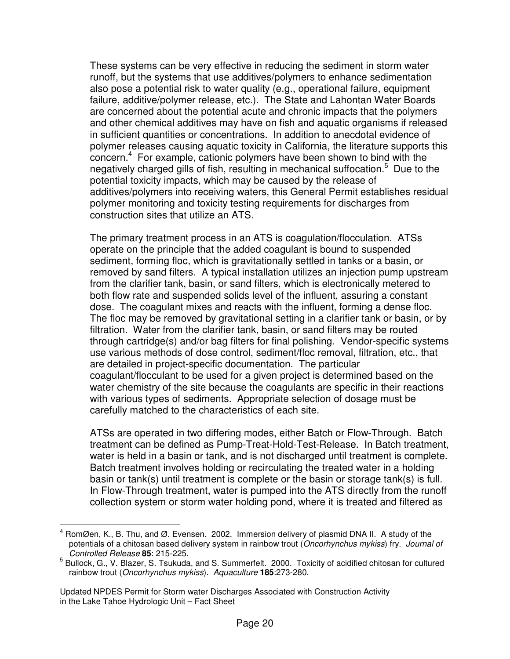These systems can be very effective in reducing the sediment in storm water runoff, but the systems that use additives/polymers to enhance sedimentation also pose a potential risk to water quality (e.g., operational failure, equipment failure, additive/polymer release, etc.). The State and Lahontan Water Boards are concerned about the potential acute and chronic impacts that the polymers and other chemical additives may have on fish and aquatic organisms if released in sufficient quantities or concentrations. In addition to anecdotal evidence of polymer releases causing aquatic toxicity in California, the literature supports this concern.<sup>4</sup> For example, cationic polymers have been shown to bind with the negatively charged gills of fish, resulting in mechanical suffocation.<sup>5</sup> Due to the potential toxicity impacts, which may be caused by the release of additives/polymers into receiving waters, this General Permit establishes residual polymer monitoring and toxicity testing requirements for discharges from construction sites that utilize an ATS.

The primary treatment process in an ATS is coagulation/flocculation. ATSs operate on the principle that the added coagulant is bound to suspended sediment, forming floc, which is gravitationally settled in tanks or a basin, or removed by sand filters. A typical installation utilizes an injection pump upstream from the clarifier tank, basin, or sand filters, which is electronically metered to both flow rate and suspended solids level of the influent, assuring a constant dose. The coagulant mixes and reacts with the influent, forming a dense floc. The floc may be removed by gravitational setting in a clarifier tank or basin, or by filtration. Water from the clarifier tank, basin, or sand filters may be routed through cartridge(s) and/or bag filters for final polishing. Vendor-specific systems use various methods of dose control, sediment/floc removal, filtration, etc., that are detailed in project-specific documentation. The particular coagulant/flocculant to be used for a given project is determined based on the water chemistry of the site because the coagulants are specific in their reactions with various types of sediments. Appropriate selection of dosage must be carefully matched to the characteristics of each site.

ATSs are operated in two differing modes, either Batch or Flow-Through. Batch treatment can be defined as Pump-Treat-Hold-Test-Release. In Batch treatment, water is held in a basin or tank, and is not discharged until treatment is complete. Batch treatment involves holding or recirculating the treated water in a holding basin or tank(s) until treatment is complete or the basin or storage tank(s) is full. In Flow-Through treatment, water is pumped into the ATS directly from the runoff collection system or storm water holding pond, where it is treated and filtered as

 $\overline{\phantom{a}}$ 4 RomØen, K., B. Thu, and Ø. Evensen. 2002. Immersion delivery of plasmid DNA II. A study of the potentials of a chitosan based delivery system in rainbow trout (Oncorhynchus mykiss) fry. Journal of Controlled Release **85**: 215-225.

<sup>&</sup>lt;sup>5</sup> Bullock, G., V. Blazer, S. Tsukuda, and S. Summerfelt. 2000. Toxicity of acidified chitosan for cultured rainbow trout (Oncorhynchus mykiss). Aquaculture **185**:273-280.

Updated NPDES Permit for Storm water Discharges Associated with Construction Activity in the Lake Tahoe Hydrologic Unit – Fact Sheet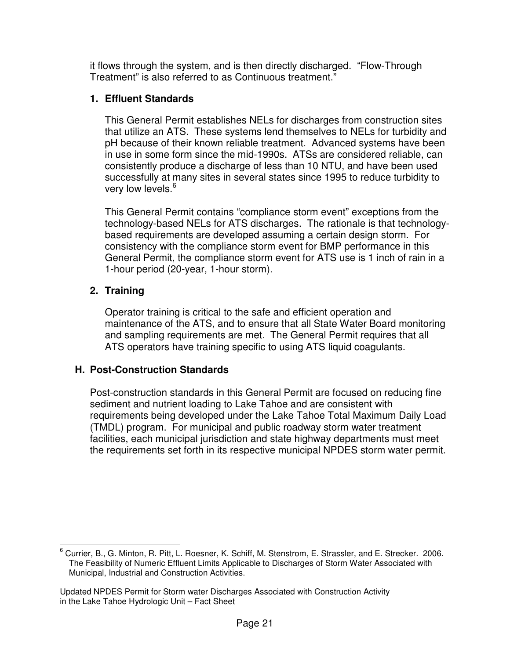it flows through the system, and is then directly discharged. "Flow-Through Treatment" is also referred to as Continuous treatment."

# **1. Effluent Standards**

This General Permit establishes NELs for discharges from construction sites that utilize an ATS. These systems lend themselves to NELs for turbidity and pH because of their known reliable treatment. Advanced systems have been in use in some form since the mid-1990s. ATSs are considered reliable, can consistently produce a discharge of less than 10 NTU, and have been used successfully at many sites in several states since 1995 to reduce turbidity to very low levels.<sup>6</sup>

This General Permit contains "compliance storm event" exceptions from the technology-based NELs for ATS discharges. The rationale is that technologybased requirements are developed assuming a certain design storm. For consistency with the compliance storm event for BMP performance in this General Permit, the compliance storm event for ATS use is 1 inch of rain in a 1-hour period (20-year, 1-hour storm).

# **2. Training**

Operator training is critical to the safe and efficient operation and maintenance of the ATS, and to ensure that all State Water Board monitoring and sampling requirements are met. The General Permit requires that all ATS operators have training specific to using ATS liquid coagulants.

# **H. Post-Construction Standards**

Post-construction standards in this General Permit are focused on reducing fine sediment and nutrient loading to Lake Tahoe and are consistent with requirements being developed under the Lake Tahoe Total Maximum Daily Load (TMDL) program. For municipal and public roadway storm water treatment facilities, each municipal jurisdiction and state highway departments must meet the requirements set forth in its respective municipal NPDES storm water permit.

 $\overline{a}$ 6 Currier, B., G. Minton, R. Pitt, L. Roesner, K. Schiff, M. Stenstrom, E. Strassler, and E. Strecker. 2006. The Feasibility of Numeric Effluent Limits Applicable to Discharges of Storm Water Associated with Municipal, Industrial and Construction Activities.

Updated NPDES Permit for Storm water Discharges Associated with Construction Activity in the Lake Tahoe Hydrologic Unit – Fact Sheet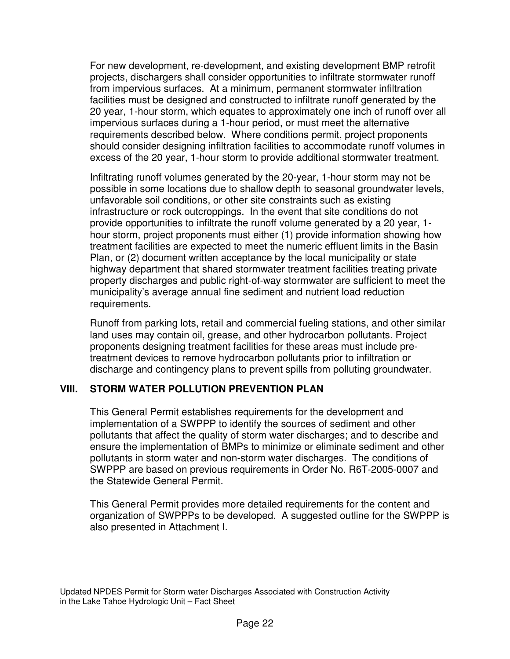For new development, re-development, and existing development BMP retrofit projects, dischargers shall consider opportunities to infiltrate stormwater runoff from impervious surfaces. At a minimum, permanent stormwater infiltration facilities must be designed and constructed to infiltrate runoff generated by the 20 year, 1-hour storm, which equates to approximately one inch of runoff over all impervious surfaces during a 1-hour period, or must meet the alternative requirements described below. Where conditions permit, project proponents should consider designing infiltration facilities to accommodate runoff volumes in excess of the 20 year, 1-hour storm to provide additional stormwater treatment.

Infiltrating runoff volumes generated by the 20-year, 1-hour storm may not be possible in some locations due to shallow depth to seasonal groundwater levels, unfavorable soil conditions, or other site constraints such as existing infrastructure or rock outcroppings. In the event that site conditions do not provide opportunities to infiltrate the runoff volume generated by a 20 year, 1 hour storm, project proponents must either (1) provide information showing how treatment facilities are expected to meet the numeric effluent limits in the Basin Plan, or (2) document written acceptance by the local municipality or state highway department that shared stormwater treatment facilities treating private property discharges and public right-of-way stormwater are sufficient to meet the municipality's average annual fine sediment and nutrient load reduction requirements.

Runoff from parking lots, retail and commercial fueling stations, and other similar land uses may contain oil, grease, and other hydrocarbon pollutants. Project proponents designing treatment facilities for these areas must include pretreatment devices to remove hydrocarbon pollutants prior to infiltration or discharge and contingency plans to prevent spills from polluting groundwater.

### **VIII. STORM WATER POLLUTION PREVENTION PLAN**

This General Permit establishes requirements for the development and implementation of a SWPPP to identify the sources of sediment and other pollutants that affect the quality of storm water discharges; and to describe and ensure the implementation of BMPs to minimize or eliminate sediment and other pollutants in storm water and non-storm water discharges. The conditions of SWPPP are based on previous requirements in Order No. R6T-2005-0007 and the Statewide General Permit.

This General Permit provides more detailed requirements for the content and organization of SWPPPs to be developed. A suggested outline for the SWPPP is also presented in Attachment I.

Updated NPDES Permit for Storm water Discharges Associated with Construction Activity in the Lake Tahoe Hydrologic Unit – Fact Sheet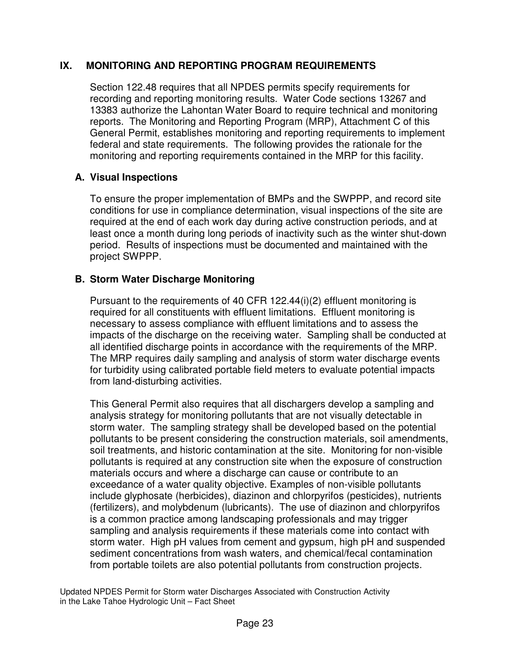### **IX. MONITORING AND REPORTING PROGRAM REQUIREMENTS**

Section 122.48 requires that all NPDES permits specify requirements for recording and reporting monitoring results. Water Code sections 13267 and 13383 authorize the Lahontan Water Board to require technical and monitoring reports. The Monitoring and Reporting Program (MRP), Attachment C of this General Permit, establishes monitoring and reporting requirements to implement federal and state requirements. The following provides the rationale for the monitoring and reporting requirements contained in the MRP for this facility.

### **A. Visual Inspections**

To ensure the proper implementation of BMPs and the SWPPP, and record site conditions for use in compliance determination, visual inspections of the site are required at the end of each work day during active construction periods, and at least once a month during long periods of inactivity such as the winter shut-down period. Results of inspections must be documented and maintained with the project SWPPP.

### **B. Storm Water Discharge Monitoring**

Pursuant to the requirements of 40 CFR 122.44(i)(2) effluent monitoring is required for all constituents with effluent limitations. Effluent monitoring is necessary to assess compliance with effluent limitations and to assess the impacts of the discharge on the receiving water. Sampling shall be conducted at all identified discharge points in accordance with the requirements of the MRP. The MRP requires daily sampling and analysis of storm water discharge events for turbidity using calibrated portable field meters to evaluate potential impacts from land-disturbing activities.

This General Permit also requires that all dischargers develop a sampling and analysis strategy for monitoring pollutants that are not visually detectable in storm water. The sampling strategy shall be developed based on the potential pollutants to be present considering the construction materials, soil amendments, soil treatments, and historic contamination at the site. Monitoring for non-visible pollutants is required at any construction site when the exposure of construction materials occurs and where a discharge can cause or contribute to an exceedance of a water quality objective. Examples of non-visible pollutants include glyphosate (herbicides), diazinon and chlorpyrifos (pesticides), nutrients (fertilizers), and molybdenum (lubricants). The use of diazinon and chlorpyrifos is a common practice among landscaping professionals and may trigger sampling and analysis requirements if these materials come into contact with storm water. High pH values from cement and gypsum, high pH and suspended sediment concentrations from wash waters, and chemical/fecal contamination from portable toilets are also potential pollutants from construction projects.

Updated NPDES Permit for Storm water Discharges Associated with Construction Activity in the Lake Tahoe Hydrologic Unit – Fact Sheet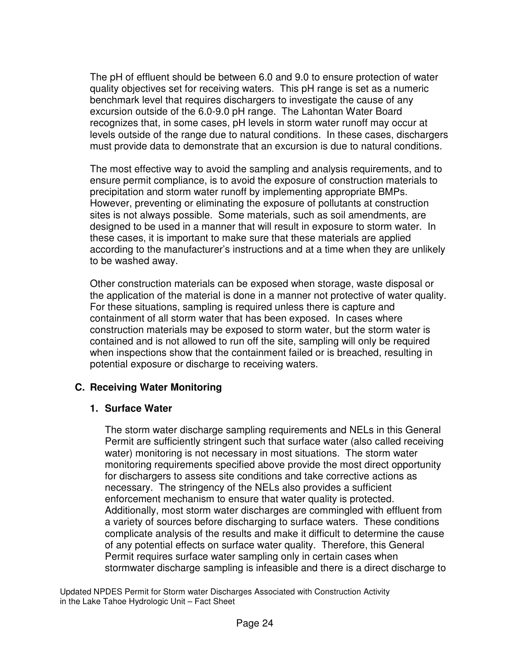The pH of effluent should be between 6.0 and 9.0 to ensure protection of water quality objectives set for receiving waters. This pH range is set as a numeric benchmark level that requires dischargers to investigate the cause of any excursion outside of the 6.0-9.0 pH range. The Lahontan Water Board recognizes that, in some cases, pH levels in storm water runoff may occur at levels outside of the range due to natural conditions. In these cases, dischargers must provide data to demonstrate that an excursion is due to natural conditions.

The most effective way to avoid the sampling and analysis requirements, and to ensure permit compliance, is to avoid the exposure of construction materials to precipitation and storm water runoff by implementing appropriate BMPs. However, preventing or eliminating the exposure of pollutants at construction sites is not always possible. Some materials, such as soil amendments, are designed to be used in a manner that will result in exposure to storm water. In these cases, it is important to make sure that these materials are applied according to the manufacturer's instructions and at a time when they are unlikely to be washed away.

Other construction materials can be exposed when storage, waste disposal or the application of the material is done in a manner not protective of water quality. For these situations, sampling is required unless there is capture and containment of all storm water that has been exposed. In cases where construction materials may be exposed to storm water, but the storm water is contained and is not allowed to run off the site, sampling will only be required when inspections show that the containment failed or is breached, resulting in potential exposure or discharge to receiving waters.

### **C. Receiving Water Monitoring**

#### **1. Surface Water**

The storm water discharge sampling requirements and NELs in this General Permit are sufficiently stringent such that surface water (also called receiving water) monitoring is not necessary in most situations. The storm water monitoring requirements specified above provide the most direct opportunity for dischargers to assess site conditions and take corrective actions as necessary. The stringency of the NELs also provides a sufficient enforcement mechanism to ensure that water quality is protected. Additionally, most storm water discharges are commingled with effluent from a variety of sources before discharging to surface waters. These conditions complicate analysis of the results and make it difficult to determine the cause of any potential effects on surface water quality. Therefore, this General Permit requires surface water sampling only in certain cases when stormwater discharge sampling is infeasible and there is a direct discharge to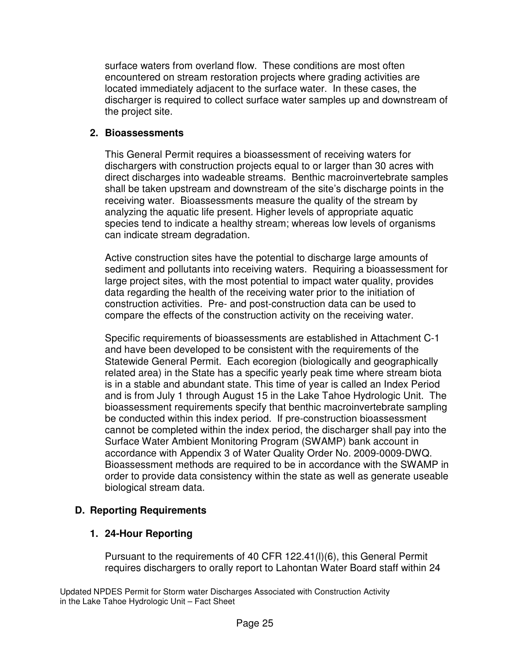surface waters from overland flow. These conditions are most often encountered on stream restoration projects where grading activities are located immediately adjacent to the surface water. In these cases, the discharger is required to collect surface water samples up and downstream of the project site.

### **2. Bioassessments**

This General Permit requires a bioassessment of receiving waters for dischargers with construction projects equal to or larger than 30 acres with direct discharges into wadeable streams. Benthic macroinvertebrate samples shall be taken upstream and downstream of the site's discharge points in the receiving water. Bioassessments measure the quality of the stream by analyzing the aquatic life present. Higher levels of appropriate aquatic species tend to indicate a healthy stream; whereas low levels of organisms can indicate stream degradation.

Active construction sites have the potential to discharge large amounts of sediment and pollutants into receiving waters. Requiring a bioassessment for large project sites, with the most potential to impact water quality, provides data regarding the health of the receiving water prior to the initiation of construction activities. Pre- and post-construction data can be used to compare the effects of the construction activity on the receiving water.

Specific requirements of bioassessments are established in Attachment C-1 and have been developed to be consistent with the requirements of the Statewide General Permit. Each ecoregion (biologically and geographically related area) in the State has a specific yearly peak time where stream biota is in a stable and abundant state. This time of year is called an Index Period and is from July 1 through August 15 in the Lake Tahoe Hydrologic Unit. The bioassessment requirements specify that benthic macroinvertebrate sampling be conducted within this index period. If pre-construction bioassessment cannot be completed within the index period, the discharger shall pay into the Surface Water Ambient Monitoring Program (SWAMP) bank account in accordance with Appendix 3 of Water Quality Order No. 2009-0009-DWQ. Bioassessment methods are required to be in accordance with the SWAMP in order to provide data consistency within the state as well as generate useable biological stream data.

### **D. Reporting Requirements**

### **1. 24-Hour Reporting**

Pursuant to the requirements of 40 CFR 122.41(l)(6), this General Permit requires dischargers to orally report to Lahontan Water Board staff within 24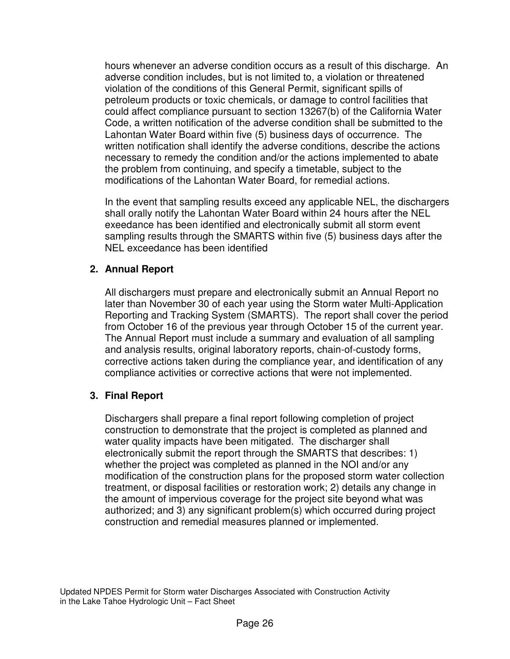hours whenever an adverse condition occurs as a result of this discharge. An adverse condition includes, but is not limited to, a violation or threatened violation of the conditions of this General Permit, significant spills of petroleum products or toxic chemicals, or damage to control facilities that could affect compliance pursuant to section 13267(b) of the California Water Code, a written notification of the adverse condition shall be submitted to the Lahontan Water Board within five (5) business days of occurrence. The written notification shall identify the adverse conditions, describe the actions necessary to remedy the condition and/or the actions implemented to abate the problem from continuing, and specify a timetable, subject to the modifications of the Lahontan Water Board, for remedial actions.

In the event that sampling results exceed any applicable NEL, the dischargers shall orally notify the Lahontan Water Board within 24 hours after the NEL exeedance has been identified and electronically submit all storm event sampling results through the SMARTS within five (5) business days after the NEL exceedance has been identified

### **2. Annual Report**

All dischargers must prepare and electronically submit an Annual Report no later than November 30 of each year using the Storm water Multi-Application Reporting and Tracking System (SMARTS). The report shall cover the period from October 16 of the previous year through October 15 of the current year. The Annual Report must include a summary and evaluation of all sampling and analysis results, original laboratory reports, chain-of-custody forms, corrective actions taken during the compliance year, and identification of any compliance activities or corrective actions that were not implemented.

### **3. Final Report**

Dischargers shall prepare a final report following completion of project construction to demonstrate that the project is completed as planned and water quality impacts have been mitigated. The discharger shall electronically submit the report through the SMARTS that describes: 1) whether the project was completed as planned in the NOI and/or any modification of the construction plans for the proposed storm water collection treatment, or disposal facilities or restoration work; 2) details any change in the amount of impervious coverage for the project site beyond what was authorized; and 3) any significant problem(s) which occurred during project construction and remedial measures planned or implemented.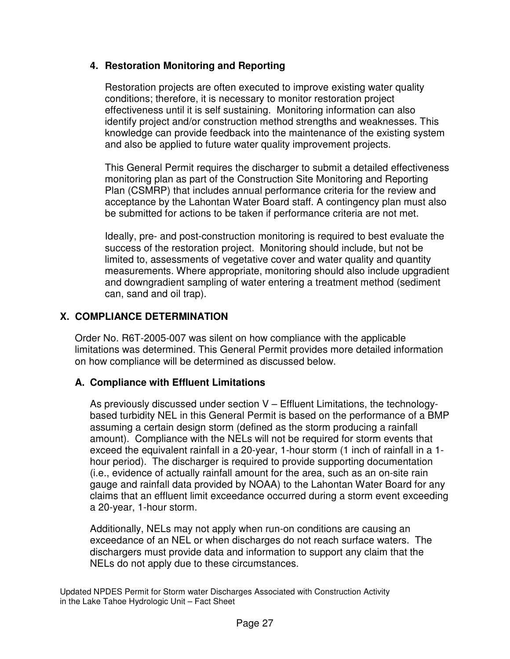## **4. Restoration Monitoring and Reporting**

Restoration projects are often executed to improve existing water quality conditions; therefore, it is necessary to monitor restoration project effectiveness until it is self sustaining. Monitoring information can also identify project and/or construction method strengths and weaknesses. This knowledge can provide feedback into the maintenance of the existing system and also be applied to future water quality improvement projects.

This General Permit requires the discharger to submit a detailed effectiveness monitoring plan as part of the Construction Site Monitoring and Reporting Plan (CSMRP) that includes annual performance criteria for the review and acceptance by the Lahontan Water Board staff. A contingency plan must also be submitted for actions to be taken if performance criteria are not met.

Ideally, pre- and post-construction monitoring is required to best evaluate the success of the restoration project. Monitoring should include, but not be limited to, assessments of vegetative cover and water quality and quantity measurements. Where appropriate, monitoring should also include upgradient and downgradient sampling of water entering a treatment method (sediment can, sand and oil trap).

# **X. COMPLIANCE DETERMINATION**

Order No. R6T-2005-007 was silent on how compliance with the applicable limitations was determined. This General Permit provides more detailed information on how compliance will be determined as discussed below.

# **A. Compliance with Effluent Limitations**

As previously discussed under section V – Effluent Limitations, the technologybased turbidity NEL in this General Permit is based on the performance of a BMP assuming a certain design storm (defined as the storm producing a rainfall amount). Compliance with the NELs will not be required for storm events that exceed the equivalent rainfall in a 20-year, 1-hour storm (1 inch of rainfall in a 1 hour period). The discharger is required to provide supporting documentation (i.e., evidence of actually rainfall amount for the area, such as an on-site rain gauge and rainfall data provided by NOAA) to the Lahontan Water Board for any claims that an effluent limit exceedance occurred during a storm event exceeding a 20-year, 1-hour storm.

Additionally, NELs may not apply when run-on conditions are causing an exceedance of an NEL or when discharges do not reach surface waters. The dischargers must provide data and information to support any claim that the NELs do not apply due to these circumstances.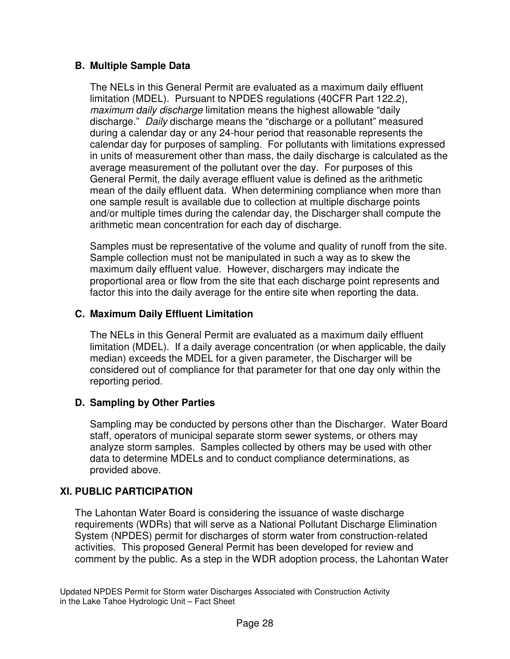## **B. Multiple Sample Data**

The NELs in this General Permit are evaluated as a maximum daily effluent limitation (MDEL). Pursuant to NPDES regulations (40CFR Part 122.2), maximum daily discharge limitation means the highest allowable "daily discharge." Daily discharge means the "discharge or a pollutant" measured during a calendar day or any 24-hour period that reasonable represents the calendar day for purposes of sampling. For pollutants with limitations expressed in units of measurement other than mass, the daily discharge is calculated as the average measurement of the pollutant over the day. For purposes of this General Permit, the daily average effluent value is defined as the arithmetic mean of the daily effluent data. When determining compliance when more than one sample result is available due to collection at multiple discharge points and/or multiple times during the calendar day, the Discharger shall compute the arithmetic mean concentration for each day of discharge.

Samples must be representative of the volume and quality of runoff from the site. Sample collection must not be manipulated in such a way as to skew the maximum daily effluent value. However, dischargers may indicate the proportional area or flow from the site that each discharge point represents and factor this into the daily average for the entire site when reporting the data.

## **C. Maximum Daily Effluent Limitation**

The NELs in this General Permit are evaluated as a maximum daily effluent limitation (MDEL). If a daily average concentration (or when applicable, the daily median) exceeds the MDEL for a given parameter, the Discharger will be considered out of compliance for that parameter for that one day only within the reporting period.

# **D. Sampling by Other Parties**

Sampling may be conducted by persons other than the Discharger. Water Board staff, operators of municipal separate storm sewer systems, or others may analyze storm samples. Samples collected by others may be used with other data to determine MDELs and to conduct compliance determinations, as provided above.

# **XI. PUBLIC PARTICIPATION**

The Lahontan Water Board is considering the issuance of waste discharge requirements (WDRs) that will serve as a National Pollutant Discharge Elimination System (NPDES) permit for discharges of storm water from construction-related activities. This proposed General Permit has been developed for review and comment by the public. As a step in the WDR adoption process, the Lahontan Water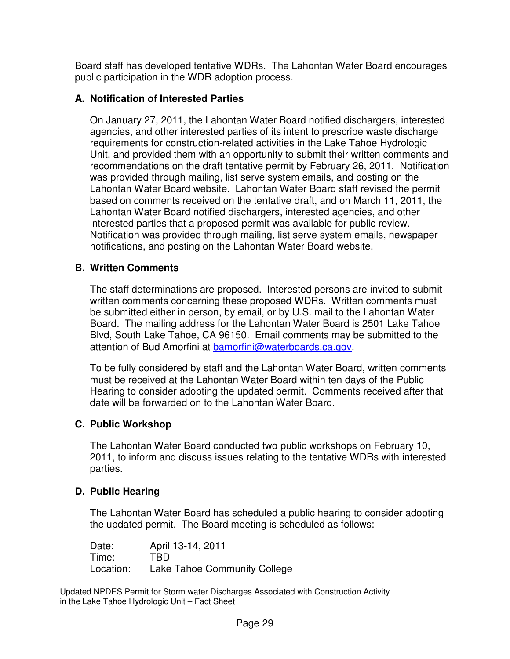Board staff has developed tentative WDRs. The Lahontan Water Board encourages public participation in the WDR adoption process.

## **A. Notification of Interested Parties**

On January 27, 2011, the Lahontan Water Board notified dischargers, interested agencies, and other interested parties of its intent to prescribe waste discharge requirements for construction-related activities in the Lake Tahoe Hydrologic Unit, and provided them with an opportunity to submit their written comments and recommendations on the draft tentative permit by February 26, 2011. Notification was provided through mailing, list serve system emails, and posting on the Lahontan Water Board website. Lahontan Water Board staff revised the permit based on comments received on the tentative draft, and on March 11, 2011, the Lahontan Water Board notified dischargers, interested agencies, and other interested parties that a proposed permit was available for public review. Notification was provided through mailing, list serve system emails, newspaper notifications, and posting on the Lahontan Water Board website.

### **B. Written Comments**

The staff determinations are proposed. Interested persons are invited to submit written comments concerning these proposed WDRs. Written comments must be submitted either in person, by email, or by U.S. mail to the Lahontan Water Board. The mailing address for the Lahontan Water Board is 2501 Lake Tahoe Blvd, South Lake Tahoe, CA 96150. Email comments may be submitted to the attention of Bud Amorfini at bamorfini@waterboards.ca.gov.

To be fully considered by staff and the Lahontan Water Board, written comments must be received at the Lahontan Water Board within ten days of the Public Hearing to consider adopting the updated permit. Comments received after that date will be forwarded on to the Lahontan Water Board.

### **C. Public Workshop**

The Lahontan Water Board conducted two public workshops on February 10, 2011, to inform and discuss issues relating to the tentative WDRs with interested parties.

### **D. Public Hearing**

The Lahontan Water Board has scheduled a public hearing to consider adopting the updated permit. The Board meeting is scheduled as follows:

Date: April 13-14, 2011 Time: TBD Location: Lake Tahoe Community College